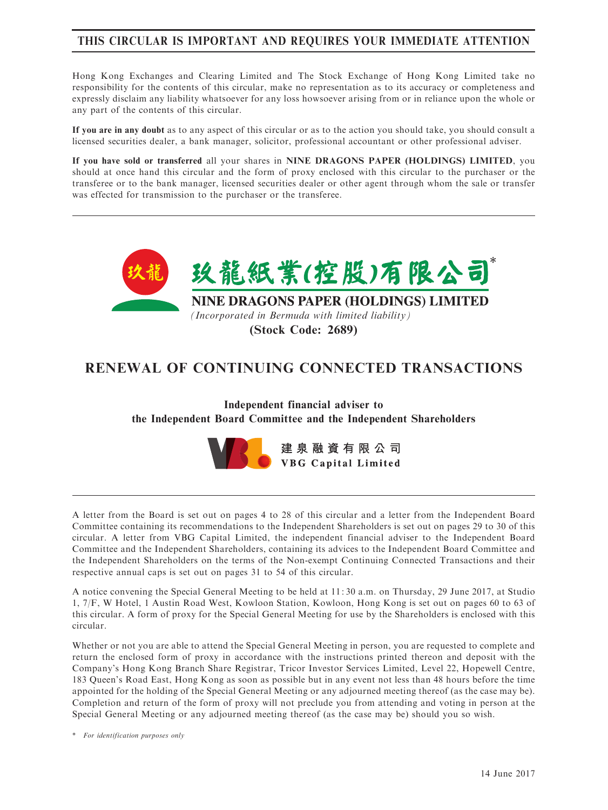# THIS CIRCULAR IS IMPORTANT AND REQUIRES YOUR IMMEDIATE ATTENTION

Hong Kong Exchanges and Clearing Limited and The Stock Exchange of Hong Kong Limited take no responsibility for the contents of this circular, make no representation as to its accuracy or completeness and expressly disclaim any liability whatsoever for any loss howsoever arising from or in reliance upon the whole or any part of the contents of this circular.

If you are in any doubt as to any aspect of this circular or as to the action you should take, you should consult a licensed securities dealer, a bank manager, solicitor, professional accountant or other professional adviser.

If you have sold or transferred all your shares in NINE DRAGONS PAPER (HOLDINGS) LIMITED, you should at once hand this circular and the form of proxy enclosed with this circular to the purchaser or the transferee or to the bank manager, licensed securities dealer or other agent through whom the sale or transfer was effected for transmission to the purchaser or the transferee.



RENEWAL OF CONTINUING CONNECTED TRANSACTIONS

Independent financial adviser to the Independent Board Committee and the Independent Shareholders



A letter from the Board is set out on pages 4 to 28 of this circular and a letter from the Independent Board Committee containing its recommendations to the Independent Shareholders is set out on pages 29 to 30 of this circular. A letter from VBG Capital Limited, the independent financial adviser to the Independent Board Committee and the Independent Shareholders, containing its advices to the Independent Board Committee and the Independent Shareholders on the terms of the Non-exempt Continuing Connected Transactions and their respective annual caps is set out on pages 31 to 54 of this circular.

A notice convening the Special General Meeting to be held at 11: 30 a.m. on Thursday, 29 June 2017, at Studio 1, 7/F, W Hotel, 1 Austin Road West, Kowloon Station, Kowloon, Hong Kong is set out on pages 60 to 63 of this circular. A form of proxy for the Special General Meeting for use by the Shareholders is enclosed with this circular.

Whether or not you are able to attend the Special General Meeting in person, you are requested to complete and return the enclosed form of proxy in accordance with the instructions printed thereon and deposit with the Company's Hong Kong Branch Share Registrar, Tricor Investor Services Limited, Level 22, Hopewell Centre, 183 Queen's Road East, Hong Kong as soon as possible but in any event not less than 48 hours before the time appointed for the holding of the Special General Meeting or any adjourned meeting thereof (as the case may be). Completion and return of the form of proxy will not preclude you from attending and voting in person at the Special General Meeting or any adjourned meeting thereof (as the case may be) should you so wish.

\* For identification purposes only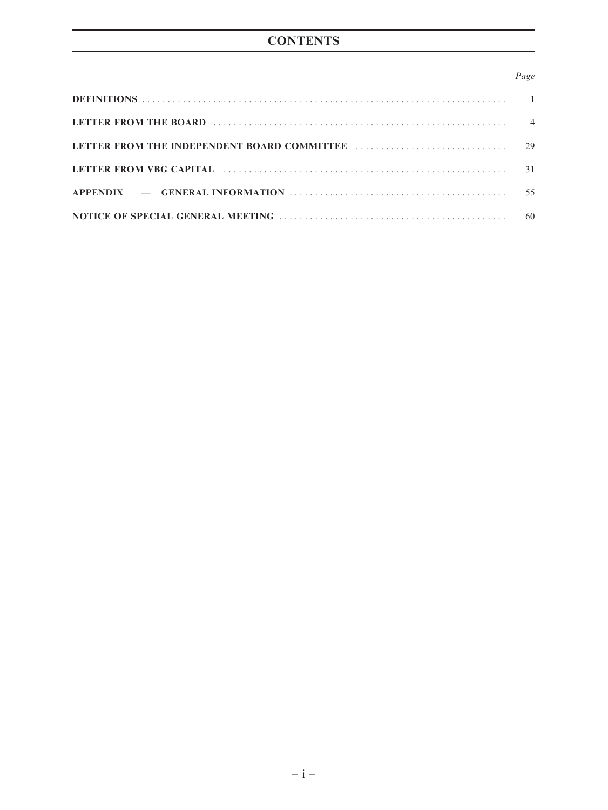### Page

| LETTER FROM THE BOARD (1999) (2008) (2009) (2009) (2018) (2018) (2018) (2018) (2018) (2018) (2018) (2018) (2018) (2018) (2018) (2018) (2018) (2018) (2018) (2018) (2018) (2018) (2018) (2018) (2018) (2018) (2018) (2018) (201 |  |
|--------------------------------------------------------------------------------------------------------------------------------------------------------------------------------------------------------------------------------|--|
|                                                                                                                                                                                                                                |  |
|                                                                                                                                                                                                                                |  |
|                                                                                                                                                                                                                                |  |
|                                                                                                                                                                                                                                |  |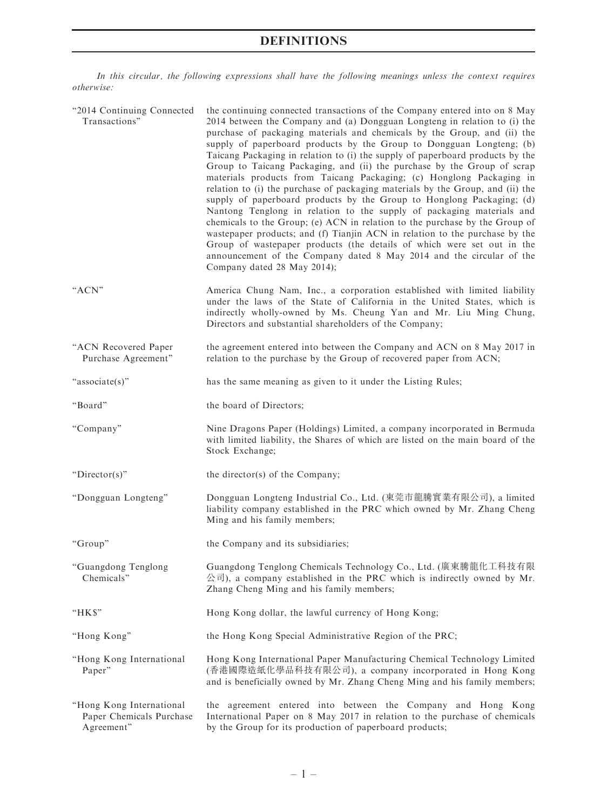# DEFINITIONS

In this circular, the following expressions shall have the following meanings unless the context requires otherwise:

| "2014 Continuing Connected<br>Transactions"                        | the continuing connected transactions of the Company entered into on 8 May<br>2014 between the Company and (a) Dongguan Longteng in relation to (i) the<br>purchase of packaging materials and chemicals by the Group, and (ii) the<br>supply of paperboard products by the Group to Dongguan Longteng; (b)<br>Taicang Packaging in relation to (i) the supply of paperboard products by the<br>Group to Taicang Packaging, and (ii) the purchase by the Group of scrap<br>materials products from Taicang Packaging; (c) Honglong Packaging in<br>relation to (i) the purchase of packaging materials by the Group, and (ii) the<br>supply of paperboard products by the Group to Honglong Packaging; (d)<br>Nantong Tenglong in relation to the supply of packaging materials and<br>chemicals to the Group; (e) ACN in relation to the purchase by the Group of<br>wastepaper products; and (f) Tianjin ACN in relation to the purchase by the<br>Group of wastepaper products (the details of which were set out in the<br>announcement of the Company dated 8 May 2014 and the circular of the<br>Company dated 28 May 2014); |
|--------------------------------------------------------------------|------------------------------------------------------------------------------------------------------------------------------------------------------------------------------------------------------------------------------------------------------------------------------------------------------------------------------------------------------------------------------------------------------------------------------------------------------------------------------------------------------------------------------------------------------------------------------------------------------------------------------------------------------------------------------------------------------------------------------------------------------------------------------------------------------------------------------------------------------------------------------------------------------------------------------------------------------------------------------------------------------------------------------------------------------------------------------------------------------------------------------------|
| "ACN"                                                              | America Chung Nam, Inc., a corporation established with limited liability<br>under the laws of the State of California in the United States, which is<br>indirectly wholly-owned by Ms. Cheung Yan and Mr. Liu Ming Chung,<br>Directors and substantial shareholders of the Company;                                                                                                                                                                                                                                                                                                                                                                                                                                                                                                                                                                                                                                                                                                                                                                                                                                               |
| "ACN Recovered Paper<br>Purchase Agreement"                        | the agreement entered into between the Company and ACN on 8 May 2017 in<br>relation to the purchase by the Group of recovered paper from ACN;                                                                                                                                                                                                                                                                                                                                                                                                                                                                                                                                                                                                                                                                                                                                                                                                                                                                                                                                                                                      |
| "associate(s)"                                                     | has the same meaning as given to it under the Listing Rules;                                                                                                                                                                                                                                                                                                                                                                                                                                                                                                                                                                                                                                                                                                                                                                                                                                                                                                                                                                                                                                                                       |
| "Board"                                                            | the board of Directors;                                                                                                                                                                                                                                                                                                                                                                                                                                                                                                                                                                                                                                                                                                                                                                                                                                                                                                                                                                                                                                                                                                            |
| "Company"                                                          | Nine Dragons Paper (Holdings) Limited, a company incorporated in Bermuda<br>with limited liability, the Shares of which are listed on the main board of the<br>Stock Exchange;                                                                                                                                                                                                                                                                                                                                                                                                                                                                                                                                                                                                                                                                                                                                                                                                                                                                                                                                                     |
| " $Directory$ "                                                    | the director(s) of the Company;                                                                                                                                                                                                                                                                                                                                                                                                                                                                                                                                                                                                                                                                                                                                                                                                                                                                                                                                                                                                                                                                                                    |
| "Dongguan Longteng"                                                | Dongguan Longteng Industrial Co., Ltd. (東莞市龍騰實業有限公司), a limited<br>liability company established in the PRC which owned by Mr. Zhang Cheng<br>Ming and his family members;                                                                                                                                                                                                                                                                                                                                                                                                                                                                                                                                                                                                                                                                                                                                                                                                                                                                                                                                                         |
| "Group"                                                            | the Company and its subsidiaries;                                                                                                                                                                                                                                                                                                                                                                                                                                                                                                                                                                                                                                                                                                                                                                                                                                                                                                                                                                                                                                                                                                  |
| "Guangdong Tenglong<br>Chemicals"                                  | Guangdong Tenglong Chemicals Technology Co., Ltd. (廣東騰龍化工科技有限<br>公司), a company established in the PRC which is indirectly owned by Mr.<br>Zhang Cheng Ming and his family members;                                                                                                                                                                                                                                                                                                                                                                                                                                                                                                                                                                                                                                                                                                                                                                                                                                                                                                                                                |
| "HK\$"                                                             | Hong Kong dollar, the lawful currency of Hong Kong;                                                                                                                                                                                                                                                                                                                                                                                                                                                                                                                                                                                                                                                                                                                                                                                                                                                                                                                                                                                                                                                                                |
| "Hong Kong"                                                        | the Hong Kong Special Administrative Region of the PRC;                                                                                                                                                                                                                                                                                                                                                                                                                                                                                                                                                                                                                                                                                                                                                                                                                                                                                                                                                                                                                                                                            |
| "Hong Kong International<br>Paper"                                 | Hong Kong International Paper Manufacturing Chemical Technology Limited<br>(香港國際造紙化學品科技有限公司), a company incorporated in Hong Kong<br>and is beneficially owned by Mr. Zhang Cheng Ming and his family members;                                                                                                                                                                                                                                                                                                                                                                                                                                                                                                                                                                                                                                                                                                                                                                                                                                                                                                                     |
| "Hong Kong International<br>Paper Chemicals Purchase<br>Agreement" | the agreement entered into between the Company and Hong Kong<br>International Paper on 8 May 2017 in relation to the purchase of chemicals<br>by the Group for its production of paperboard products;                                                                                                                                                                                                                                                                                                                                                                                                                                                                                                                                                                                                                                                                                                                                                                                                                                                                                                                              |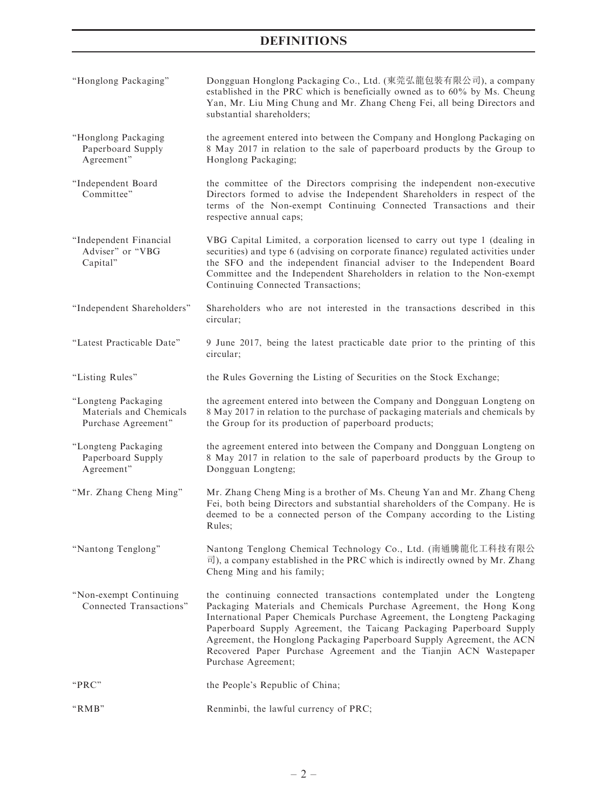# DEFINITIONS

| "Honglong Packaging"                                                  | Dongguan Honglong Packaging Co., Ltd. (東莞弘龍包裝有限公司), a company<br>established in the PRC which is beneficially owned as to 60% by Ms. Cheung<br>Yan, Mr. Liu Ming Chung and Mr. Zhang Cheng Fei, all being Directors and<br>substantial shareholders;                                                                                                                                                                                                                   |
|-----------------------------------------------------------------------|------------------------------------------------------------------------------------------------------------------------------------------------------------------------------------------------------------------------------------------------------------------------------------------------------------------------------------------------------------------------------------------------------------------------------------------------------------------------|
| "Honglong Packaging<br>Paperboard Supply<br>Agreement"                | the agreement entered into between the Company and Honglong Packaging on<br>8 May 2017 in relation to the sale of paperboard products by the Group to<br>Honglong Packaging;                                                                                                                                                                                                                                                                                           |
| "Independent Board<br>Committee"                                      | the committee of the Directors comprising the independent non-executive<br>Directors formed to advise the Independent Shareholders in respect of the<br>terms of the Non-exempt Continuing Connected Transactions and their<br>respective annual caps;                                                                                                                                                                                                                 |
| "Independent Financial<br>Adviser" or "VBG<br>Capital"                | VBG Capital Limited, a corporation licensed to carry out type 1 (dealing in<br>securities) and type 6 (advising on corporate finance) regulated activities under<br>the SFO and the independent financial adviser to the Independent Board<br>Committee and the Independent Shareholders in relation to the Non-exempt<br>Continuing Connected Transactions;                                                                                                           |
| "Independent Shareholders"                                            | Shareholders who are not interested in the transactions described in this<br>circular;                                                                                                                                                                                                                                                                                                                                                                                 |
| "Latest Practicable Date"                                             | 9 June 2017, being the latest practicable date prior to the printing of this<br>circular;                                                                                                                                                                                                                                                                                                                                                                              |
| "Listing Rules"                                                       | the Rules Governing the Listing of Securities on the Stock Exchange;                                                                                                                                                                                                                                                                                                                                                                                                   |
| "Longteng Packaging<br>Materials and Chemicals<br>Purchase Agreement" | the agreement entered into between the Company and Dongguan Longteng on<br>8 May 2017 in relation to the purchase of packaging materials and chemicals by<br>the Group for its production of paperboard products;                                                                                                                                                                                                                                                      |
| "Longteng Packaging<br>Paperboard Supply<br>Agreement"                | the agreement entered into between the Company and Dongguan Longteng on<br>8 May 2017 in relation to the sale of paperboard products by the Group to<br>Dongguan Longteng;                                                                                                                                                                                                                                                                                             |
| "Mr. Zhang Cheng Ming"                                                | Mr. Zhang Cheng Ming is a brother of Ms. Cheung Yan and Mr. Zhang Cheng<br>Fei, both being Directors and substantial shareholders of the Company. He is<br>deemed to be a connected person of the Company according to the Listing<br>Rules:                                                                                                                                                                                                                           |
| "Nantong Tenglong"                                                    | Nantong Tenglong Chemical Technology Co., Ltd. (南通騰龍化工科技有限公<br>$\overline{\mathbb{E}}$ ), a company established in the PRC which is indirectly owned by Mr. Zhang<br>Cheng Ming and his family;                                                                                                                                                                                                                                                                        |
| "Non-exempt Continuing<br>Connected Transactions"                     | the continuing connected transactions contemplated under the Longteng<br>Packaging Materials and Chemicals Purchase Agreement, the Hong Kong<br>International Paper Chemicals Purchase Agreement, the Longteng Packaging<br>Paperboard Supply Agreement, the Taicang Packaging Paperboard Supply<br>Agreement, the Honglong Packaging Paperboard Supply Agreement, the ACN<br>Recovered Paper Purchase Agreement and the Tianjin ACN Wastepaper<br>Purchase Agreement; |
| "PRC"                                                                 | the People's Republic of China;                                                                                                                                                                                                                                                                                                                                                                                                                                        |
| "RMB"                                                                 | Renminbi, the lawful currency of PRC;                                                                                                                                                                                                                                                                                                                                                                                                                                  |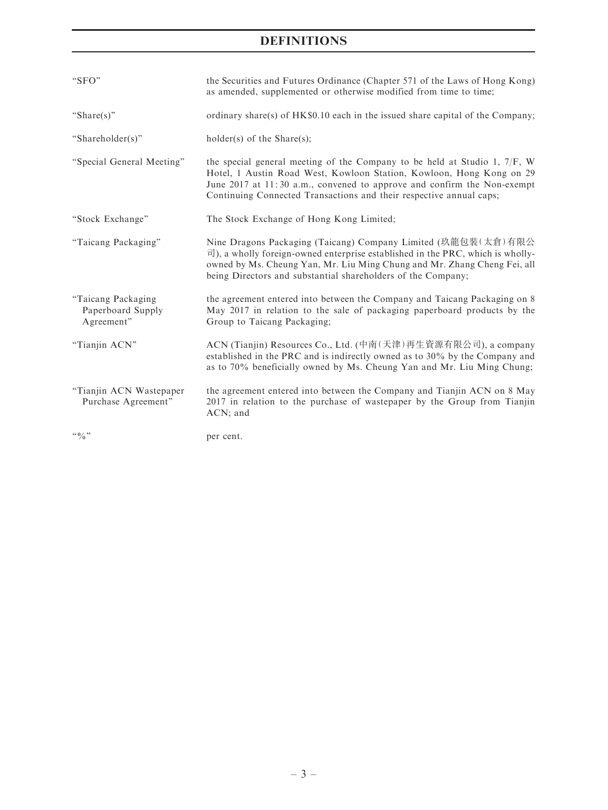# DEFINITIONS

| "SFO"                                                 | the Securities and Futures Ordinance (Chapter 571 of the Laws of Hong Kong)<br>as amended, supplemented or otherwise modified from time to time;                                                                                                                                                                   |
|-------------------------------------------------------|--------------------------------------------------------------------------------------------------------------------------------------------------------------------------------------------------------------------------------------------------------------------------------------------------------------------|
| "Share $(s)$ "                                        | ordinary share(s) of HK\$0.10 each in the issued share capital of the Company;                                                                                                                                                                                                                                     |
| "Shareholder(s)"                                      | $holder(s)$ of the Share $(s)$ ;                                                                                                                                                                                                                                                                                   |
| "Special General Meeting"                             | the special general meeting of the Company to be held at Studio 1, $7/F$ , W<br>Hotel, 1 Austin Road West, Kowloon Station, Kowloon, Hong Kong on 29<br>June 2017 at 11:30 a.m., convened to approve and confirm the Non-exempt<br>Continuing Connected Transactions and their respective annual caps;             |
| "Stock Exchange"                                      | The Stock Exchange of Hong Kong Limited;                                                                                                                                                                                                                                                                           |
| "Taicang Packaging"                                   | Nine Dragons Packaging (Taicang) Company Limited (玖龍包裝(太倉)有限公<br>$\overline{\mathbb{E}}$ ), a wholly foreign-owned enterprise established in the PRC, which is wholly-<br>owned by Ms. Cheung Yan, Mr. Liu Ming Chung and Mr. Zhang Cheng Fei, all<br>being Directors and substantial shareholders of the Company; |
| "Taicang Packaging<br>Paperboard Supply<br>Agreement" | the agreement entered into between the Company and Taicang Packaging on 8<br>May 2017 in relation to the sale of packaging paperboard products by the<br>Group to Taicang Packaging;                                                                                                                               |
| "Tianjin ACN"                                         | ACN (Tianjin) Resources Co., Ltd. (中南(天津)再生資源有限公司), a company<br>established in the PRC and is indirectly owned as to $30\%$ by the Company and<br>as to 70% beneficially owned by Ms. Cheung Yan and Mr. Liu Ming Chung;                                                                                          |
| "Tianjin ACN Wastepaper<br>Purchase Agreement"        | the agreement entered into between the Company and Tianjin ACN on 8 May<br>2017 in relation to the purchase of wastepaper by the Group from Tianjin<br>ACN; and                                                                                                                                                    |
| 4.0/0                                                 | per cent.                                                                                                                                                                                                                                                                                                          |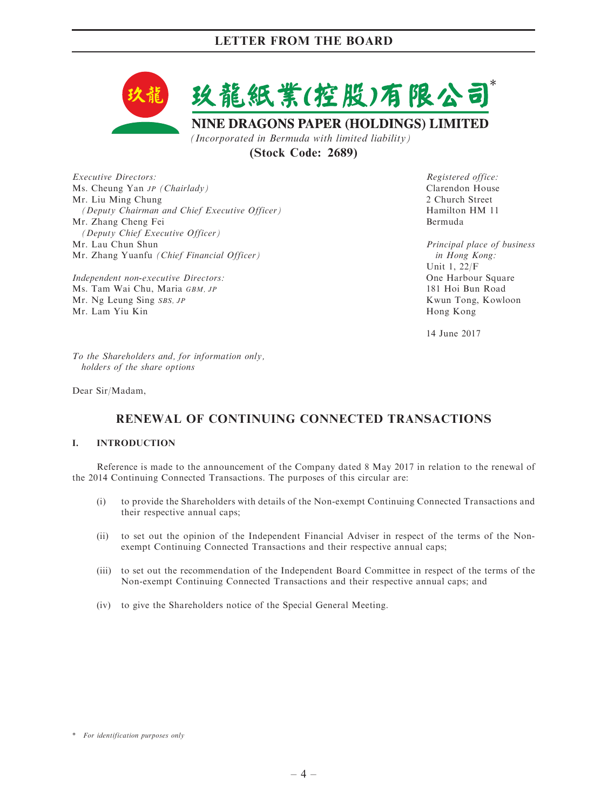

(Stock Code: 2689)

Executive Directors: Ms. Cheung Yan JP (Chairlady) Mr. Liu Ming Chung (Deputy Chairman and Chief Executive Officer) Mr. Zhang Cheng Fei (Deputy Chief Executive Officer) Mr. Lau Chun Shun Mr. Zhang Yuanfu (Chief Financial Officer)

Independent non-executive Directors: Ms. Tam Wai Chu, Maria GBM, JP Mr. Ng Leung Sing SBS, JP Mr. Lam Yiu Kin

Registered office: Clarendon House 2 Church Street Hamilton HM 11 Bermuda

Principal place of business in Hong Kong: Unit 1, 22/F One Harbour Square 181 Hoi Bun Road Kwun Tong, Kowloon Hong Kong

14 June 2017

To the Shareholders and, for information only, holders of the share options

Dear Sir/Madam,

# RENEWAL OF CONTINUING CONNECTED TRANSACTIONS

### I. INTRODUCTION

Reference is made to the announcement of the Company dated 8 May 2017 in relation to the renewal of the 2014 Continuing Connected Transactions. The purposes of this circular are:

- (i) to provide the Shareholders with details of the Non-exempt Continuing Connected Transactions and their respective annual caps;
- (ii) to set out the opinion of the Independent Financial Adviser in respect of the terms of the Nonexempt Continuing Connected Transactions and their respective annual caps;
- (iii) to set out the recommendation of the Independent Board Committee in respect of the terms of the Non-exempt Continuing Connected Transactions and their respective annual caps; and
- (iv) to give the Shareholders notice of the Special General Meeting.

<sup>\*</sup> For identification purposes only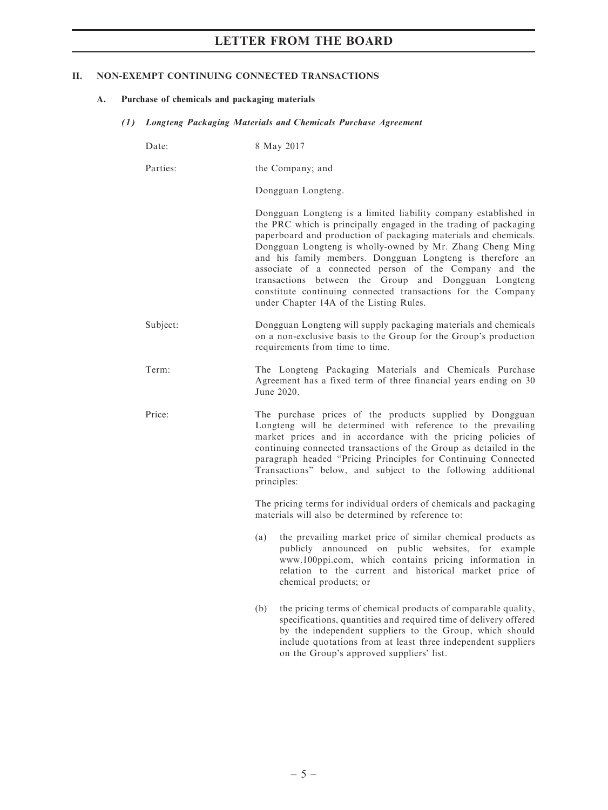### II. NON-EXEMPT CONTINUING CONNECTED TRANSACTIONS

- A. Purchase of chemicals and packaging materials
	- (1) Longteng Packaging Materials and Chemicals Purchase Agreement

| Date:    | 8 May 2017                                                                                                                                                                                                                                                                                                                                                                                                                                                                                                                                                    |  |  |
|----------|---------------------------------------------------------------------------------------------------------------------------------------------------------------------------------------------------------------------------------------------------------------------------------------------------------------------------------------------------------------------------------------------------------------------------------------------------------------------------------------------------------------------------------------------------------------|--|--|
| Parties: | the Company; and                                                                                                                                                                                                                                                                                                                                                                                                                                                                                                                                              |  |  |
|          | Dongguan Longteng.                                                                                                                                                                                                                                                                                                                                                                                                                                                                                                                                            |  |  |
|          | Dongguan Longteng is a limited liability company established in<br>the PRC which is principally engaged in the trading of packaging<br>paperboard and production of packaging materials and chemicals.<br>Dongguan Longteng is wholly-owned by Mr. Zhang Cheng Ming<br>and his family members. Dongguan Longteng is therefore an<br>associate of a connected person of the Company and the<br>transactions between the Group and Dongguan Longteng<br>constitute continuing connected transactions for the Company<br>under Chapter 14A of the Listing Rules. |  |  |
| Subject: | Dongguan Longteng will supply packaging materials and chemicals<br>on a non-exclusive basis to the Group for the Group's production<br>requirements from time to time.                                                                                                                                                                                                                                                                                                                                                                                        |  |  |
| Term:    | The Longteng Packaging Materials and Chemicals Purchase<br>Agreement has a fixed term of three financial years ending on 30<br>June 2020.                                                                                                                                                                                                                                                                                                                                                                                                                     |  |  |
| Price:   | The purchase prices of the products supplied by Dongguan<br>Longteng will be determined with reference to the prevailing<br>market prices and in accordance with the pricing policies of<br>continuing connected transactions of the Group as detailed in the<br>paragraph headed "Pricing Principles for Continuing Connected<br>Transactions" below, and subject to the following additional<br>principles:                                                                                                                                                 |  |  |
|          | The pricing terms for individual orders of chemicals and packaging<br>materials will also be determined by reference to:                                                                                                                                                                                                                                                                                                                                                                                                                                      |  |  |
|          | the prevailing market price of similar chemical products as<br>(a)<br>publicly announced on public websites, for example<br>www.100ppi.com, which contains pricing information in<br>relation to the current and historical market price of<br>chemical products; or                                                                                                                                                                                                                                                                                          |  |  |
|          | the pricing terms of chemical products of comparable quality,<br>(b)<br>specifications, quantities and required time of delivery offered<br>by the independent suppliers to the Group, which should                                                                                                                                                                                                                                                                                                                                                           |  |  |

include quotations from at least three independent suppliers

on the Group's approved suppliers' list.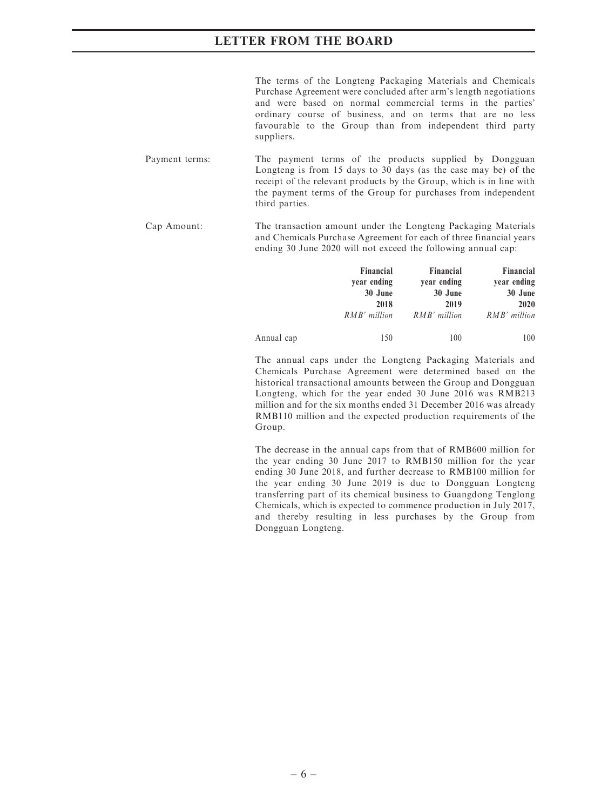The terms of the Longteng Packaging Materials and Chemicals Purchase Agreement were concluded after arm's length negotiations and were based on normal commercial terms in the parties' ordinary course of business, and on terms that are no less favourable to the Group than from independent third party suppliers.

- Payment terms: The payment terms of the products supplied by Dongguan Longteng is from 15 days to 30 days (as the case may be) of the receipt of the relevant products by the Group, which is in line with the payment terms of the Group for purchases from independent third parties.
- Cap Amount: The transaction amount under the Longteng Packaging Materials and Chemicals Purchase Agreement for each of three financial years ending 30 June 2020 will not exceed the following annual cap:

|            | Financial    | Financial    | Financial    |
|------------|--------------|--------------|--------------|
|            | year ending  | year ending  | year ending  |
|            | 30 June      | 30 June      | 30 June      |
|            | 2018         | 2019         | 2020         |
|            | RMB' million | RMB' million | RMB' million |
| Annual cap | 150          | 100          | 100          |

The annual caps under the Longteng Packaging Materials and Chemicals Purchase Agreement were determined based on the historical transactional amounts between the Group and Dongguan Longteng, which for the year ended 30 June 2016 was RMB213 million and for the six months ended 31 December 2016 was already RMB110 million and the expected production requirements of the Group.

The decrease in the annual caps from that of RMB600 million for the year ending 30 June 2017 to RMB150 million for the year ending 30 June 2018, and further decrease to RMB100 million for the year ending 30 June 2019 is due to Dongguan Longteng transferring part of its chemical business to Guangdong Tenglong Chemicals, which is expected to commence production in July 2017, and thereby resulting in less purchases by the Group from Dongguan Longteng.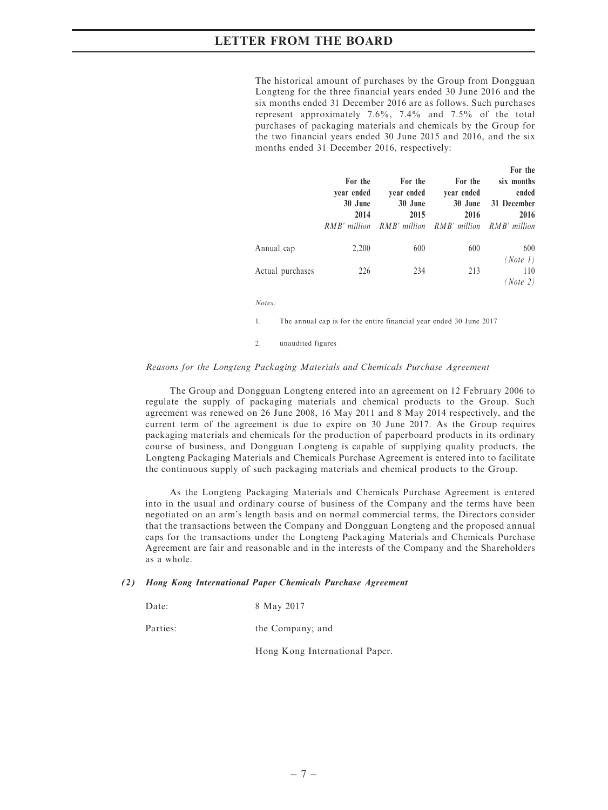The historical amount of purchases by the Group from Dongguan Longteng for the three financial years ended 30 June 2016 and the six months ended 31 December 2016 are as follows. Such purchases represent approximately 7.6%, 7.4% and 7.5% of the total purchases of packaging materials and chemicals by the Group for the two financial years ended 30 June 2015 and 2016, and the six months ended 31 December 2016, respectively:

|                  | For the<br>vear ended<br>30 June<br>2014<br>$RMB'$ million | For the<br>year ended<br>30 June<br>2015<br>RMB' million RMB' million | For the<br>year ended<br>30 June<br>2016 | For the<br>six months<br>ended<br>31 December<br>2016<br>RMB' million |
|------------------|------------------------------------------------------------|-----------------------------------------------------------------------|------------------------------------------|-----------------------------------------------------------------------|
| Annual cap       | 2,200                                                      | 600                                                                   | 600                                      | 600<br>(Note 1)                                                       |
| Actual purchases | 226                                                        | 234                                                                   | 213                                      | 110<br>(Note 2)                                                       |

Notes:

1. The annual cap is for the entire financial year ended 30 June 2017

2. unaudited figures

#### Reasons for the Longteng Packaging Materials and Chemicals Purchase Agreement

The Group and Dongguan Longteng entered into an agreement on 12 February 2006 to regulate the supply of packaging materials and chemical products to the Group. Such agreement was renewed on 26 June 2008, 16 May 2011 and 8 May 2014 respectively, and the current term of the agreement is due to expire on 30 June 2017. As the Group requires packaging materials and chemicals for the production of paperboard products in its ordinary course of business, and Dongguan Longteng is capable of supplying quality products, the Longteng Packaging Materials and Chemicals Purchase Agreement is entered into to facilitate the continuous supply of such packaging materials and chemical products to the Group.

As the Longteng Packaging Materials and Chemicals Purchase Agreement is entered into in the usual and ordinary course of business of the Company and the terms have been negotiated on an arm's length basis and on normal commercial terms, the Directors consider that the transactions between the Company and Dongguan Longteng and the proposed annual caps for the transactions under the Longteng Packaging Materials and Chemicals Purchase Agreement are fair and reasonable and in the interests of the Company and the Shareholders as a whole.

#### (2) Hong Kong International Paper Chemicals Purchase Agreement

| Date: |  | 8 May 2017 |
|-------|--|------------|
|-------|--|------------|

Parties: the Company; and

Hong Kong International Paper.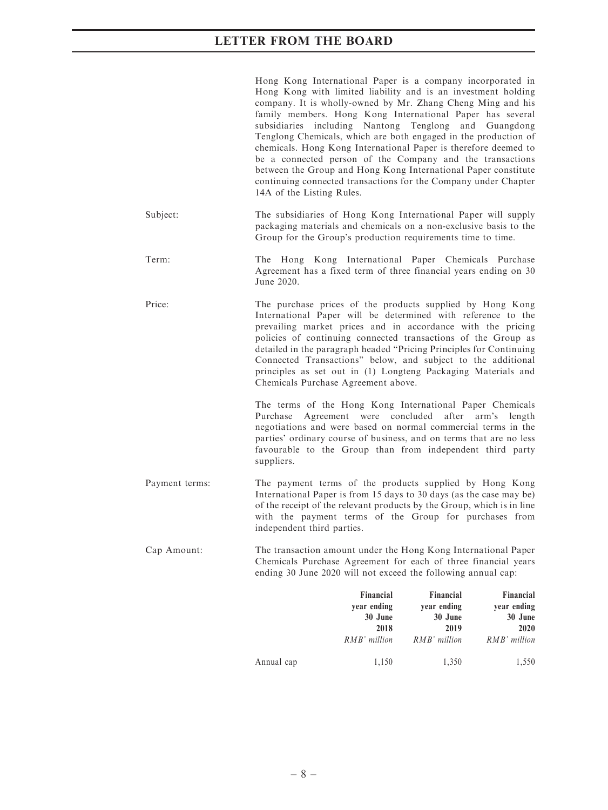|                | Hong Kong International Paper is a company incorporated in<br>Hong Kong with limited liability and is an investment holding<br>company. It is wholly-owned by Mr. Zhang Cheng Ming and his<br>family members. Hong Kong International Paper has several<br>subsidiaries including Nantong Tenglong<br>Tenglong Chemicals, which are both engaged in the production of<br>chemicals. Hong Kong International Paper is therefore deemed to<br>be a connected person of the Company and the transactions<br>between the Group and Hong Kong International Paper constitute<br>continuing connected transactions for the Company under Chapter<br>14A of the Listing Rules. |                                                             | and                                                         | Guangdong                                                   |
|----------------|-------------------------------------------------------------------------------------------------------------------------------------------------------------------------------------------------------------------------------------------------------------------------------------------------------------------------------------------------------------------------------------------------------------------------------------------------------------------------------------------------------------------------------------------------------------------------------------------------------------------------------------------------------------------------|-------------------------------------------------------------|-------------------------------------------------------------|-------------------------------------------------------------|
| Subject:       | The subsidiaries of Hong Kong International Paper will supply<br>packaging materials and chemicals on a non-exclusive basis to the<br>Group for the Group's production requirements time to time.                                                                                                                                                                                                                                                                                                                                                                                                                                                                       |                                                             |                                                             |                                                             |
| Term:          | The Hong Kong International Paper Chemicals Purchase<br>Agreement has a fixed term of three financial years ending on 30<br>June 2020.                                                                                                                                                                                                                                                                                                                                                                                                                                                                                                                                  |                                                             |                                                             |                                                             |
| Price:         | The purchase prices of the products supplied by Hong Kong<br>International Paper will be determined with reference to the<br>prevailing market prices and in accordance with the pricing<br>policies of continuing connected transactions of the Group as<br>detailed in the paragraph headed "Pricing Principles for Continuing<br>Connected Transactions" below, and subject to the additional<br>principles as set out in (1) Longteng Packaging Materials and<br>Chemicals Purchase Agreement above.                                                                                                                                                                |                                                             |                                                             |                                                             |
|                | The terms of the Hong Kong International Paper Chemicals<br>Purchase<br>negotiations and were based on normal commercial terms in the<br>parties' ordinary course of business, and on terms that are no less<br>favourable to the Group than from independent third party<br>suppliers.                                                                                                                                                                                                                                                                                                                                                                                 | Agreement were concluded                                    | after                                                       | arm's length                                                |
| Payment terms: | The payment terms of the products supplied by Hong Kong<br>International Paper is from 15 days to 30 days (as the case may be)<br>of the receipt of the relevant products by the Group, which is in line<br>with the payment terms of the Group for purchases from<br>independent third parties.                                                                                                                                                                                                                                                                                                                                                                        |                                                             |                                                             |                                                             |
| Cap Amount:    | The transaction amount under the Hong Kong International Paper<br>Chemicals Purchase Agreement for each of three financial years<br>ending 30 June 2020 will not exceed the following annual cap:                                                                                                                                                                                                                                                                                                                                                                                                                                                                       |                                                             |                                                             |                                                             |
|                |                                                                                                                                                                                                                                                                                                                                                                                                                                                                                                                                                                                                                                                                         | Financial<br>year ending<br>30 June<br>2018<br>RMB' million | Financial<br>year ending<br>30 June<br>2019<br>RMB' million | Financial<br>year ending<br>30 June<br>2020<br>RMB' million |

Annual cap 1,150 1,350 1,550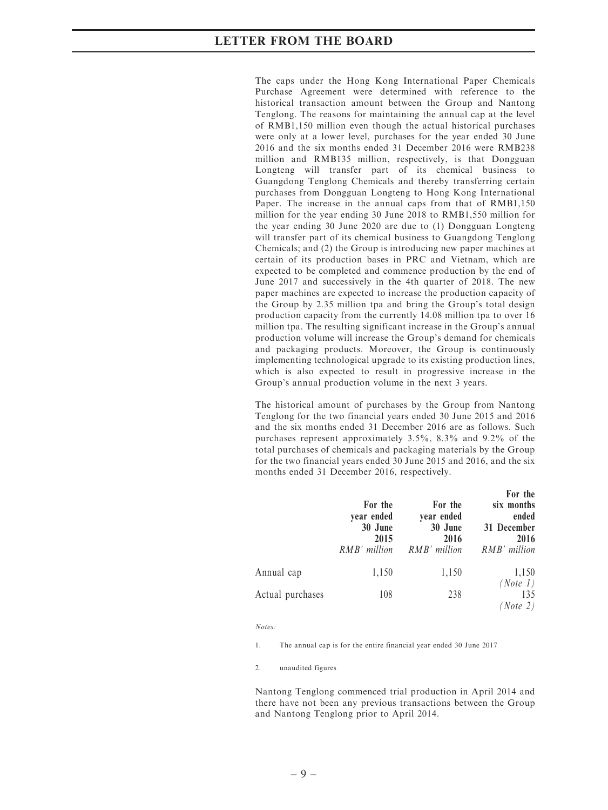The caps under the Hong Kong International Paper Chemicals Purchase Agreement were determined with reference to the historical transaction amount between the Group and Nantong Tenglong. The reasons for maintaining the annual cap at the level of RMB1,150 million even though the actual historical purchases were only at a lower level, purchases for the year ended 30 June 2016 and the six months ended 31 December 2016 were RMB238 million and RMB135 million, respectively, is that Dongguan Longteng will transfer part of its chemical business to Guangdong Tenglong Chemicals and thereby transferring certain purchases from Dongguan Longteng to Hong Kong International Paper. The increase in the annual caps from that of RMB1,150 million for the year ending 30 June 2018 to RMB1,550 million for the year ending 30 June 2020 are due to (1) Dongguan Longteng will transfer part of its chemical business to Guangdong Tenglong Chemicals; and (2) the Group is introducing new paper machines at certain of its production bases in PRC and Vietnam, which are expected to be completed and commence production by the end of June 2017 and successively in the 4th quarter of 2018. The new paper machines are expected to increase the production capacity of the Group by 2.35 million tpa and bring the Group's total design production capacity from the currently 14.08 million tpa to over 16 million tpa. The resulting significant increase in the Group's annual production volume will increase the Group's demand for chemicals and packaging products. Moreover, the Group is continuously implementing technological upgrade to its existing production lines, which is also expected to result in progressive increase in the Group's annual production volume in the next 3 years.

The historical amount of purchases by the Group from Nantong Tenglong for the two financial years ended 30 June 2015 and 2016 and the six months ended 31 December 2016 are as follows. Such purchases represent approximately 3.5%, 8.3% and 9.2% of the total purchases of chemicals and packaging materials by the Group for the two financial years ended 30 June 2015 and 2016, and the six months ended 31 December 2016, respectively.

|                  | For the<br>year ended<br>30 June<br>2015<br>RMB' million | For the<br>year ended<br>30 June<br>2016<br>RMB' million | For the<br>six months<br>ended<br>31 December<br>2016<br>RMB' million |
|------------------|----------------------------------------------------------|----------------------------------------------------------|-----------------------------------------------------------------------|
| Annual cap       | 1,150                                                    | 1,150                                                    | 1,150                                                                 |
| Actual purchases | 108                                                      | 238                                                      | (Note 1)<br>135<br>(Note 2)                                           |

Notes:

1. The annual cap is for the entire financial year ended 30 June 2017

2. unaudited figures

Nantong Tenglong commenced trial production in April 2014 and there have not been any previous transactions between the Group and Nantong Tenglong prior to April 2014.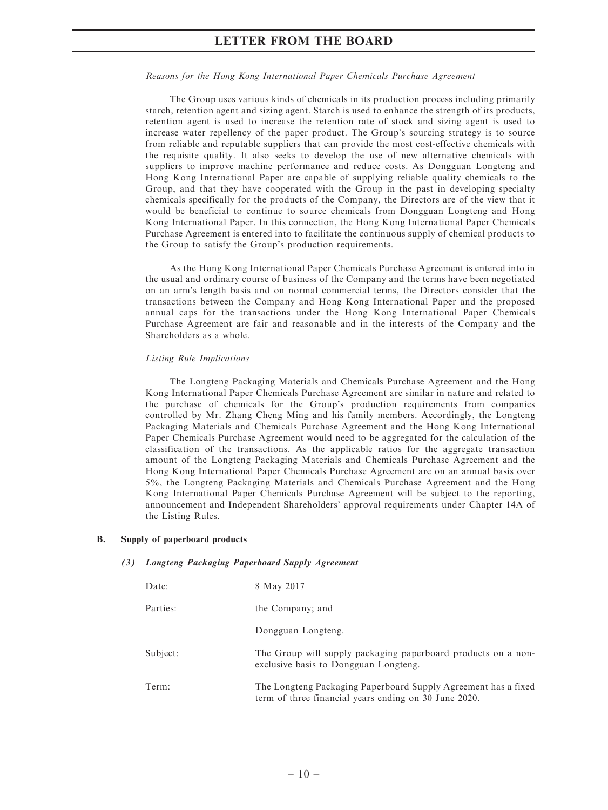#### Reasons for the Hong Kong International Paper Chemicals Purchase Agreement

The Group uses various kinds of chemicals in its production process including primarily starch, retention agent and sizing agent. Starch is used to enhance the strength of its products, retention agent is used to increase the retention rate of stock and sizing agent is used to increase water repellency of the paper product. The Group's sourcing strategy is to source from reliable and reputable suppliers that can provide the most cost-effective chemicals with the requisite quality. It also seeks to develop the use of new alternative chemicals with suppliers to improve machine performance and reduce costs. As Dongguan Longteng and Hong Kong International Paper are capable of supplying reliable quality chemicals to the Group, and that they have cooperated with the Group in the past in developing specialty chemicals specifically for the products of the Company, the Directors are of the view that it would be beneficial to continue to source chemicals from Dongguan Longteng and Hong Kong International Paper. In this connection, the Hong Kong International Paper Chemicals Purchase Agreement is entered into to facilitate the continuous supply of chemical products to the Group to satisfy the Group's production requirements.

As the Hong Kong International Paper Chemicals Purchase Agreement is entered into in the usual and ordinary course of business of the Company and the terms have been negotiated on an arm's length basis and on normal commercial terms, the Directors consider that the transactions between the Company and Hong Kong International Paper and the proposed annual caps for the transactions under the Hong Kong International Paper Chemicals Purchase Agreement are fair and reasonable and in the interests of the Company and the Shareholders as a whole.

#### Listing Rule Implications

The Longteng Packaging Materials and Chemicals Purchase Agreement and the Hong Kong International Paper Chemicals Purchase Agreement are similar in nature and related to the purchase of chemicals for the Group's production requirements from companies controlled by Mr. Zhang Cheng Ming and his family members. Accordingly, the Longteng Packaging Materials and Chemicals Purchase Agreement and the Hong Kong International Paper Chemicals Purchase Agreement would need to be aggregated for the calculation of the classification of the transactions. As the applicable ratios for the aggregate transaction amount of the Longteng Packaging Materials and Chemicals Purchase Agreement and the Hong Kong International Paper Chemicals Purchase Agreement are on an annual basis over 5%, the Longteng Packaging Materials and Chemicals Purchase Agreement and the Hong Kong International Paper Chemicals Purchase Agreement will be subject to the reporting, announcement and Independent Shareholders' approval requirements under Chapter 14A of the Listing Rules.

#### B. Supply of paperboard products

#### (3) Longteng Packaging Paperboard Supply Agreement

| Date:    | 8 May 2017                                                                                                              |
|----------|-------------------------------------------------------------------------------------------------------------------------|
| Parties: | the Company; and                                                                                                        |
|          | Dongguan Longteng.                                                                                                      |
| Subject: | The Group will supply packaging paperboard products on a non-<br>exclusive basis to Dongguan Longteng.                  |
| Term:    | The Longteng Packaging Paperboard Supply Agreement has a fixed<br>term of three financial years ending on 30 June 2020. |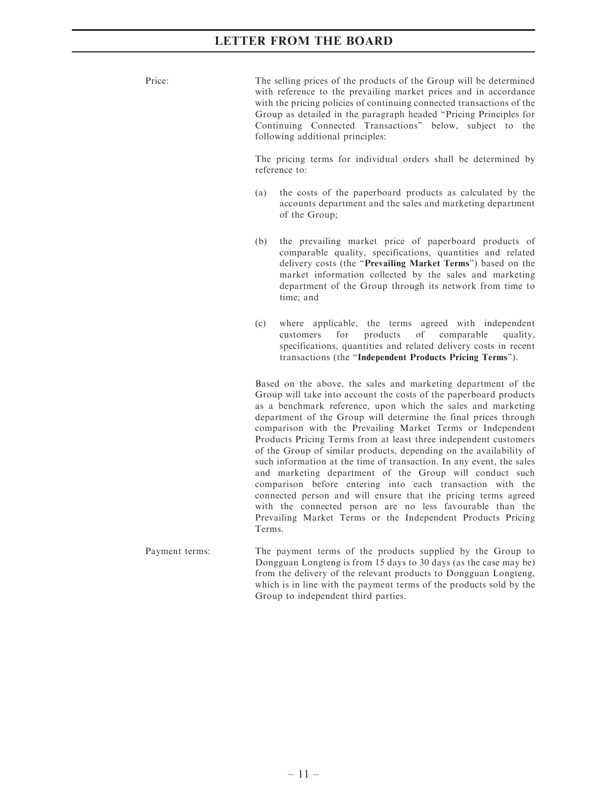Price: The selling prices of the products of the Group will be determined with reference to the prevailing market prices and in accordance with the pricing policies of continuing connected transactions of the Group as detailed in the paragraph headed ''Pricing Principles for Continuing Connected Transactions'' below, subject to the following additional principles:

> The pricing terms for individual orders shall be determined by reference to:

- (a) the costs of the paperboard products as calculated by the accounts department and the sales and marketing department of the Group;
- (b) the prevailing market price of paperboard products of comparable quality, specifications, quantities and related delivery costs (the ''Prevailing Market Terms'') based on the market information collected by the sales and marketing department of the Group through its network from time to time; and
- (c) where applicable, the terms agreed with independent customers for products of comparable quality, specifications, quantities and related delivery costs in recent transactions (the ''Independent Products Pricing Terms'').

Based on the above, the sales and marketing department of the Group will take into account the costs of the paperboard products as a benchmark reference, upon which the sales and marketing department of the Group will determine the final prices through comparison with the Prevailing Market Terms or Independent Products Pricing Terms from at least three independent customers of the Group of similar products, depending on the availability of such information at the time of transaction. In any event, the sales and marketing department of the Group will conduct such comparison before entering into each transaction with the connected person and will ensure that the pricing terms agreed with the connected person are no less favourable than the Prevailing Market Terms or the Independent Products Pricing Terms.

Payment terms: The payment terms of the products supplied by the Group to Dongguan Longteng is from 15 days to 30 days (as the case may be) from the delivery of the relevant products to Dongguan Longteng, which is in line with the payment terms of the products sold by the Group to independent third parties.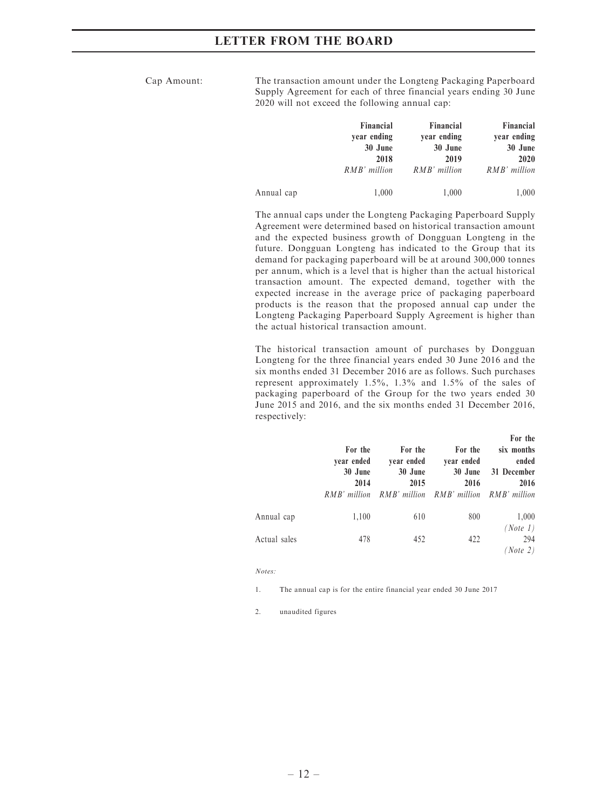Cap Amount: The transaction amount under the Longteng Packaging Paperboard Supply Agreement for each of three financial years ending 30 June 2020 will not exceed the following annual cap:

|            | Financial    | Financial    | Financial    |
|------------|--------------|--------------|--------------|
|            | year ending  | year ending  | year ending  |
|            | 30 June      | 30 June      | 30 June      |
|            | 2018         | 2019         | 2020         |
|            | RMB' million | RMB' million | RMB' million |
| Annual cap | 1,000        | 1,000        | 1,000        |

The annual caps under the Longteng Packaging Paperboard Supply Agreement were determined based on historical transaction amount and the expected business growth of Dongguan Longteng in the future. Dongguan Longteng has indicated to the Group that its demand for packaging paperboard will be at around 300,000 tonnes per annum, which is a level that is higher than the actual historical transaction amount. The expected demand, together with the expected increase in the average price of packaging paperboard products is the reason that the proposed annual cap under the Longteng Packaging Paperboard Supply Agreement is higher than the actual historical transaction amount.

The historical transaction amount of purchases by Dongguan Longteng for the three financial years ended 30 June 2016 and the six months ended 31 December 2016 are as follows. Such purchases represent approximately 1.5%, 1.3% and 1.5% of the sales of packaging paperboard of the Group for the two years ended 30 June 2015 and 2016, and the six months ended 31 December 2016, respectively:

|              | For the<br>year ended<br>30 June<br>2014<br>RMB' million | For the<br>year ended<br>30 June<br>2015 | For the<br>year ended<br>30 June<br>2016<br>RMB' million RMB' million RMB' million | For the<br>six months<br>ended<br>31 December<br>2016 |
|--------------|----------------------------------------------------------|------------------------------------------|------------------------------------------------------------------------------------|-------------------------------------------------------|
| Annual cap   | 1,100                                                    | 610                                      | 800                                                                                | 1,000                                                 |
| Actual sales | 478                                                      | 452                                      | 422                                                                                | (Note 1)<br>294<br>(Note 2)                           |

Notes:

1. The annual cap is for the entire financial year ended 30 June 2017

2. unaudited figures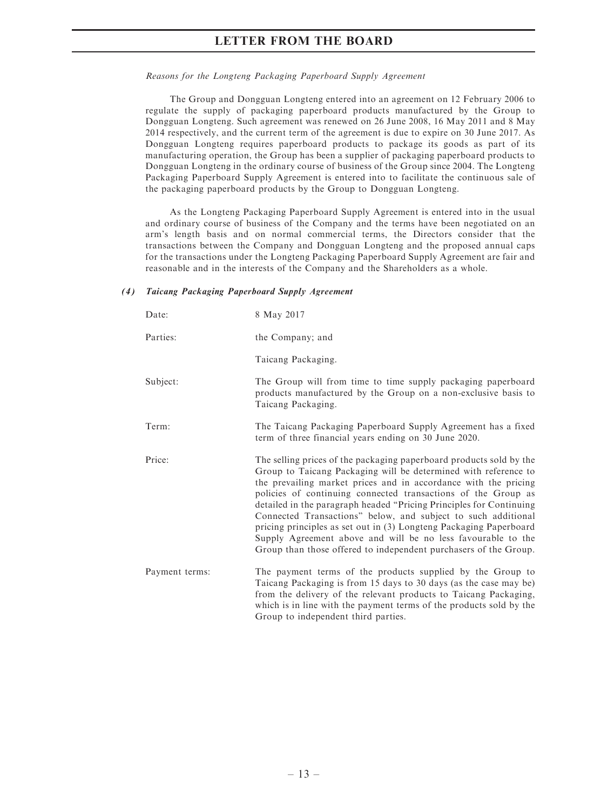#### Reasons for the Longteng Packaging Paperboard Supply Agreement

The Group and Dongguan Longteng entered into an agreement on 12 February 2006 to regulate the supply of packaging paperboard products manufactured by the Group to Dongguan Longteng. Such agreement was renewed on 26 June 2008, 16 May 2011 and 8 May 2014 respectively, and the current term of the agreement is due to expire on 30 June 2017. As Dongguan Longteng requires paperboard products to package its goods as part of its manufacturing operation, the Group has been a supplier of packaging paperboard products to Dongguan Longteng in the ordinary course of business of the Group since 2004. The Longteng Packaging Paperboard Supply Agreement is entered into to facilitate the continuous sale of the packaging paperboard products by the Group to Dongguan Longteng.

As the Longteng Packaging Paperboard Supply Agreement is entered into in the usual and ordinary course of business of the Company and the terms have been negotiated on an arm's length basis and on normal commercial terms, the Directors consider that the transactions between the Company and Dongguan Longteng and the proposed annual caps for the transactions under the Longteng Packaging Paperboard Supply Agreement are fair and reasonable and in the interests of the Company and the Shareholders as a whole.

### (4) Taicang Packaging Paperboard Supply Agreement

| Date:          | 8 May 2017                                                                                                                                                                                                                                                                                                                                                                                                                                                                                                                                                                                                                   |
|----------------|------------------------------------------------------------------------------------------------------------------------------------------------------------------------------------------------------------------------------------------------------------------------------------------------------------------------------------------------------------------------------------------------------------------------------------------------------------------------------------------------------------------------------------------------------------------------------------------------------------------------------|
| Parties:       | the Company; and                                                                                                                                                                                                                                                                                                                                                                                                                                                                                                                                                                                                             |
|                | Taicang Packaging.                                                                                                                                                                                                                                                                                                                                                                                                                                                                                                                                                                                                           |
| Subject:       | The Group will from time to time supply packaging paperboard<br>products manufactured by the Group on a non-exclusive basis to<br>Taicang Packaging.                                                                                                                                                                                                                                                                                                                                                                                                                                                                         |
| Term:          | The Taicang Packaging Paperboard Supply Agreement has a fixed<br>term of three financial years ending on 30 June 2020.                                                                                                                                                                                                                                                                                                                                                                                                                                                                                                       |
| Price:         | The selling prices of the packaging paperboard products sold by the<br>Group to Taicang Packaging will be determined with reference to<br>the prevailing market prices and in accordance with the pricing<br>policies of continuing connected transactions of the Group as<br>detailed in the paragraph headed "Pricing Principles for Continuing<br>Connected Transactions" below, and subject to such additional<br>pricing principles as set out in (3) Longteng Packaging Paperboard<br>Supply Agreement above and will be no less favourable to the<br>Group than those offered to independent purchasers of the Group. |
| Payment terms: | The payment terms of the products supplied by the Group to<br>Taicang Packaging is from 15 days to 30 days (as the case may be)<br>from the delivery of the relevant products to Taicang Packaging,<br>which is in line with the payment terms of the products sold by the<br>Group to independent third parties.                                                                                                                                                                                                                                                                                                            |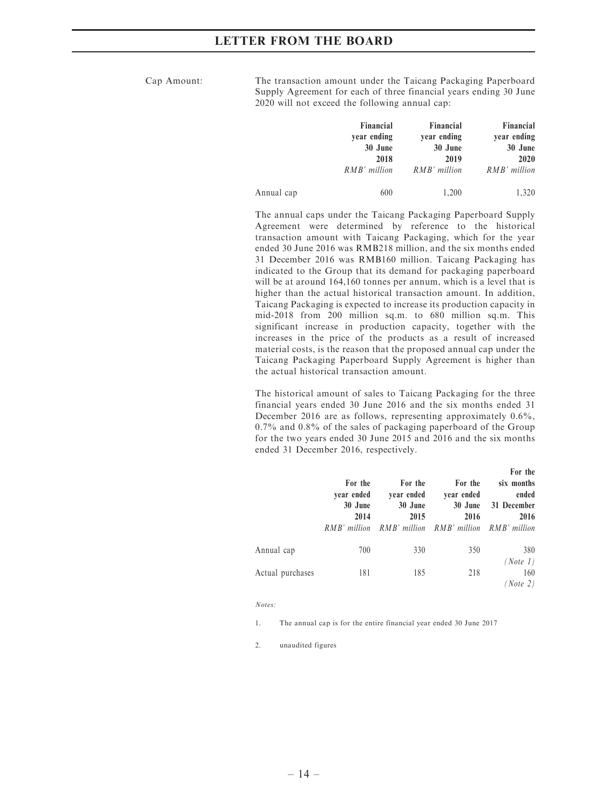Cap Amount: The transaction amount under the Taicang Packaging Paperboard Supply Agreement for each of three financial years ending 30 June 2020 will not exceed the following annual cap:

|            | Financial    | Financial    | Financial    |
|------------|--------------|--------------|--------------|
|            | year ending  | year ending  | year ending  |
|            | 30 June      | 30 June      | 30 June      |
|            | 2018         | 2019         | 2020         |
|            | RMB' million | RMB' million | RMB' million |
| Annual cap | 600          | 1,200        | 1,320        |

The annual caps under the Taicang Packaging Paperboard Supply Agreement were determined by reference to the historical transaction amount with Taicang Packaging, which for the year ended 30 June 2016 was RMB218 million, and the six months ended 31 December 2016 was RMB160 million. Taicang Packaging has indicated to the Group that its demand for packaging paperboard will be at around 164,160 tonnes per annum, which is a level that is higher than the actual historical transaction amount. In addition, Taicang Packaging is expected to increase its production capacity in mid-2018 from 200 million sq.m. to 680 million sq.m. This significant increase in production capacity, together with the increases in the price of the products as a result of increased material costs, is the reason that the proposed annual cap under the Taicang Packaging Paperboard Supply Agreement is higher than the actual historical transaction amount.

The historical amount of sales to Taicang Packaging for the three financial years ended 30 June 2016 and the six months ended 31 December 2016 are as follows, representing approximately  $0.6\%$ , 0.7% and 0.8% of the sales of packaging paperboard of the Group for the two years ended 30 June 2015 and 2016 and the six months ended 31 December 2016, respectively.

|                  | For the<br>year ended<br>30 June<br>2014<br>RMB' million | For the<br>year ended<br>30 June<br>2015<br>RMB' million RMB' million RMB' million | For the<br>year ended<br>30 June<br>2016 | For the<br>six months<br>ended<br>31 December<br>2016 |
|------------------|----------------------------------------------------------|------------------------------------------------------------------------------------|------------------------------------------|-------------------------------------------------------|
| Annual cap       | 700                                                      | 330                                                                                | 350                                      | 380                                                   |
| Actual purchases | 181                                                      | 185                                                                                | 218                                      | (Note 1)<br>160<br>(Note 2)                           |

#### Notes:

1. The annual cap is for the entire financial year ended 30 June 2017

2. unaudited figures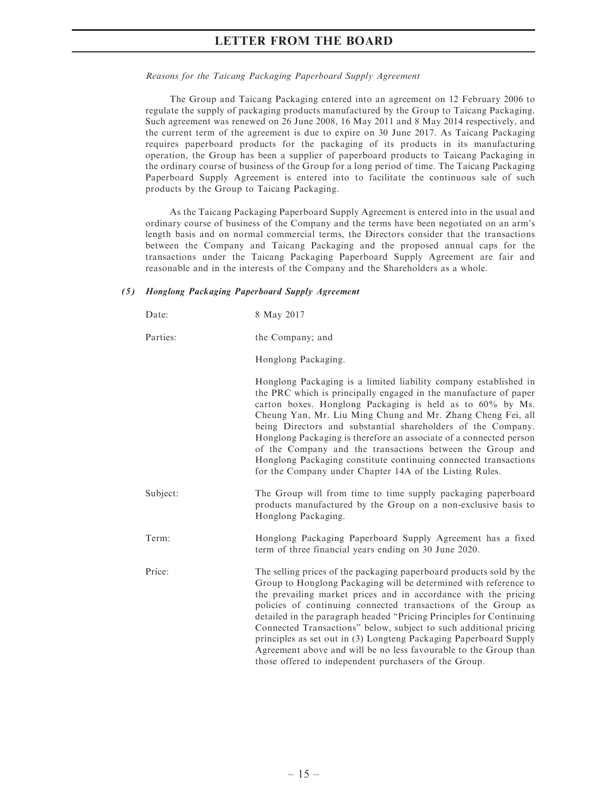#### Reasons for the Taicang Packaging Paperboard Supply Agreement

The Group and Taicang Packaging entered into an agreement on 12 February 2006 to regulate the supply of packaging products manufactured by the Group to Taicang Packaging. Such agreement was renewed on 26 June 2008, 16 May 2011 and 8 May 2014 respectively, and the current term of the agreement is due to expire on 30 June 2017. As Taicang Packaging requires paperboard products for the packaging of its products in its manufacturing operation, the Group has been a supplier of paperboard products to Taicang Packaging in the ordinary course of business of the Group for a long period of time. The Taicang Packaging Paperboard Supply Agreement is entered into to facilitate the continuous sale of such products by the Group to Taicang Packaging.

As the Taicang Packaging Paperboard Supply Agreement is entered into in the usual and ordinary course of business of the Company and the terms have been negotiated on an arm's length basis and on normal commercial terms, the Directors consider that the transactions between the Company and Taicang Packaging and the proposed annual caps for the transactions under the Taicang Packaging Paperboard Supply Agreement are fair and reasonable and in the interests of the Company and the Shareholders as a whole.

### (5) Honglong Packaging Paperboard Supply Agreement

| Date:    | 8 May 2017                                                                                                                                                                                                                                                                                                                                                                                                                                                                                                                                                                                                                 |
|----------|----------------------------------------------------------------------------------------------------------------------------------------------------------------------------------------------------------------------------------------------------------------------------------------------------------------------------------------------------------------------------------------------------------------------------------------------------------------------------------------------------------------------------------------------------------------------------------------------------------------------------|
| Parties: | the Company; and                                                                                                                                                                                                                                                                                                                                                                                                                                                                                                                                                                                                           |
|          | Honglong Packaging.                                                                                                                                                                                                                                                                                                                                                                                                                                                                                                                                                                                                        |
|          | Honglong Packaging is a limited liability company established in<br>the PRC which is principally engaged in the manufacture of paper<br>carton boxes. Honglong Packaging is held as to $60\%$ by Ms.<br>Cheung Yan, Mr. Liu Ming Chung and Mr. Zhang Cheng Fei, all<br>being Directors and substantial shareholders of the Company.<br>Honglong Packaging is therefore an associate of a connected person<br>of the Company and the transactions between the Group and<br>Honglong Packaging constitute continuing connected transactions<br>for the Company under Chapter 14A of the Listing Rules.                       |
| Subject: | The Group will from time to time supply packaging paperboard<br>products manufactured by the Group on a non-exclusive basis to<br>Honglong Packaging.                                                                                                                                                                                                                                                                                                                                                                                                                                                                      |
| Term:    | Honglong Packaging Paperboard Supply Agreement has a fixed<br>term of three financial years ending on 30 June 2020.                                                                                                                                                                                                                                                                                                                                                                                                                                                                                                        |
| Price:   | The selling prices of the packaging paperboard products sold by the<br>Group to Honglong Packaging will be determined with reference to<br>the prevailing market prices and in accordance with the pricing<br>policies of continuing connected transactions of the Group as<br>detailed in the paragraph headed "Pricing Principles for Continuing"<br>Connected Transactions" below, subject to such additional pricing<br>principles as set out in (3) Longteng Packaging Paperboard Supply<br>Agreement above and will be no less favourable to the Group than<br>those offered to independent purchasers of the Group. |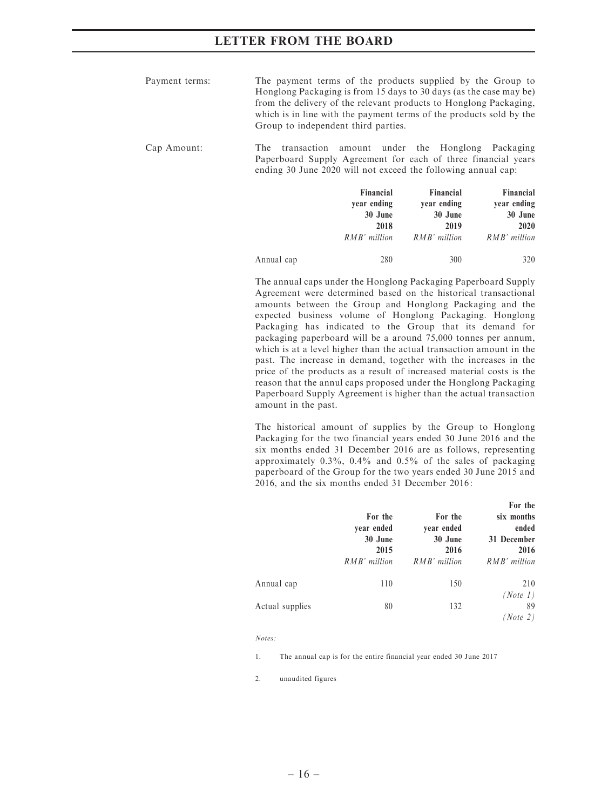| Payment terms: | The payment terms of the products supplied by the Group to          |
|----------------|---------------------------------------------------------------------|
|                | Honglong Packaging is from 15 days to 30 days (as the case may be)  |
|                | from the delivery of the relevant products to Honglong Packaging,   |
|                | which is in line with the payment terms of the products sold by the |
|                | Group to independent third parties.                                 |

### Cap Amount: The transaction amount under the Honglong Packaging Paperboard Supply Agreement for each of three financial years ending 30 June 2020 will not exceed the following annual cap:

|            | Financial<br>vear ending | Financial<br>vear ending | Financial<br>year ending |
|------------|--------------------------|--------------------------|--------------------------|
|            | 30 June                  | 30 June                  | 30 June                  |
|            | 2018                     | 2019                     | 2020                     |
|            | RMB' million             | RMB' million             | RMB' million             |
| Annual cap | 280                      | 300                      | 320                      |

The annual caps under the Honglong Packaging Paperboard Supply Agreement were determined based on the historical transactional amounts between the Group and Honglong Packaging and the expected business volume of Honglong Packaging. Honglong Packaging has indicated to the Group that its demand for packaging paperboard will be a around 75,000 tonnes per annum, which is at a level higher than the actual transaction amount in the past. The increase in demand, together with the increases in the price of the products as a result of increased material costs is the reason that the annul caps proposed under the Honglong Packaging Paperboard Supply Agreement is higher than the actual transaction amount in the past.

The historical amount of supplies by the Group to Honglong Packaging for the two financial years ended 30 June 2016 and the six months ended 31 December 2016 are as follows, representing approximately 0.3%, 0.4% and 0.5% of the sales of packaging paperboard of the Group for the two years ended 30 June 2015 and 2016, and the six months ended 31 December 2016:

|                 | For the<br>year ended<br>30 June<br>2015<br>$RMB'$ million | For the<br>year ended<br>30 June<br>2016<br>RMB' million | For the<br>six months<br>ended<br>31 December<br>2016<br>RMB' million |
|-----------------|------------------------------------------------------------|----------------------------------------------------------|-----------------------------------------------------------------------|
| Annual cap      | 110                                                        | 150                                                      | 210<br>(Note 1)                                                       |
| Actual supplies | 80                                                         | 132                                                      | 89<br>(Note 2)                                                        |

Notes:

1. The annual cap is for the entire financial year ended 30 June 2017

2. unaudited figures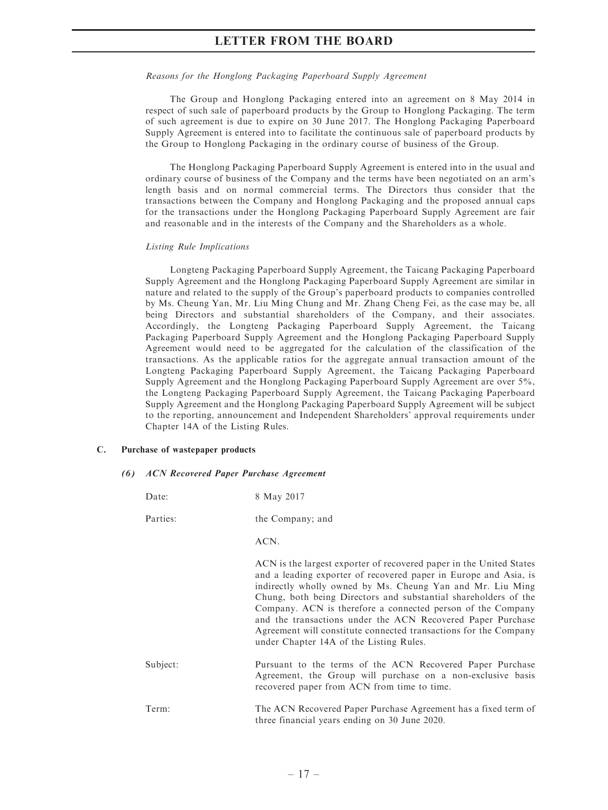### Reasons for the Honglong Packaging Paperboard Supply Agreement

The Group and Honglong Packaging entered into an agreement on 8 May 2014 in respect of such sale of paperboard products by the Group to Honglong Packaging. The term of such agreement is due to expire on 30 June 2017. The Honglong Packaging Paperboard Supply Agreement is entered into to facilitate the continuous sale of paperboard products by the Group to Honglong Packaging in the ordinary course of business of the Group.

The Honglong Packaging Paperboard Supply Agreement is entered into in the usual and ordinary course of business of the Company and the terms have been negotiated on an arm's length basis and on normal commercial terms. The Directors thus consider that the transactions between the Company and Honglong Packaging and the proposed annual caps for the transactions under the Honglong Packaging Paperboard Supply Agreement are fair and reasonable and in the interests of the Company and the Shareholders as a whole.

### Listing Rule Implications

Longteng Packaging Paperboard Supply Agreement, the Taicang Packaging Paperboard Supply Agreement and the Honglong Packaging Paperboard Supply Agreement are similar in nature and related to the supply of the Group's paperboard products to companies controlled by Ms. Cheung Yan, Mr. Liu Ming Chung and Mr. Zhang Cheng Fei, as the case may be, all being Directors and substantial shareholders of the Company, and their associates. Accordingly, the Longteng Packaging Paperboard Supply Agreement, the Taicang Packaging Paperboard Supply Agreement and the Honglong Packaging Paperboard Supply Agreement would need to be aggregated for the calculation of the classification of the transactions. As the applicable ratios for the aggregate annual transaction amount of the Longteng Packaging Paperboard Supply Agreement, the Taicang Packaging Paperboard Supply Agreement and the Honglong Packaging Paperboard Supply Agreement are over 5%, the Longteng Packaging Paperboard Supply Agreement, the Taicang Packaging Paperboard Supply Agreement and the Honglong Packaging Paperboard Supply Agreement will be subject to the reporting, announcement and Independent Shareholders' approval requirements under Chapter 14A of the Listing Rules.

### C. Purchase of wastepaper products

### (6) ACN Recovered Paper Purchase Agreement

| Date:    | 8 May 2017                                                                                                                                                                                                                                                                                                                                                                                                                                                                                                            |
|----------|-----------------------------------------------------------------------------------------------------------------------------------------------------------------------------------------------------------------------------------------------------------------------------------------------------------------------------------------------------------------------------------------------------------------------------------------------------------------------------------------------------------------------|
| Parties: | the Company; and                                                                                                                                                                                                                                                                                                                                                                                                                                                                                                      |
|          | ACN.                                                                                                                                                                                                                                                                                                                                                                                                                                                                                                                  |
|          | ACN is the largest exporter of recovered paper in the United States<br>and a leading exporter of recovered paper in Europe and Asia, is<br>indirectly wholly owned by Ms. Cheung Yan and Mr. Liu Ming<br>Chung, both being Directors and substantial shareholders of the<br>Company. ACN is therefore a connected person of the Company<br>and the transactions under the ACN Recovered Paper Purchase<br>Agreement will constitute connected transactions for the Company<br>under Chapter 14A of the Listing Rules. |
| Subject: | Pursuant to the terms of the ACN Recovered Paper Purchase<br>Agreement, the Group will purchase on a non-exclusive basis<br>recovered paper from ACN from time to time.                                                                                                                                                                                                                                                                                                                                               |
| Term:    | The ACN Recovered Paper Purchase Agreement has a fixed term of<br>three financial years ending on 30 June 2020.                                                                                                                                                                                                                                                                                                                                                                                                       |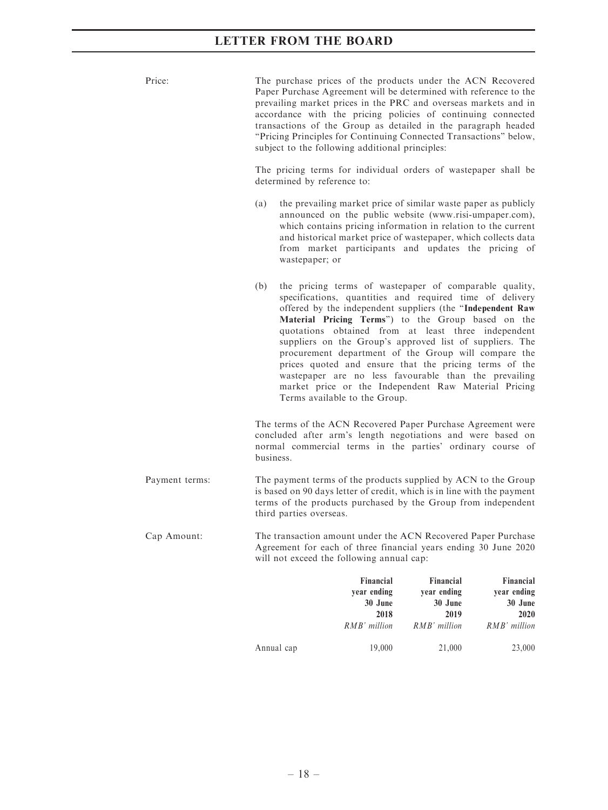| Price:         |           | The purchase prices of the products under the ACN Recovered<br>Paper Purchase Agreement will be determined with reference to the<br>prevailing market prices in the PRC and overseas markets and in<br>accordance with the pricing policies of continuing connected<br>transactions of the Group as detailed in the paragraph headed<br>"Pricing Principles for Continuing Connected Transactions" below,<br>subject to the following additional principles:                                                                                                                                                                  |                                     |                                     |
|----------------|-----------|-------------------------------------------------------------------------------------------------------------------------------------------------------------------------------------------------------------------------------------------------------------------------------------------------------------------------------------------------------------------------------------------------------------------------------------------------------------------------------------------------------------------------------------------------------------------------------------------------------------------------------|-------------------------------------|-------------------------------------|
|                |           | The pricing terms for individual orders of wastepaper shall be<br>determined by reference to:                                                                                                                                                                                                                                                                                                                                                                                                                                                                                                                                 |                                     |                                     |
|                | (a)       | the prevailing market price of similar waste paper as publicly<br>announced on the public website (www.risi-umpaper.com),<br>which contains pricing information in relation to the current<br>and historical market price of wastepaper, which collects data<br>from market participants and updates the pricing of<br>wastepaper; or                                                                                                                                                                                                                                                                                         |                                     |                                     |
|                | (b)       | the pricing terms of wastepaper of comparable quality,<br>specifications, quantities and required time of delivery<br>offered by the independent suppliers (the "Independent Raw<br>Material Pricing Terms") to the Group based on the<br>quotations obtained from at least three independent<br>suppliers on the Group's approved list of suppliers. The<br>procurement department of the Group will compare the<br>prices quoted and ensure that the pricing terms of the<br>wastepaper are no less favourable than the prevailing<br>market price or the Independent Raw Material Pricing<br>Terms available to the Group. |                                     |                                     |
|                | business. | The terms of the ACN Recovered Paper Purchase Agreement were<br>concluded after arm's length negotiations and were based on<br>normal commercial terms in the parties' ordinary course of                                                                                                                                                                                                                                                                                                                                                                                                                                     |                                     |                                     |
| Payment terms: |           | The payment terms of the products supplied by ACN to the Group<br>is based on 90 days letter of credit, which is in line with the payment<br>terms of the products purchased by the Group from independent<br>third parties overseas.                                                                                                                                                                                                                                                                                                                                                                                         |                                     |                                     |
| Cap Amount:    |           | The transaction amount under the ACN Recovered Paper Purchase<br>Agreement for each of three financial years ending 30 June 2020<br>will not exceed the following annual cap:                                                                                                                                                                                                                                                                                                                                                                                                                                                 |                                     |                                     |
|                |           | Financial<br>year ending<br>30 June                                                                                                                                                                                                                                                                                                                                                                                                                                                                                                                                                                                           | Financial<br>year ending<br>30 June | Financial<br>year ending<br>30 June |

Annual cap 19,000 21,000 23,000

 $\begin{array}{c} \textbf{2018} \\ \textbf{RMB'} \textit{million} \end{array}$ 

2019

 $RMB'$  million

 $\begin{array}{c} \textbf{2020} \\ \textbf{RMB'} \ million \end{array}$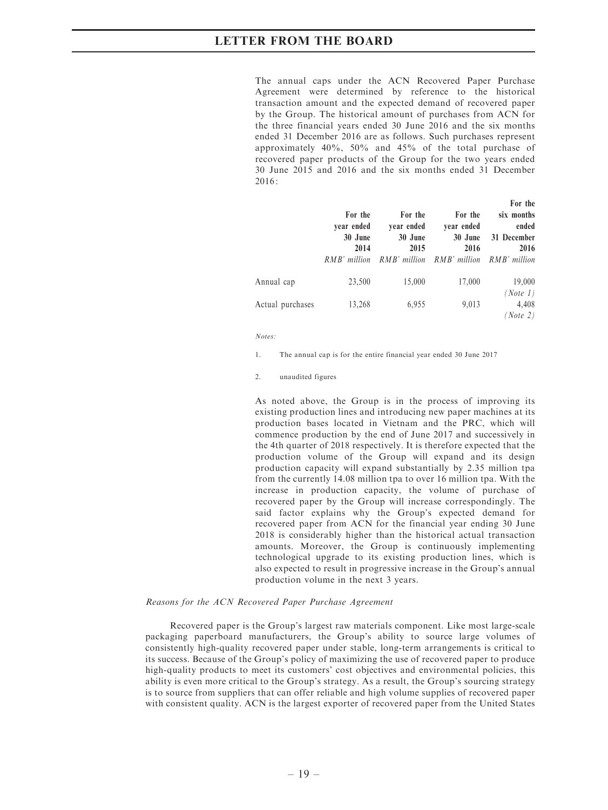The annual caps under the ACN Recovered Paper Purchase Agreement were determined by reference to the historical transaction amount and the expected demand of recovered paper by the Group. The historical amount of purchases from ACN for the three financial years ended 30 June 2016 and the six months ended 31 December 2016 are as follows. Such purchases represent approximately 40%, 50% and 45% of the total purchase of recovered paper products of the Group for the two years ended 30 June 2015 and 2016 and the six months ended 31 December  $2016.$ 

For the

|                  | For the<br>vear ended<br>30 June | For the<br>vear ended<br>30 June | For the<br>vear ended<br>30 June | ror the<br>six months<br>ended<br>31 December |
|------------------|----------------------------------|----------------------------------|----------------------------------|-----------------------------------------------|
|                  | 2014<br>RMB' million             | 2015<br>RMB' million             | 2016<br>RMB' million             | 2016<br>$RMB'$ million                        |
| Annual cap       | 23,500                           | 15,000                           | 17,000                           | 19,000                                        |
| Actual purchases | 13,268                           | 6,955                            | 9,013                            | (Note 1)<br>4,408<br>(Note 2)                 |

Notes:

- 1. The annual cap is for the entire financial year ended 30 June 2017
- 2. unaudited figures

As noted above, the Group is in the process of improving its existing production lines and introducing new paper machines at its production bases located in Vietnam and the PRC, which will commence production by the end of June 2017 and successively in the 4th quarter of 2018 respectively. It is therefore expected that the production volume of the Group will expand and its design production capacity will expand substantially by 2.35 million tpa from the currently 14.08 million tpa to over 16 million tpa. With the increase in production capacity, the volume of purchase of recovered paper by the Group will increase correspondingly. The said factor explains why the Group's expected demand for recovered paper from ACN for the financial year ending 30 June 2018 is considerably higher than the historical actual transaction amounts. Moreover, the Group is continuously implementing technological upgrade to its existing production lines, which is also expected to result in progressive increase in the Group's annual production volume in the next 3 years.

#### Reasons for the ACN Recovered Paper Purchase Agreement

Recovered paper is the Group's largest raw materials component. Like most large-scale packaging paperboard manufacturers, the Group's ability to source large volumes of consistently high-quality recovered paper under stable, long-term arrangements is critical to its success. Because of the Group's policy of maximizing the use of recovered paper to produce high-quality products to meet its customers' cost objectives and environmental policies, this ability is even more critical to the Group's strategy. As a result, the Group's sourcing strategy is to source from suppliers that can offer reliable and high volume supplies of recovered paper with consistent quality. ACN is the largest exporter of recovered paper from the United States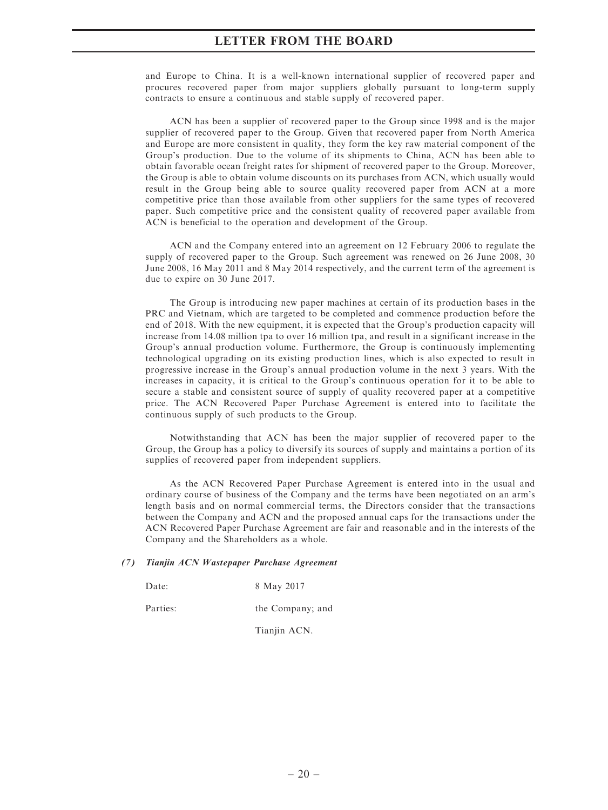and Europe to China. It is a well-known international supplier of recovered paper and procures recovered paper from major suppliers globally pursuant to long-term supply contracts to ensure a continuous and stable supply of recovered paper.

ACN has been a supplier of recovered paper to the Group since 1998 and is the major supplier of recovered paper to the Group. Given that recovered paper from North America and Europe are more consistent in quality, they form the key raw material component of the Group's production. Due to the volume of its shipments to China, ACN has been able to obtain favorable ocean freight rates for shipment of recovered paper to the Group. Moreover, the Group is able to obtain volume discounts on its purchases from ACN, which usually would result in the Group being able to source quality recovered paper from ACN at a more competitive price than those available from other suppliers for the same types of recovered paper. Such competitive price and the consistent quality of recovered paper available from ACN is beneficial to the operation and development of the Group.

ACN and the Company entered into an agreement on 12 February 2006 to regulate the supply of recovered paper to the Group. Such agreement was renewed on 26 June 2008, 30 June 2008, 16 May 2011 and 8 May 2014 respectively, and the current term of the agreement is due to expire on 30 June 2017.

The Group is introducing new paper machines at certain of its production bases in the PRC and Vietnam, which are targeted to be completed and commence production before the end of 2018. With the new equipment, it is expected that the Group's production capacity will increase from 14.08 million tpa to over 16 million tpa, and result in a significant increase in the Group's annual production volume. Furthermore, the Group is continuously implementing technological upgrading on its existing production lines, which is also expected to result in progressive increase in the Group's annual production volume in the next 3 years. With the increases in capacity, it is critical to the Group's continuous operation for it to be able to secure a stable and consistent source of supply of quality recovered paper at a competitive price. The ACN Recovered Paper Purchase Agreement is entered into to facilitate the continuous supply of such products to the Group.

Notwithstanding that ACN has been the major supplier of recovered paper to the Group, the Group has a policy to diversify its sources of supply and maintains a portion of its supplies of recovered paper from independent suppliers.

As the ACN Recovered Paper Purchase Agreement is entered into in the usual and ordinary course of business of the Company and the terms have been negotiated on an arm's length basis and on normal commercial terms, the Directors consider that the transactions between the Company and ACN and the proposed annual caps for the transactions under the ACN Recovered Paper Purchase Agreement are fair and reasonable and in the interests of the Company and the Shareholders as a whole.

#### (7) Tianjin ACN Wastepaper Purchase Agreement

Date: 8 May 2017

Parties: the Company; and

Tianjin ACN.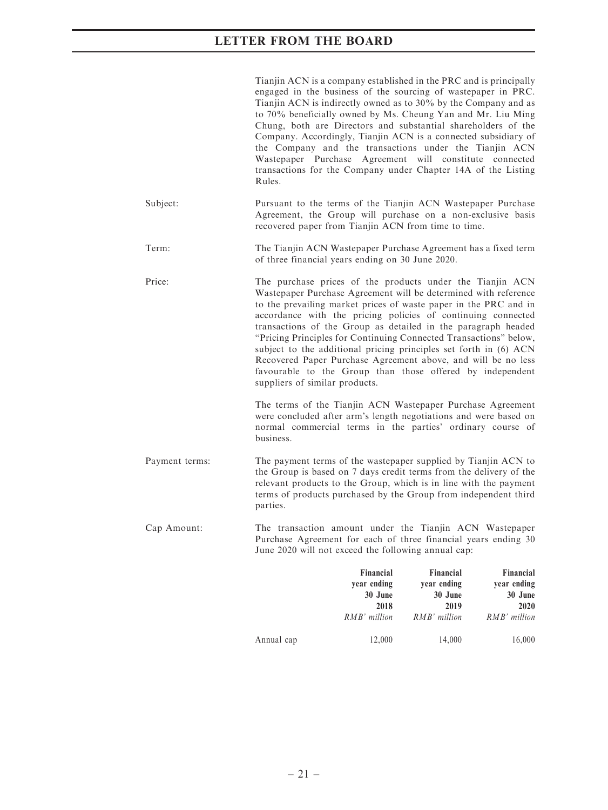|                | Financial<br>year ending<br>30 June<br>2018<br>RMB' million                                                                                                                                                                                                                                                                                                                                                                                                                                                                                                                                                                                 | Financial<br>Financial<br>year ending<br>year ending<br>30 June<br>30 June<br>2019<br>2020<br>RMB' million<br>$RMB'$ million |
|----------------|---------------------------------------------------------------------------------------------------------------------------------------------------------------------------------------------------------------------------------------------------------------------------------------------------------------------------------------------------------------------------------------------------------------------------------------------------------------------------------------------------------------------------------------------------------------------------------------------------------------------------------------------|------------------------------------------------------------------------------------------------------------------------------|
| Cap Amount:    | The transaction amount under the Tianjin ACN Wastepaper<br>Purchase Agreement for each of three financial years ending 30<br>June 2020 will not exceed the following annual cap:                                                                                                                                                                                                                                                                                                                                                                                                                                                            |                                                                                                                              |
| Payment terms: | The payment terms of the wastepaper supplied by Tianjin ACN to<br>the Group is based on 7 days credit terms from the delivery of the<br>relevant products to the Group, which is in line with the payment<br>terms of products purchased by the Group from independent third<br>parties.                                                                                                                                                                                                                                                                                                                                                    |                                                                                                                              |
|                | The terms of the Tianjin ACN Wastepaper Purchase Agreement<br>were concluded after arm's length negotiations and were based on<br>normal commercial terms in the parties' ordinary course of<br>business.                                                                                                                                                                                                                                                                                                                                                                                                                                   |                                                                                                                              |
| Price:         | The purchase prices of the products under the Tianjin ACN<br>Wastepaper Purchase Agreement will be determined with reference<br>to the prevailing market prices of waste paper in the PRC and in<br>accordance with the pricing policies of continuing connected<br>transactions of the Group as detailed in the paragraph headed<br>"Pricing Principles for Continuing Connected Transactions" below,<br>subject to the additional pricing principles set forth in (6) ACN<br>Recovered Paper Purchase Agreement above, and will be no less<br>favourable to the Group than those offered by independent<br>suppliers of similar products. |                                                                                                                              |
| Term:          | The Tianjin ACN Wastepaper Purchase Agreement has a fixed term<br>of three financial years ending on 30 June 2020.                                                                                                                                                                                                                                                                                                                                                                                                                                                                                                                          |                                                                                                                              |
| Subject:       | Pursuant to the terms of the Tianjin ACN Wastepaper Purchase<br>Agreement, the Group will purchase on a non-exclusive basis<br>recovered paper from Tianjin ACN from time to time.                                                                                                                                                                                                                                                                                                                                                                                                                                                          |                                                                                                                              |
|                | Tianjin ACN is a company established in the PRC and is principally<br>engaged in the business of the sourcing of wastepaper in PRC.<br>Tianjin ACN is indirectly owned as to 30% by the Company and as<br>to 70% beneficially owned by Ms. Cheung Yan and Mr. Liu Ming<br>Chung, both are Directors and substantial shareholders of the<br>Company. Accordingly, Tianjin ACN is a connected subsidiary of<br>the Company and the transactions under the Tianjin ACN<br>Wastepaper Purchase Agreement will constitute connected<br>transactions for the Company under Chapter 14A of the Listing<br>Rules.                                   |                                                                                                                              |

Annual cap 12,000 14,000 16,000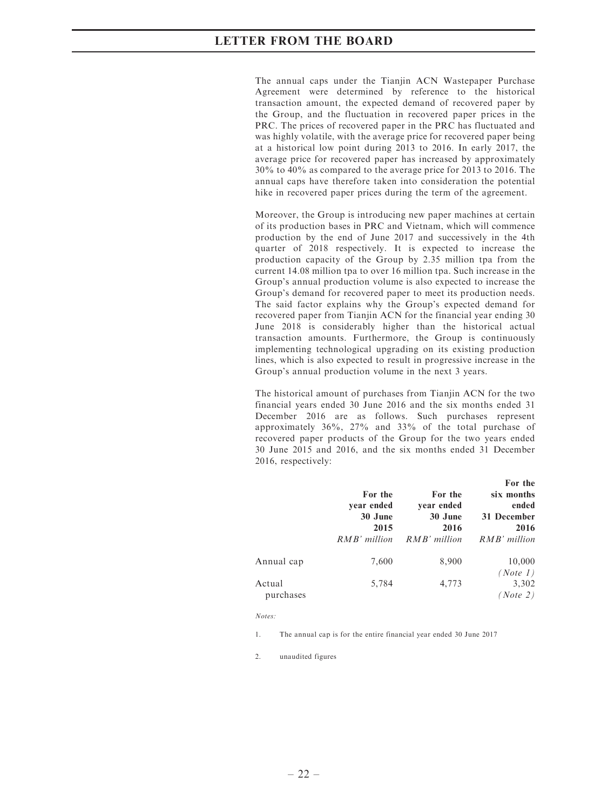The annual caps under the Tianjin ACN Wastepaper Purchase Agreement were determined by reference to the historical transaction amount, the expected demand of recovered paper by the Group, and the fluctuation in recovered paper prices in the PRC. The prices of recovered paper in the PRC has fluctuated and was highly volatile, with the average price for recovered paper being at a historical low point during 2013 to 2016. In early 2017, the average price for recovered paper has increased by approximately 30% to 40% as compared to the average price for 2013 to 2016. The annual caps have therefore taken into consideration the potential hike in recovered paper prices during the term of the agreement.

Moreover, the Group is introducing new paper machines at certain of its production bases in PRC and Vietnam, which will commence production by the end of June 2017 and successively in the 4th quarter of 2018 respectively. It is expected to increase the production capacity of the Group by 2.35 million tpa from the current 14.08 million tpa to over 16 million tpa. Such increase in the Group's annual production volume is also expected to increase the Group's demand for recovered paper to meet its production needs. The said factor explains why the Group's expected demand for recovered paper from Tianjin ACN for the financial year ending 30 June 2018 is considerably higher than the historical actual transaction amounts. Furthermore, the Group is continuously implementing technological upgrading on its existing production lines, which is also expected to result in progressive increase in the Group's annual production volume in the next 3 years.

The historical amount of purchases from Tianjin ACN for the two financial years ended 30 June 2016 and the six months ended 31 December 2016 are as follows. Such purchases represent approximately 36%, 27% and 33% of the total purchase of recovered paper products of the Group for the two years ended 30 June 2015 and 2016, and the six months ended 31 December 2016, respectively:

|                     | For the<br>year ended<br>30 June<br>2015<br>RMB' million | For the<br>year ended<br>30 June<br>2016<br>RMB' million | For the<br>six months<br>ended<br>31 December<br>2016<br>RMB' million |
|---------------------|----------------------------------------------------------|----------------------------------------------------------|-----------------------------------------------------------------------|
| Annual cap          | 7,600                                                    | 8,900                                                    | 10,000<br>(Note 1)                                                    |
| Actual<br>purchases | 5,784                                                    | 4,773                                                    | 3,302<br>(Note 2)                                                     |

Notes:

1. The annual cap is for the entire financial year ended 30 June 2017

2. unaudited figures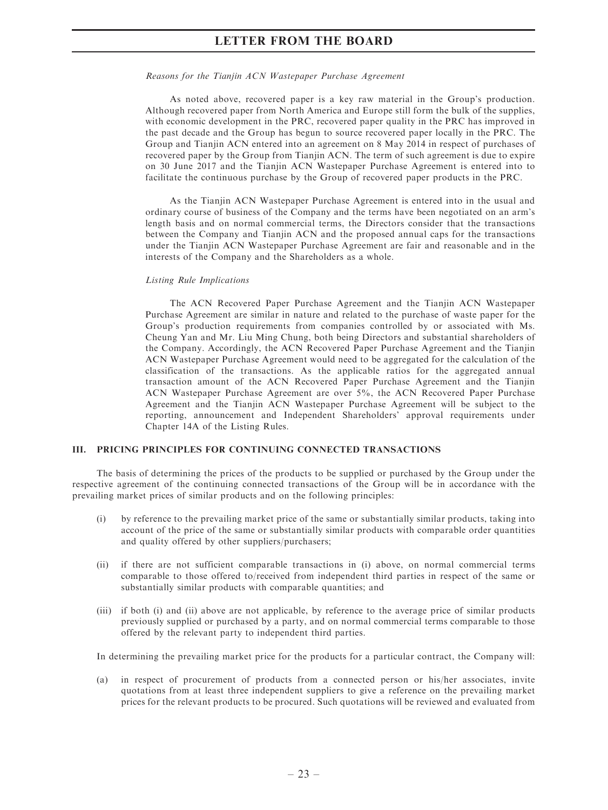#### Reasons for the Tianjin ACN Wastepaper Purchase Agreement

As noted above, recovered paper is a key raw material in the Group's production. Although recovered paper from North America and Europe still form the bulk of the supplies, with economic development in the PRC, recovered paper quality in the PRC has improved in the past decade and the Group has begun to source recovered paper locally in the PRC. The Group and Tianjin ACN entered into an agreement on 8 May 2014 in respect of purchases of recovered paper by the Group from Tianjin ACN. The term of such agreement is due to expire on 30 June 2017 and the Tianjin ACN Wastepaper Purchase Agreement is entered into to facilitate the continuous purchase by the Group of recovered paper products in the PRC.

As the Tianjin ACN Wastepaper Purchase Agreement is entered into in the usual and ordinary course of business of the Company and the terms have been negotiated on an arm's length basis and on normal commercial terms, the Directors consider that the transactions between the Company and Tianjin ACN and the proposed annual caps for the transactions under the Tianjin ACN Wastepaper Purchase Agreement are fair and reasonable and in the interests of the Company and the Shareholders as a whole.

### Listing Rule Implications

The ACN Recovered Paper Purchase Agreement and the Tianjin ACN Wastepaper Purchase Agreement are similar in nature and related to the purchase of waste paper for the Group's production requirements from companies controlled by or associated with Ms. Cheung Yan and Mr. Liu Ming Chung, both being Directors and substantial shareholders of the Company. Accordingly, the ACN Recovered Paper Purchase Agreement and the Tianjin ACN Wastepaper Purchase Agreement would need to be aggregated for the calculation of the classification of the transactions. As the applicable ratios for the aggregated annual transaction amount of the ACN Recovered Paper Purchase Agreement and the Tianjin ACN Wastepaper Purchase Agreement are over 5%, the ACN Recovered Paper Purchase Agreement and the Tianjin ACN Wastepaper Purchase Agreement will be subject to the reporting, announcement and Independent Shareholders' approval requirements under Chapter 14A of the Listing Rules.

### III. PRICING PRINCIPLES FOR CONTINUING CONNECTED TRANSACTIONS

The basis of determining the prices of the products to be supplied or purchased by the Group under the respective agreement of the continuing connected transactions of the Group will be in accordance with the prevailing market prices of similar products and on the following principles:

- (i) by reference to the prevailing market price of the same or substantially similar products, taking into account of the price of the same or substantially similar products with comparable order quantities and quality offered by other suppliers/purchasers;
- (ii) if there are not sufficient comparable transactions in (i) above, on normal commercial terms comparable to those offered to/received from independent third parties in respect of the same or substantially similar products with comparable quantities; and
- (iii) if both (i) and (ii) above are not applicable, by reference to the average price of similar products previously supplied or purchased by a party, and on normal commercial terms comparable to those offered by the relevant party to independent third parties.

In determining the prevailing market price for the products for a particular contract, the Company will:

(a) in respect of procurement of products from a connected person or his/her associates, invite quotations from at least three independent suppliers to give a reference on the prevailing market prices for the relevant products to be procured. Such quotations will be reviewed and evaluated from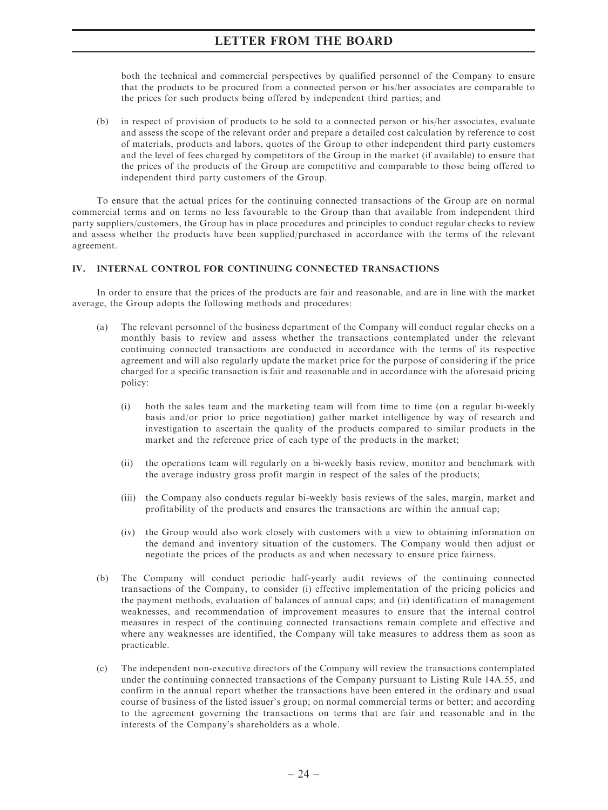both the technical and commercial perspectives by qualified personnel of the Company to ensure that the products to be procured from a connected person or his/her associates are comparable to the prices for such products being offered by independent third parties; and

(b) in respect of provision of products to be sold to a connected person or his/her associates, evaluate and assess the scope of the relevant order and prepare a detailed cost calculation by reference to cost of materials, products and labors, quotes of the Group to other independent third party customers and the level of fees charged by competitors of the Group in the market (if available) to ensure that the prices of the products of the Group are competitive and comparable to those being offered to independent third party customers of the Group.

To ensure that the actual prices for the continuing connected transactions of the Group are on normal commercial terms and on terms no less favourable to the Group than that available from independent third party suppliers/customers, the Group has in place procedures and principles to conduct regular checks to review and assess whether the products have been supplied/purchased in accordance with the terms of the relevant agreement.

### IV. INTERNAL CONTROL FOR CONTINUING CONNECTED TRANSACTIONS

In order to ensure that the prices of the products are fair and reasonable, and are in line with the market average, the Group adopts the following methods and procedures:

- (a) The relevant personnel of the business department of the Company will conduct regular checks on a monthly basis to review and assess whether the transactions contemplated under the relevant continuing connected transactions are conducted in accordance with the terms of its respective agreement and will also regularly update the market price for the purpose of considering if the price charged for a specific transaction is fair and reasonable and in accordance with the aforesaid pricing policy:
	- (i) both the sales team and the marketing team will from time to time (on a regular bi-weekly basis and/or prior to price negotiation) gather market intelligence by way of research and investigation to ascertain the quality of the products compared to similar products in the market and the reference price of each type of the products in the market;
	- (ii) the operations team will regularly on a bi-weekly basis review, monitor and benchmark with the average industry gross profit margin in respect of the sales of the products;
	- (iii) the Company also conducts regular bi-weekly basis reviews of the sales, margin, market and profitability of the products and ensures the transactions are within the annual cap;
	- (iv) the Group would also work closely with customers with a view to obtaining information on the demand and inventory situation of the customers. The Company would then adjust or negotiate the prices of the products as and when necessary to ensure price fairness.
- (b) The Company will conduct periodic half-yearly audit reviews of the continuing connected transactions of the Company, to consider (i) effective implementation of the pricing policies and the payment methods, evaluation of balances of annual caps; and (ii) identification of management weaknesses, and recommendation of improvement measures to ensure that the internal control measures in respect of the continuing connected transactions remain complete and effective and where any weaknesses are identified, the Company will take measures to address them as soon as practicable.
- (c) The independent non-executive directors of the Company will review the transactions contemplated under the continuing connected transactions of the Company pursuant to Listing Rule 14A.55, and confirm in the annual report whether the transactions have been entered in the ordinary and usual course of business of the listed issuer's group; on normal commercial terms or better; and according to the agreement governing the transactions on terms that are fair and reasonable and in the interests of the Company's shareholders as a whole.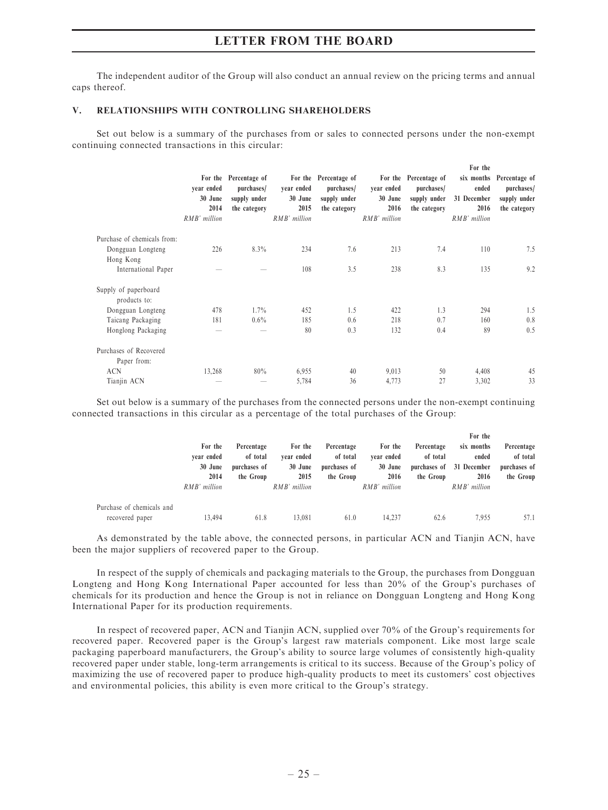The independent auditor of the Group will also conduct an annual review on the pricing terms and annual caps thereof.

### V. RELATIONSHIPS WITH CONTROLLING SHAREHOLDERS

Set out below is a summary of the purchases from or sales to connected persons under the non-exempt continuing connected transactions in this circular:

|                                      | year ended<br>30 June<br>2014<br>RMB' million | For the Percentage of<br>purchases/<br>supply under<br>the category | year ended<br>30 June<br>2015<br>RMB' million | For the Percentage of<br>purchases/<br>supply under<br>the category | year ended<br>30 June<br>2016<br>RMB' million | For the Percentage of<br>purchases/<br>supply under<br>the category | For the<br>ended<br>31 December<br>2016<br>RMB' million | six months Percentage of<br>purchases/<br>supply under<br>the category |
|--------------------------------------|-----------------------------------------------|---------------------------------------------------------------------|-----------------------------------------------|---------------------------------------------------------------------|-----------------------------------------------|---------------------------------------------------------------------|---------------------------------------------------------|------------------------------------------------------------------------|
| Purchase of chemicals from:          |                                               |                                                                     |                                               |                                                                     |                                               |                                                                     |                                                         |                                                                        |
| Dongguan Longteng<br>Hong Kong       | 226                                           | $8.3\%$                                                             | 234                                           | 7.6                                                                 | 213                                           | 7.4                                                                 | 110                                                     | 7.5                                                                    |
| International Paper                  |                                               |                                                                     | 108                                           | 3.5                                                                 | 238                                           | 8.3                                                                 | 135                                                     | 9.2                                                                    |
| Supply of paperboard<br>products to: |                                               |                                                                     |                                               |                                                                     |                                               |                                                                     |                                                         |                                                                        |
| Dongguan Longteng                    | 478                                           | $1.7\%$                                                             | 452                                           | 1.5                                                                 | 422                                           | 1.3                                                                 | 294                                                     | 1.5                                                                    |
| Taicang Packaging                    | 181                                           | $0.6\%$                                                             | 185                                           | 0.6                                                                 | 218                                           | 0.7                                                                 | 160                                                     | 0.8                                                                    |
| Honglong Packaging                   |                                               | -                                                                   | 80                                            | 0.3                                                                 | 132                                           | 0.4                                                                 | 89                                                      | 0.5                                                                    |
| Purchases of Recovered               |                                               |                                                                     |                                               |                                                                     |                                               |                                                                     |                                                         |                                                                        |
| Paper from:                          |                                               |                                                                     |                                               |                                                                     |                                               |                                                                     |                                                         |                                                                        |
| <b>ACN</b>                           | 13,268                                        | 80%                                                                 | 6,955                                         | 40                                                                  | 9,013                                         | 50                                                                  | 4,408                                                   | 45                                                                     |
| Tianjin ACN                          |                                               |                                                                     | 5,784                                         | 36                                                                  | 4,773                                         | 27                                                                  | 3,302                                                   | 33                                                                     |

Set out below is a summary of the purchases from the connected persons under the non-exempt continuing connected transactions in this circular as a percentage of the total purchases of the Group:

|                           |              |              |                                      |                   |              |            | For the                  |              |
|---------------------------|--------------|--------------|--------------------------------------|-------------------|--------------|------------|--------------------------|--------------|
|                           | For the      | Percentage   | For the                              | Percentage        | For the      | Percentage | six months               | Percentage   |
|                           | vear ended   | of total     | of total<br>vear ended<br>vear ended | of total<br>ended | of total     |            |                          |              |
|                           | 30 June      | purchases of | 30 June                              | purchases of      | 30 June      |            | purchases of 31 December | purchases of |
|                           | 2014         | the Group    | 2015                                 | the Group         | 2016         | the Group  | 2016                     | the Group    |
|                           | RMB' million |              | RMB' million                         |                   | RMB' million |            | RMB' million             |              |
| Purchase of chemicals and |              |              |                                      |                   |              |            |                          |              |
| recovered paper           | 13.494       | 61.8         | 13.081                               | 61.0              | 14.237       | 62.6       | 7.955                    | 57.1         |

As demonstrated by the table above, the connected persons, in particular ACN and Tianjin ACN, have been the major suppliers of recovered paper to the Group.

In respect of the supply of chemicals and packaging materials to the Group, the purchases from Dongguan Longteng and Hong Kong International Paper accounted for less than 20% of the Group's purchases of chemicals for its production and hence the Group is not in reliance on Dongguan Longteng and Hong Kong International Paper for its production requirements.

In respect of recovered paper, ACN and Tianjin ACN, supplied over 70% of the Group's requirements for recovered paper. Recovered paper is the Group's largest raw materials component. Like most large scale packaging paperboard manufacturers, the Group's ability to source large volumes of consistently high-quality recovered paper under stable, long-term arrangements is critical to its success. Because of the Group's policy of maximizing the use of recovered paper to produce high-quality products to meet its customers' cost objectives and environmental policies, this ability is even more critical to the Group's strategy.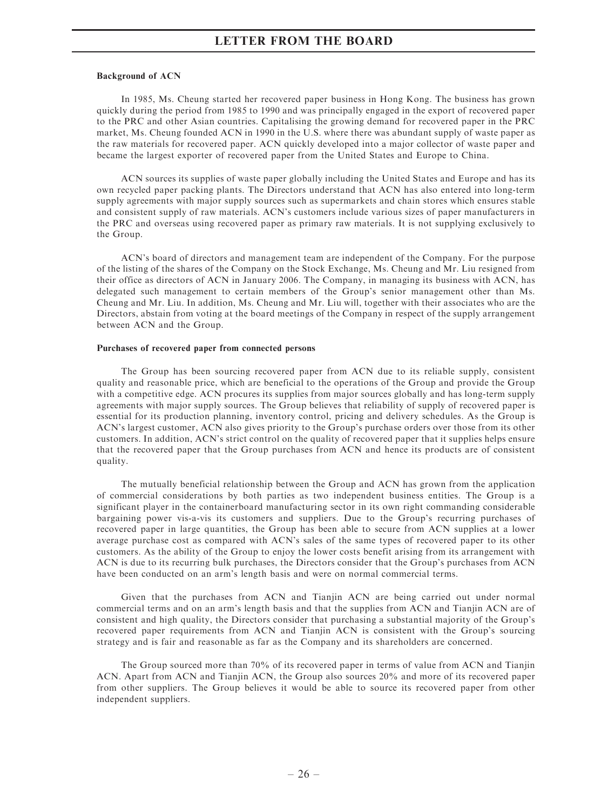### Background of ACN

In 1985, Ms. Cheung started her recovered paper business in Hong Kong. The business has grown quickly during the period from 1985 to 1990 and was principally engaged in the export of recovered paper to the PRC and other Asian countries. Capitalising the growing demand for recovered paper in the PRC market, Ms. Cheung founded ACN in 1990 in the U.S. where there was abundant supply of waste paper as the raw materials for recovered paper. ACN quickly developed into a major collector of waste paper and became the largest exporter of recovered paper from the United States and Europe to China.

ACN sources its supplies of waste paper globally including the United States and Europe and has its own recycled paper packing plants. The Directors understand that ACN has also entered into long-term supply agreements with major supply sources such as supermarkets and chain stores which ensures stable and consistent supply of raw materials. ACN's customers include various sizes of paper manufacturers in the PRC and overseas using recovered paper as primary raw materials. It is not supplying exclusively to the Group.

ACN's board of directors and management team are independent of the Company. For the purpose of the listing of the shares of the Company on the Stock Exchange, Ms. Cheung and Mr. Liu resigned from their office as directors of ACN in January 2006. The Company, in managing its business with ACN, has delegated such management to certain members of the Group's senior management other than Ms. Cheung and Mr. Liu. In addition, Ms. Cheung and Mr. Liu will, together with their associates who are the Directors, abstain from voting at the board meetings of the Company in respect of the supply arrangement between ACN and the Group.

#### Purchases of recovered paper from connected persons

The Group has been sourcing recovered paper from ACN due to its reliable supply, consistent quality and reasonable price, which are beneficial to the operations of the Group and provide the Group with a competitive edge. ACN procures its supplies from major sources globally and has long-term supply agreements with major supply sources. The Group believes that reliability of supply of recovered paper is essential for its production planning, inventory control, pricing and delivery schedules. As the Group is ACN's largest customer, ACN also gives priority to the Group's purchase orders over those from its other customers. In addition, ACN's strict control on the quality of recovered paper that it supplies helps ensure that the recovered paper that the Group purchases from ACN and hence its products are of consistent quality.

The mutually beneficial relationship between the Group and ACN has grown from the application of commercial considerations by both parties as two independent business entities. The Group is a significant player in the containerboard manufacturing sector in its own right commanding considerable bargaining power vis-a-vis its customers and suppliers. Due to the Group's recurring purchases of recovered paper in large quantities, the Group has been able to secure from ACN supplies at a lower average purchase cost as compared with ACN's sales of the same types of recovered paper to its other customers. As the ability of the Group to enjoy the lower costs benefit arising from its arrangement with ACN is due to its recurring bulk purchases, the Directors consider that the Group's purchases from ACN have been conducted on an arm's length basis and were on normal commercial terms.

Given that the purchases from ACN and Tianjin ACN are being carried out under normal commercial terms and on an arm's length basis and that the supplies from ACN and Tianjin ACN are of consistent and high quality, the Directors consider that purchasing a substantial majority of the Group's recovered paper requirements from ACN and Tianjin ACN is consistent with the Group's sourcing strategy and is fair and reasonable as far as the Company and its shareholders are concerned.

The Group sourced more than 70% of its recovered paper in terms of value from ACN and Tianjin ACN. Apart from ACN and Tianjin ACN, the Group also sources 20% and more of its recovered paper from other suppliers. The Group believes it would be able to source its recovered paper from other independent suppliers.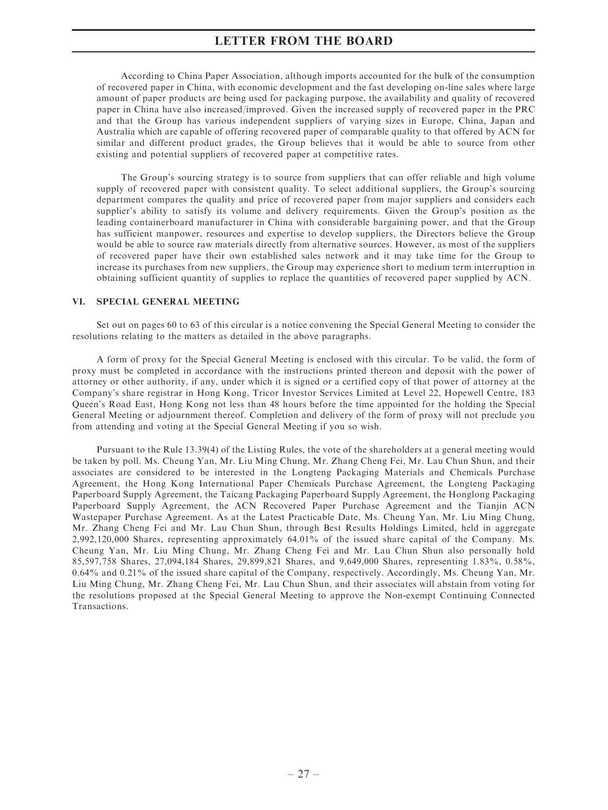According to China Paper Association, although imports accounted for the bulk of the consumption of recovered paper in China, with economic development and the fast developing on-line sales where large amount of paper products are being used for packaging purpose, the availability and quality of recovered paper in China have also increased/improved. Given the increased supply of recovered paper in the PRC and that the Group has various independent suppliers of varying sizes in Europe, China, Japan and Australia which are capable of offering recovered paper of comparable quality to that offered by ACN for similar and different product grades, the Group believes that it would be able to source from other existing and potential suppliers of recovered paper at competitive rates.

The Group's sourcing strategy is to source from suppliers that can offer reliable and high volume supply of recovered paper with consistent quality. To select additional suppliers, the Group's sourcing department compares the quality and price of recovered paper from major suppliers and considers each supplier's ability to satisfy its volume and delivery requirements. Given the Group's position as the leading containerboard manufacturer in China with considerable bargaining power, and that the Group has sufficient manpower, resources and expertise to develop suppliers, the Directors believe the Group would be able to source raw materials directly from alternative sources. However, as most of the suppliers of recovered paper have their own established sales network and it may take time for the Group to increase its purchases from new suppliers, the Group may experience short to medium term interruption in obtaining sufficient quantity of supplies to replace the quantities of recovered paper supplied by ACN.

### VI. SPECIAL GENERAL MEETING

Set out on pages 60 to 63 of this circular is a notice convening the Special General Meeting to consider the resolutions relating to the matters as detailed in the above paragraphs.

A form of proxy for the Special General Meeting is enclosed with this circular. To be valid, the form of proxy must be completed in accordance with the instructions printed thereon and deposit with the power of attorney or other authority, if any, under which it is signed or a certified copy of that power of attorney at the Company's share registrar in Hong Kong, Tricor Investor Services Limited at Level 22, Hopewell Centre, 183 Queen's Road East, Hong Kong not less than 48 hours before the time appointed for the holding the Special General Meeting or adjournment thereof. Completion and delivery of the form of proxy will not preclude you from attending and voting at the Special General Meeting if you so wish.

Pursuant to the Rule 13.39(4) of the Listing Rules, the vote of the shareholders at a general meeting would be taken by poll. Ms. Cheung Yan, Mr. Liu Ming Chung, Mr. Zhang Cheng Fei, Mr. Lau Chun Shun, and their associates are considered to be interested in the Longteng Packaging Materials and Chemicals Purchase Agreement, the Hong Kong International Paper Chemicals Purchase Agreement, the Longteng Packaging Paperboard Supply Agreement, the Taicang Packaging Paperboard Supply Agreement, the Honglong Packaging Paperboard Supply Agreement, the ACN Recovered Paper Purchase Agreement and the Tianjin ACN Wastepaper Purchase Agreement. As at the Latest Practicable Date, Ms. Cheung Yan, Mr. Liu Ming Chung, Mr. Zhang Cheng Fei and Mr. Lau Chun Shun, through Best Results Holdings Limited, held in aggregate 2,992,120,000 Shares, representing approximately 64.01% of the issued share capital of the Company. Ms. Cheung Yan, Mr. Liu Ming Chung, Mr. Zhang Cheng Fei and Mr. Lau Chun Shun also personally hold 85,597,758 Shares, 27,094,184 Shares, 29,899,821 Shares, and 9,649,000 Shares, representing 1.83%, 0.58%, 0.64% and 0.21% of the issued share capital of the Company, respectively. Accordingly, Ms. Cheung Yan, Mr. Liu Ming Chung, Mr. Zhang Cheng Fei, Mr. Lau Chun Shun, and their associates will abstain from voting for the resolutions proposed at the Special General Meeting to approve the Non-exempt Continuing Connected Transactions.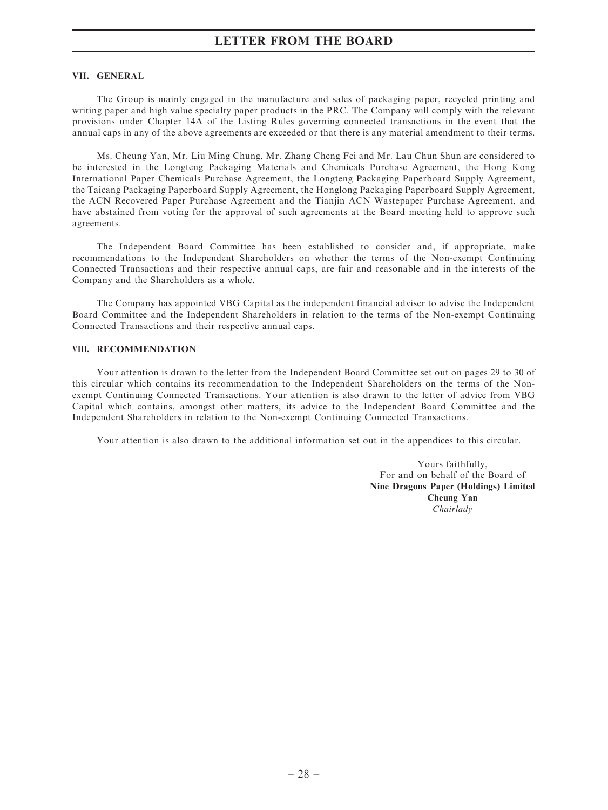#### VII. GENERAL

The Group is mainly engaged in the manufacture and sales of packaging paper, recycled printing and writing paper and high value specialty paper products in the PRC. The Company will comply with the relevant provisions under Chapter 14A of the Listing Rules governing connected transactions in the event that the annual caps in any of the above agreements are exceeded or that there is any material amendment to their terms.

Ms. Cheung Yan, Mr. Liu Ming Chung, Mr. Zhang Cheng Fei and Mr. Lau Chun Shun are considered to be interested in the Longteng Packaging Materials and Chemicals Purchase Agreement, the Hong Kong International Paper Chemicals Purchase Agreement, the Longteng Packaging Paperboard Supply Agreement, the Taicang Packaging Paperboard Supply Agreement, the Honglong Packaging Paperboard Supply Agreement, the ACN Recovered Paper Purchase Agreement and the Tianjin ACN Wastepaper Purchase Agreement, and have abstained from voting for the approval of such agreements at the Board meeting held to approve such agreements.

The Independent Board Committee has been established to consider and, if appropriate, make recommendations to the Independent Shareholders on whether the terms of the Non-exempt Continuing Connected Transactions and their respective annual caps, are fair and reasonable and in the interests of the Company and the Shareholders as a whole.

The Company has appointed VBG Capital as the independent financial adviser to advise the Independent Board Committee and the Independent Shareholders in relation to the terms of the Non-exempt Continuing Connected Transactions and their respective annual caps.

### VIII. RECOMMENDATION

Your attention is drawn to the letter from the Independent Board Committee set out on pages 29 to 30 of this circular which contains its recommendation to the Independent Shareholders on the terms of the Nonexempt Continuing Connected Transactions. Your attention is also drawn to the letter of advice from VBG Capital which contains, amongst other matters, its advice to the Independent Board Committee and the Independent Shareholders in relation to the Non-exempt Continuing Connected Transactions.

Your attention is also drawn to the additional information set out in the appendices to this circular.

Yours faithfully, For and on behalf of the Board of Nine Dragons Paper (Holdings) Limited Cheung Yan Chairlady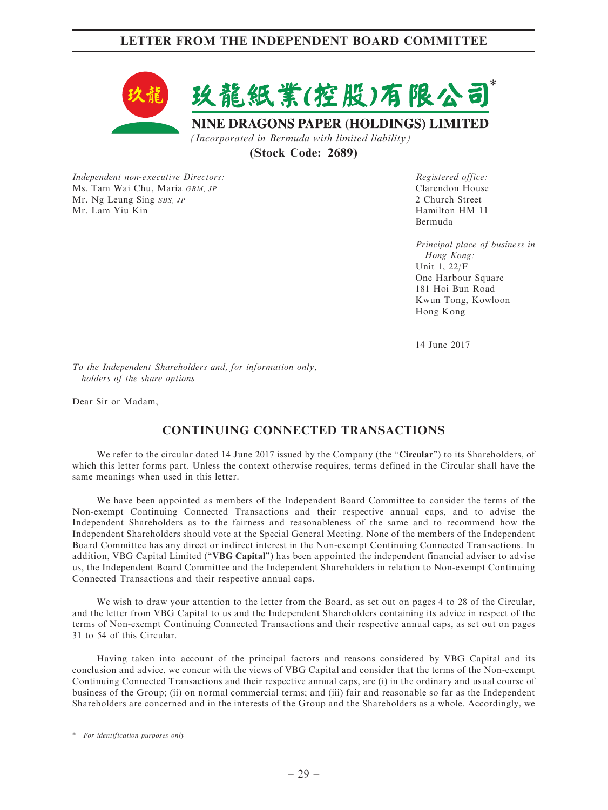# LETTER FROM THE INDEPENDENT BOARD COMMITTEE



(Stock Code: 2689)

Independent non-executive Directors: Ms. Tam Wai Chu, Maria GBM, JP Mr. Ng Leung Sing SBS, JP Mr. Lam Yiu Kin

Registered office: Clarendon House 2 Church Street Hamilton HM 11 Bermuda

Principal place of business in Hong Kong: Unit 1, 22/F One Harbour Square 181 Hoi Bun Road Kwun Tong, Kowloon Hong Kong

14 June 2017

To the Independent Shareholders and, for information only, holders of the share options

Dear Sir or Madam,

# CONTINUING CONNECTED TRANSACTIONS

We refer to the circular dated 14 June 2017 issued by the Company (the "Circular") to its Shareholders, of which this letter forms part. Unless the context otherwise requires, terms defined in the Circular shall have the same meanings when used in this letter.

We have been appointed as members of the Independent Board Committee to consider the terms of the Non-exempt Continuing Connected Transactions and their respective annual caps, and to advise the Independent Shareholders as to the fairness and reasonableness of the same and to recommend how the Independent Shareholders should vote at the Special General Meeting. None of the members of the Independent Board Committee has any direct or indirect interest in the Non-exempt Continuing Connected Transactions. In addition, VBG Capital Limited (''VBG Capital'') has been appointed the independent financial adviser to advise us, the Independent Board Committee and the Independent Shareholders in relation to Non-exempt Continuing Connected Transactions and their respective annual caps.

We wish to draw your attention to the letter from the Board, as set out on pages 4 to 28 of the Circular, and the letter from VBG Capital to us and the Independent Shareholders containing its advice in respect of the terms of Non-exempt Continuing Connected Transactions and their respective annual caps, as set out on pages 31 to 54 of this Circular.

Having taken into account of the principal factors and reasons considered by VBG Capital and its conclusion and advice, we concur with the views of VBG Capital and consider that the terms of the Non-exempt Continuing Connected Transactions and their respective annual caps, are (i) in the ordinary and usual course of business of the Group; (ii) on normal commercial terms; and (iii) fair and reasonable so far as the Independent Shareholders are concerned and in the interests of the Group and the Shareholders as a whole. Accordingly, we

<sup>\*</sup> For identification purposes only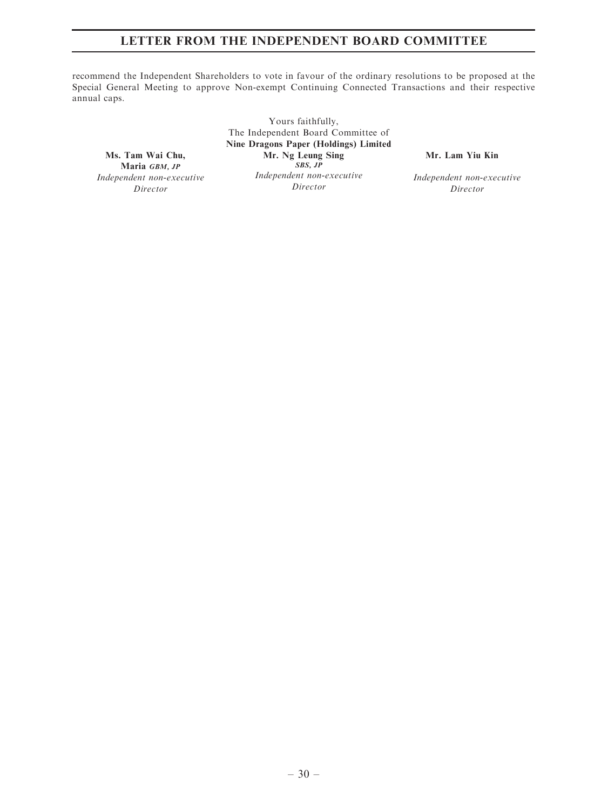# LETTER FROM THE INDEPENDENT BOARD COMMITTEE

recommend the Independent Shareholders to vote in favour of the ordinary resolutions to be proposed at the Special General Meeting to approve Non-exempt Continuing Connected Transactions and their respective annual caps.

Ms. Tam Wai Chu, Maria GBM, JP Independent non-executive Director

Yours faithfully, The Independent Board Committee of Nine Dragons Paper (Holdings) Limited Mr. Ng Leung Sing  $SS, JP$ Independent non-executive Director

Mr. Lam Yiu Kin

Independent non-executive Director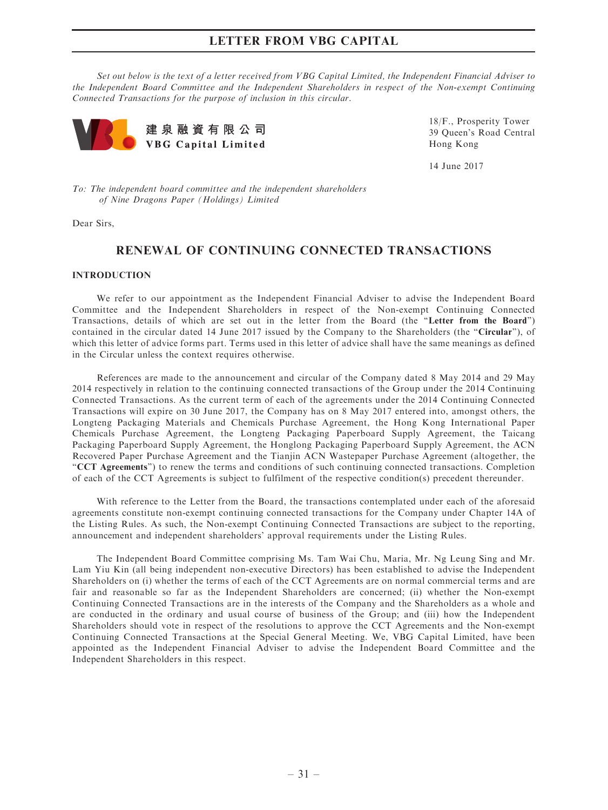Set out below is the text of a letter received from VBG Capital Limited, the Independent Financial Adviser to the Independent Board Committee and the Independent Shareholders in respect of the Non-exempt Continuing Connected Transactions for the purpose of inclusion in this circular.



18/F., Prosperity Tower 39 Queen's Road Central Hong Kong

14 June 2017

To: The independent board committee and the independent shareholders of Nine Dragons Paper (Holdings) Limited

Dear Sirs,

# RENEWAL OF CONTINUING CONNECTED TRANSACTIONS

### INTRODUCTION

We refer to our appointment as the Independent Financial Adviser to advise the Independent Board Committee and the Independent Shareholders in respect of the Non-exempt Continuing Connected Transactions, details of which are set out in the letter from the Board (the ''Letter from the Board'') contained in the circular dated 14 June 2017 issued by the Company to the Shareholders (the "Circular"), of which this letter of advice forms part. Terms used in this letter of advice shall have the same meanings as defined in the Circular unless the context requires otherwise.

References are made to the announcement and circular of the Company dated 8 May 2014 and 29 May 2014 respectively in relation to the continuing connected transactions of the Group under the 2014 Continuing Connected Transactions. As the current term of each of the agreements under the 2014 Continuing Connected Transactions will expire on 30 June 2017, the Company has on 8 May 2017 entered into, amongst others, the Longteng Packaging Materials and Chemicals Purchase Agreement, the Hong Kong International Paper Chemicals Purchase Agreement, the Longteng Packaging Paperboard Supply Agreement, the Taicang Packaging Paperboard Supply Agreement, the Honglong Packaging Paperboard Supply Agreement, the ACN Recovered Paper Purchase Agreement and the Tianjin ACN Wastepaper Purchase Agreement (altogether, the ''CCT Agreements'') to renew the terms and conditions of such continuing connected transactions. Completion of each of the CCT Agreements is subject to fulfilment of the respective condition(s) precedent thereunder.

With reference to the Letter from the Board, the transactions contemplated under each of the aforesaid agreements constitute non-exempt continuing connected transactions for the Company under Chapter 14A of the Listing Rules. As such, the Non-exempt Continuing Connected Transactions are subject to the reporting, announcement and independent shareholders' approval requirements under the Listing Rules.

The Independent Board Committee comprising Ms. Tam Wai Chu, Maria, Mr. Ng Leung Sing and Mr. Lam Yiu Kin (all being independent non-executive Directors) has been established to advise the Independent Shareholders on (i) whether the terms of each of the CCT Agreements are on normal commercial terms and are fair and reasonable so far as the Independent Shareholders are concerned; (ii) whether the Non-exempt Continuing Connected Transactions are in the interests of the Company and the Shareholders as a whole and are conducted in the ordinary and usual course of business of the Group; and (iii) how the Independent Shareholders should vote in respect of the resolutions to approve the CCT Agreements and the Non-exempt Continuing Connected Transactions at the Special General Meeting. We, VBG Capital Limited, have been appointed as the Independent Financial Adviser to advise the Independent Board Committee and the Independent Shareholders in this respect.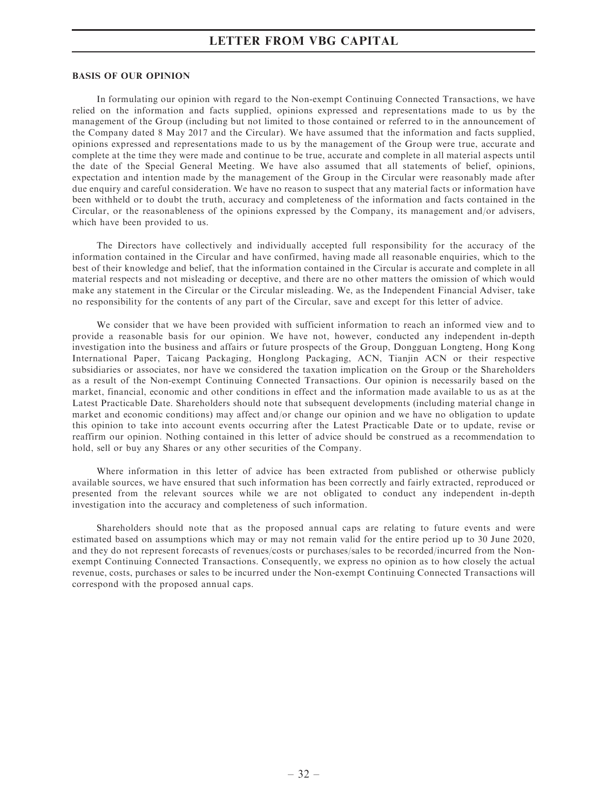#### BASIS OF OUR OPINION

In formulating our opinion with regard to the Non-exempt Continuing Connected Transactions, we have relied on the information and facts supplied, opinions expressed and representations made to us by the management of the Group (including but not limited to those contained or referred to in the announcement of the Company dated 8 May 2017 and the Circular). We have assumed that the information and facts supplied, opinions expressed and representations made to us by the management of the Group were true, accurate and complete at the time they were made and continue to be true, accurate and complete in all material aspects until the date of the Special General Meeting. We have also assumed that all statements of belief, opinions, expectation and intention made by the management of the Group in the Circular were reasonably made after due enquiry and careful consideration. We have no reason to suspect that any material facts or information have been withheld or to doubt the truth, accuracy and completeness of the information and facts contained in the Circular, or the reasonableness of the opinions expressed by the Company, its management and/or advisers, which have been provided to us.

The Directors have collectively and individually accepted full responsibility for the accuracy of the information contained in the Circular and have confirmed, having made all reasonable enquiries, which to the best of their knowledge and belief, that the information contained in the Circular is accurate and complete in all material respects and not misleading or deceptive, and there are no other matters the omission of which would make any statement in the Circular or the Circular misleading. We, as the Independent Financial Adviser, take no responsibility for the contents of any part of the Circular, save and except for this letter of advice.

We consider that we have been provided with sufficient information to reach an informed view and to provide a reasonable basis for our opinion. We have not, however, conducted any independent in-depth investigation into the business and affairs or future prospects of the Group, Dongguan Longteng, Hong Kong International Paper, Taicang Packaging, Honglong Packaging, ACN, Tianjin ACN or their respective subsidiaries or associates, nor have we considered the taxation implication on the Group or the Shareholders as a result of the Non-exempt Continuing Connected Transactions. Our opinion is necessarily based on the market, financial, economic and other conditions in effect and the information made available to us as at the Latest Practicable Date. Shareholders should note that subsequent developments (including material change in market and economic conditions) may affect and/or change our opinion and we have no obligation to update this opinion to take into account events occurring after the Latest Practicable Date or to update, revise or reaffirm our opinion. Nothing contained in this letter of advice should be construed as a recommendation to hold, sell or buy any Shares or any other securities of the Company.

Where information in this letter of advice has been extracted from published or otherwise publicly available sources, we have ensured that such information has been correctly and fairly extracted, reproduced or presented from the relevant sources while we are not obligated to conduct any independent in-depth investigation into the accuracy and completeness of such information.

Shareholders should note that as the proposed annual caps are relating to future events and were estimated based on assumptions which may or may not remain valid for the entire period up to 30 June 2020, and they do not represent forecasts of revenues/costs or purchases/sales to be recorded/incurred from the Nonexempt Continuing Connected Transactions. Consequently, we express no opinion as to how closely the actual revenue, costs, purchases or sales to be incurred under the Non-exempt Continuing Connected Transactions will correspond with the proposed annual caps.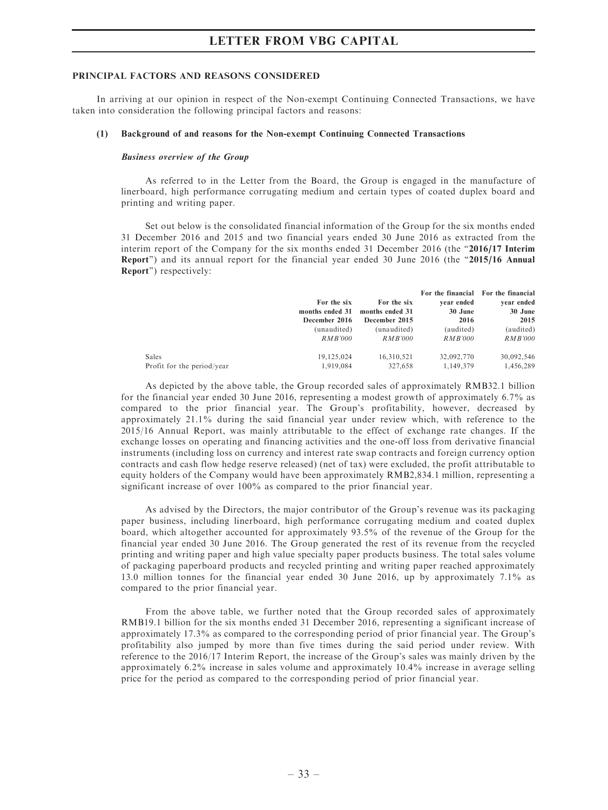#### PRINCIPAL FACTORS AND REASONS CONSIDERED

In arriving at our opinion in respect of the Non-exempt Continuing Connected Transactions, we have taken into consideration the following principal factors and reasons:

#### (1) Background of and reasons for the Non-exempt Continuing Connected Transactions

#### Business overview of the Group

As referred to in the Letter from the Board, the Group is engaged in the manufacture of linerboard, high performance corrugating medium and certain types of coated duplex board and printing and writing paper.

Set out below is the consolidated financial information of the Group for the six months ended 31 December 2016 and 2015 and two financial years ended 30 June 2016 as extracted from the interim report of the Company for the six months ended 31 December 2016 (the  $"2016/17$  Interim Report") and its annual report for the financial year ended 30 June 2016 (the "2015/16 Annual Report'') respectively:

|                            | For the six<br>months ended 31 | For the six<br>months ended 31 | vear ended<br>30 June | For the financial For the financial<br>vear ended<br>30 June |
|----------------------------|--------------------------------|--------------------------------|-----------------------|--------------------------------------------------------------|
|                            | December 2016                  | December 2015                  | 2016                  | 2015                                                         |
|                            | (unaudited)                    | (unaudited)                    | (audited)             | (audited)                                                    |
|                            | <i>RMB'000</i>                 | <i>RMB'000</i>                 | <i>RMB'000</i>        | <i>RMB'000</i>                                               |
| <b>Sales</b>               | 19.125.024                     | 16.310.521                     | 32,092,770            | 30,092,546                                                   |
| Profit for the period/year | 1,919,084                      | 327.658                        | 1,149,379             | 1,456,289                                                    |

As depicted by the above table, the Group recorded sales of approximately RMB32.1 billion for the financial year ended 30 June 2016, representing a modest growth of approximately 6.7% as compared to the prior financial year. The Group's profitability, however, decreased by approximately 21.1% during the said financial year under review which, with reference to the 2015/16 Annual Report, was mainly attributable to the effect of exchange rate changes. If the exchange losses on operating and financing activities and the one-off loss from derivative financial instruments (including loss on currency and interest rate swap contracts and foreign currency option contracts and cash flow hedge reserve released) (net of tax) were excluded, the profit attributable to equity holders of the Company would have been approximately RMB2,834.1 million, representing a significant increase of over 100% as compared to the prior financial year.

As advised by the Directors, the major contributor of the Group's revenue was its packaging paper business, including linerboard, high performance corrugating medium and coated duplex board, which altogether accounted for approximately 93.5% of the revenue of the Group for the financial year ended 30 June 2016. The Group generated the rest of its revenue from the recycled printing and writing paper and high value specialty paper products business. The total sales volume of packaging paperboard products and recycled printing and writing paper reached approximately 13.0 million tonnes for the financial year ended 30 June 2016, up by approximately 7.1% as compared to the prior financial year.

From the above table, we further noted that the Group recorded sales of approximately RMB19.1 billion for the six months ended 31 December 2016, representing a significant increase of approximately 17.3% as compared to the corresponding period of prior financial year. The Group's profitability also jumped by more than five times during the said period under review. With reference to the 2016/17 Interim Report, the increase of the Group's sales was mainly driven by the approximately 6.2% increase in sales volume and approximately 10.4% increase in average selling price for the period as compared to the corresponding period of prior financial year.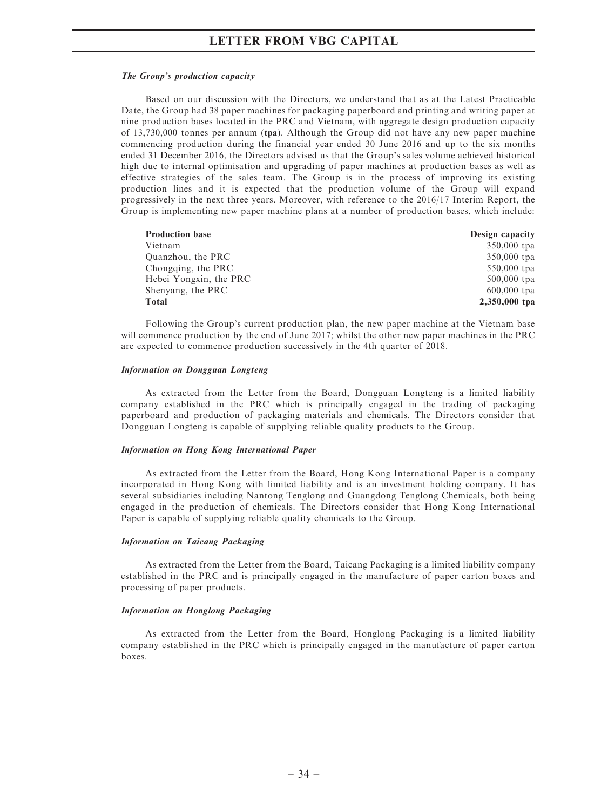#### The Group's production capacity

Based on our discussion with the Directors, we understand that as at the Latest Practicable Date, the Group had 38 paper machines for packaging paperboard and printing and writing paper at nine production bases located in the PRC and Vietnam, with aggregate design production capacity of 13,730,000 tonnes per annum (tpa). Although the Group did not have any new paper machine commencing production during the financial year ended 30 June 2016 and up to the six months ended 31 December 2016, the Directors advised us that the Group's sales volume achieved historical high due to internal optimisation and upgrading of paper machines at production bases as well as effective strategies of the sales team. The Group is in the process of improving its existing production lines and it is expected that the production volume of the Group will expand progressively in the next three years. Moreover, with reference to the 2016/17 Interim Report, the Group is implementing new paper machine plans at a number of production bases, which include:

| <b>Production base</b> | Design capacity |
|------------------------|-----------------|
| Vietnam                | 350,000 tpa     |
| Quanzhou, the PRC      | 350,000 tpa     |
| Chongqing, the PRC     | $550,000$ tpa   |
| Hebei Yongxin, the PRC | $500,000$ tpa   |
| Shenyang, the PRC      | $600,000$ tpa   |
| Total                  | 2,350,000 tpa   |

Following the Group's current production plan, the new paper machine at the Vietnam base will commence production by the end of June 2017; whilst the other new paper machines in the PRC are expected to commence production successively in the 4th quarter of 2018.

#### Information on Dongguan Longteng

As extracted from the Letter from the Board, Dongguan Longteng is a limited liability company established in the PRC which is principally engaged in the trading of packaging paperboard and production of packaging materials and chemicals. The Directors consider that Dongguan Longteng is capable of supplying reliable quality products to the Group.

#### Information on Hong Kong International Paper

As extracted from the Letter from the Board, Hong Kong International Paper is a company incorporated in Hong Kong with limited liability and is an investment holding company. It has several subsidiaries including Nantong Tenglong and Guangdong Tenglong Chemicals, both being engaged in the production of chemicals. The Directors consider that Hong Kong International Paper is capable of supplying reliable quality chemicals to the Group.

#### Information on Taicang Packaging

As extracted from the Letter from the Board, Taicang Packaging is a limited liability company established in the PRC and is principally engaged in the manufacture of paper carton boxes and processing of paper products.

#### Information on Honglong Packaging

As extracted from the Letter from the Board, Honglong Packaging is a limited liability company established in the PRC which is principally engaged in the manufacture of paper carton boxes.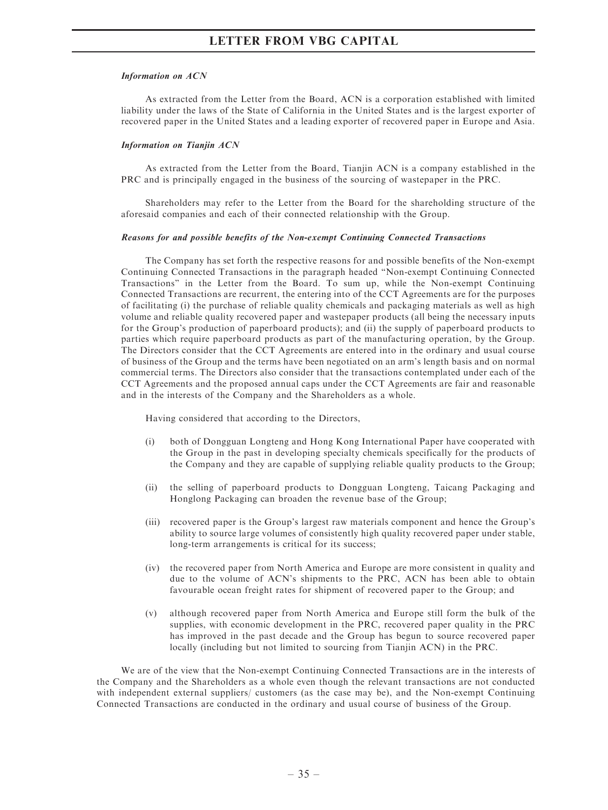#### Information on ACN

As extracted from the Letter from the Board, ACN is a corporation established with limited liability under the laws of the State of California in the United States and is the largest exporter of recovered paper in the United States and a leading exporter of recovered paper in Europe and Asia.

#### Information on Tianjin ACN

As extracted from the Letter from the Board, Tianjin ACN is a company established in the PRC and is principally engaged in the business of the sourcing of wastepaper in the PRC.

Shareholders may refer to the Letter from the Board for the shareholding structure of the aforesaid companies and each of their connected relationship with the Group.

#### Reasons for and possible benefits of the Non-exempt Continuing Connected Transactions

The Company has set forth the respective reasons for and possible benefits of the Non-exempt Continuing Connected Transactions in the paragraph headed ''Non-exempt Continuing Connected Transactions'' in the Letter from the Board. To sum up, while the Non-exempt Continuing Connected Transactions are recurrent, the entering into of the CCT Agreements are for the purposes of facilitating (i) the purchase of reliable quality chemicals and packaging materials as well as high volume and reliable quality recovered paper and wastepaper products (all being the necessary inputs for the Group's production of paperboard products); and (ii) the supply of paperboard products to parties which require paperboard products as part of the manufacturing operation, by the Group. The Directors consider that the CCT Agreements are entered into in the ordinary and usual course of business of the Group and the terms have been negotiated on an arm's length basis and on normal commercial terms. The Directors also consider that the transactions contemplated under each of the CCT Agreements and the proposed annual caps under the CCT Agreements are fair and reasonable and in the interests of the Company and the Shareholders as a whole.

Having considered that according to the Directors,

- (i) both of Dongguan Longteng and Hong Kong International Paper have cooperated with the Group in the past in developing specialty chemicals specifically for the products of the Company and they are capable of supplying reliable quality products to the Group;
- (ii) the selling of paperboard products to Dongguan Longteng, Taicang Packaging and Honglong Packaging can broaden the revenue base of the Group;
- (iii) recovered paper is the Group's largest raw materials component and hence the Group's ability to source large volumes of consistently high quality recovered paper under stable, long-term arrangements is critical for its success;
- (iv) the recovered paper from North America and Europe are more consistent in quality and due to the volume of ACN's shipments to the PRC, ACN has been able to obtain favourable ocean freight rates for shipment of recovered paper to the Group; and
- (v) although recovered paper from North America and Europe still form the bulk of the supplies, with economic development in the PRC, recovered paper quality in the PRC has improved in the past decade and the Group has begun to source recovered paper locally (including but not limited to sourcing from Tianjin ACN) in the PRC.

We are of the view that the Non-exempt Continuing Connected Transactions are in the interests of the Company and the Shareholders as a whole even though the relevant transactions are not conducted with independent external suppliers/ customers (as the case may be), and the Non-exempt Continuing Connected Transactions are conducted in the ordinary and usual course of business of the Group.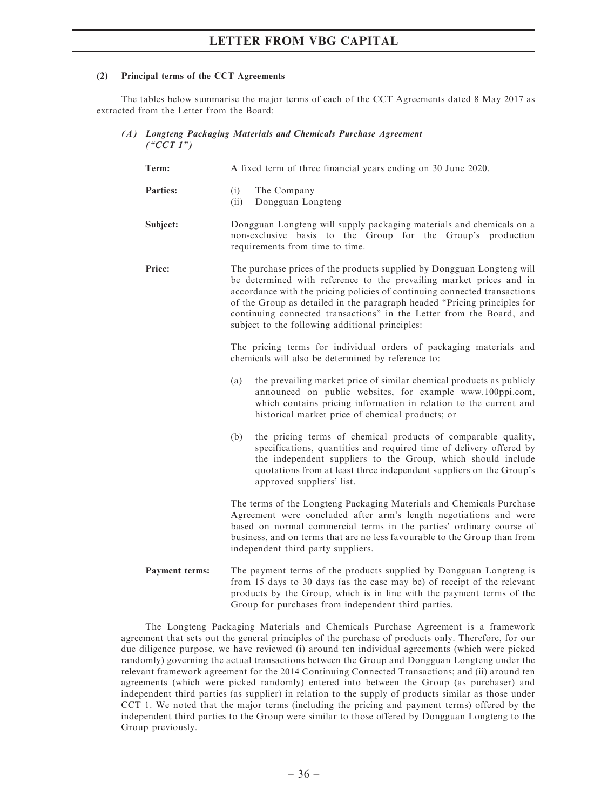### (2) Principal terms of the CCT Agreements

The tables below summarise the major terms of each of the CCT Agreements dated 8 May 2017 as extracted from the Letter from the Board:

(A) Longteng Packaging Materials and Chemicals Purchase Agreement  $(^{\circ}CCT1")$ 

| Term:           | A fixed term of three financial years ending on 30 June 2020.                                                                                                                                                                                                                                                                                                                                                                     |  |  |
|-----------------|-----------------------------------------------------------------------------------------------------------------------------------------------------------------------------------------------------------------------------------------------------------------------------------------------------------------------------------------------------------------------------------------------------------------------------------|--|--|
| <b>Parties:</b> | (i)<br>The Company<br>Dongguan Longteng<br>(ii)                                                                                                                                                                                                                                                                                                                                                                                   |  |  |
| Subject:        | Dongguan Longteng will supply packaging materials and chemicals on a<br>non-exclusive basis to the Group for the Group's production<br>requirements from time to time.                                                                                                                                                                                                                                                            |  |  |
| Price:          | The purchase prices of the products supplied by Dongguan Longteng will<br>be determined with reference to the prevailing market prices and in<br>accordance with the pricing policies of continuing connected transactions<br>of the Group as detailed in the paragraph headed "Pricing principles for<br>continuing connected transactions" in the Letter from the Board, and<br>subject to the following additional principles: |  |  |
|                 | The pricing terms for individual orders of packaging materials and<br>chemicals will also be determined by reference to:                                                                                                                                                                                                                                                                                                          |  |  |
|                 | the prevailing market price of similar chemical products as publicly<br>(a)<br>announced on public websites, for example www.100ppi.com,<br>which contains pricing information in relation to the current and<br>historical market price of chemical products; or                                                                                                                                                                 |  |  |
|                 | the pricing terms of chemical products of comparable quality,<br>(b)<br>specifications, quantities and required time of delivery offered by<br>the independent suppliers to the Group, which should include<br>quotations from at least three independent suppliers on the Group's<br>approved suppliers' list.                                                                                                                   |  |  |
|                 | The terms of the Longteng Packaging Materials and Chemicals Purchase<br>Agreement were concluded after arm's length negotiations and were<br>based on normal commercial terms in the parties' ordinary course of<br>business, and on terms that are no less favourable to the Group than from<br>independent third party suppliers.                                                                                               |  |  |
| Payment terms:  | The payment terms of the products supplied by Dongguan Longteng is<br>from 15 days to 30 days (as the case may be) of receipt of the relevant<br>products by the Group, which is in line with the payment terms of the                                                                                                                                                                                                            |  |  |

The Longteng Packaging Materials and Chemicals Purchase Agreement is a framework agreement that sets out the general principles of the purchase of products only. Therefore, for our due diligence purpose, we have reviewed (i) around ten individual agreements (which were picked randomly) governing the actual transactions between the Group and Dongguan Longteng under the relevant framework agreement for the 2014 Continuing Connected Transactions; and (ii) around ten agreements (which were picked randomly) entered into between the Group (as purchaser) and independent third parties (as supplier) in relation to the supply of products similar as those under CCT 1. We noted that the major terms (including the pricing and payment terms) offered by the independent third parties to the Group were similar to those offered by Dongguan Longteng to the Group previously.

Group for purchases from independent third parties.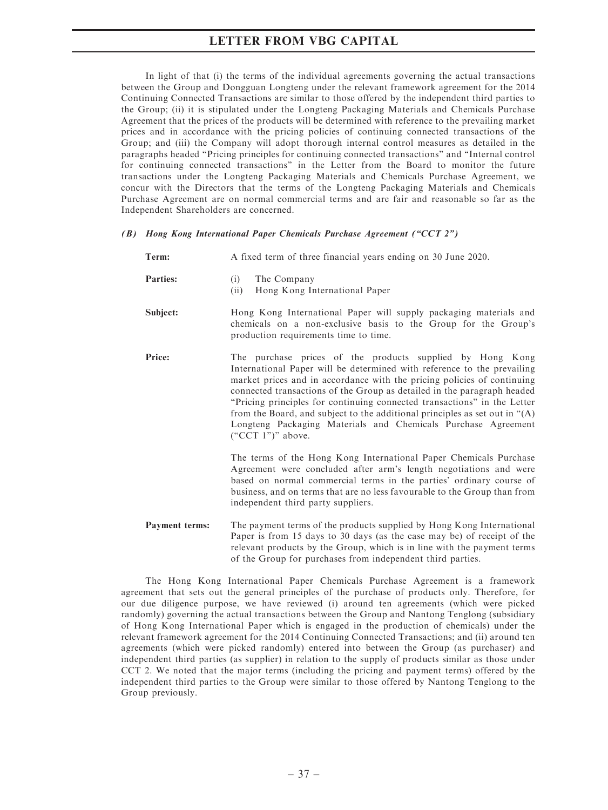In light of that (i) the terms of the individual agreements governing the actual transactions between the Group and Dongguan Longteng under the relevant framework agreement for the 2014 Continuing Connected Transactions are similar to those offered by the independent third parties to the Group; (ii) it is stipulated under the Longteng Packaging Materials and Chemicals Purchase Agreement that the prices of the products will be determined with reference to the prevailing market prices and in accordance with the pricing policies of continuing connected transactions of the Group; and (iii) the Company will adopt thorough internal control measures as detailed in the paragraphs headed ''Pricing principles for continuing connected transactions'' and ''Internal control for continuing connected transactions'' in the Letter from the Board to monitor the future transactions under the Longteng Packaging Materials and Chemicals Purchase Agreement, we concur with the Directors that the terms of the Longteng Packaging Materials and Chemicals Purchase Agreement are on normal commercial terms and are fair and reasonable so far as the Independent Shareholders are concerned.

### (B) Hong Kong International Paper Chemicals Purchase Agreement (''CCT 2'')

| Term:                 | A fixed term of three financial years ending on 30 June 2020.                                                                                                                                                                                                                                                                                                                                                                                                                                                                                   |
|-----------------------|-------------------------------------------------------------------------------------------------------------------------------------------------------------------------------------------------------------------------------------------------------------------------------------------------------------------------------------------------------------------------------------------------------------------------------------------------------------------------------------------------------------------------------------------------|
| <b>Parties:</b>       | The Company<br>(i)<br>Hong Kong International Paper<br>(ii)                                                                                                                                                                                                                                                                                                                                                                                                                                                                                     |
| Subject:              | Hong Kong International Paper will supply packaging materials and<br>chemicals on a non-exclusive basis to the Group for the Group's<br>production requirements time to time.                                                                                                                                                                                                                                                                                                                                                                   |
| Price:                | The purchase prices of the products supplied by Hong Kong<br>International Paper will be determined with reference to the prevailing<br>market prices and in accordance with the pricing policies of continuing<br>connected transactions of the Group as detailed in the paragraph headed<br>"Pricing principles for continuing connected transactions" in the Letter<br>from the Board, and subject to the additional principles as set out in $4(A)$<br>Longteng Packaging Materials and Chemicals Purchase Agreement<br>$("CCT 1")"$ above. |
|                       | The terms of the Hong Kong International Paper Chemicals Purchase<br>Agreement were concluded after arm's length negotiations and were<br>based on normal commercial terms in the parties' ordinary course of<br>business, and on terms that are no less favourable to the Group than from<br>independent third party suppliers.                                                                                                                                                                                                                |
| <b>Payment terms:</b> | The payment terms of the products supplied by Hong Kong International<br>Paper is from 15 days to 30 days (as the case may be) of receipt of the<br>relevant products by the Group, which is in line with the payment terms<br>of the Group for purchases from independent third parties.                                                                                                                                                                                                                                                       |

The Hong Kong International Paper Chemicals Purchase Agreement is a framework agreement that sets out the general principles of the purchase of products only. Therefore, for our due diligence purpose, we have reviewed (i) around ten agreements (which were picked randomly) governing the actual transactions between the Group and Nantong Tenglong (subsidiary of Hong Kong International Paper which is engaged in the production of chemicals) under the relevant framework agreement for the 2014 Continuing Connected Transactions; and (ii) around ten agreements (which were picked randomly) entered into between the Group (as purchaser) and independent third parties (as supplier) in relation to the supply of products similar as those under CCT 2. We noted that the major terms (including the pricing and payment terms) offered by the independent third parties to the Group were similar to those offered by Nantong Tenglong to the Group previously.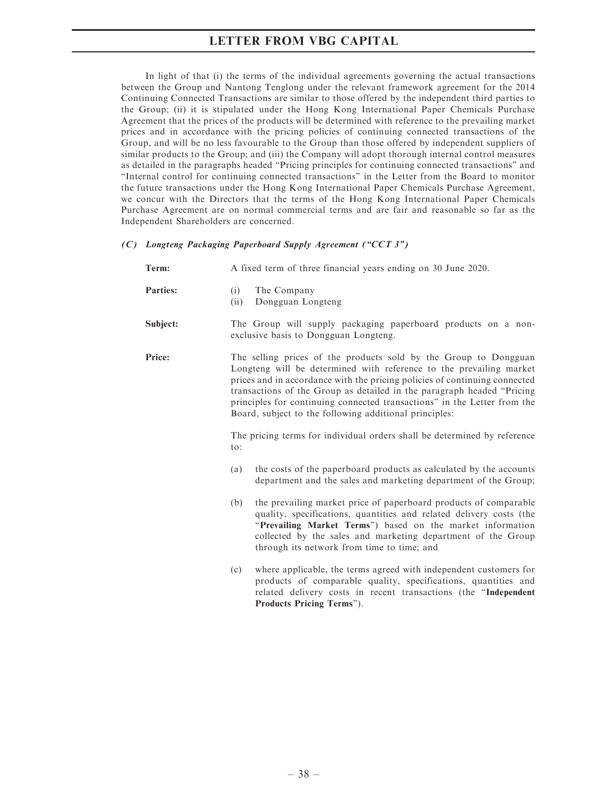In light of that (i) the terms of the individual agreements governing the actual transactions between the Group and Nantong Tenglong under the relevant framework agreement for the 2014 Continuing Connected Transactions are similar to those offered by the independent third parties to the Group; (ii) it is stipulated under the Hong Kong International Paper Chemicals Purchase Agreement that the prices of the products will be determined with reference to the prevailing market prices and in accordance with the pricing policies of continuing connected transactions of the Group, and will be no less favourable to the Group than those offered by independent suppliers of similar products to the Group; and (iii) the Company will adopt thorough internal control measures as detailed in the paragraphs headed ''Pricing principles for continuing connected transactions'' and ''Internal control for continuing connected transactions'' in the Letter from the Board to monitor the future transactions under the Hong Kong International Paper Chemicals Purchase Agreement, we concur with the Directors that the terms of the Hong Kong International Paper Chemicals Purchase Agreement are on normal commercial terms and are fair and reasonable so far as the Independent Shareholders are concerned.

### (C) Longteng Packaging Paperboard Supply Agreement (''CCT 3'')

| Term:           | A fixed term of three financial years ending on 30 June 2020.                                                                                                                                                                                                                                                                                                                                                                         |  |  |
|-----------------|---------------------------------------------------------------------------------------------------------------------------------------------------------------------------------------------------------------------------------------------------------------------------------------------------------------------------------------------------------------------------------------------------------------------------------------|--|--|
| <b>Parties:</b> | (i)<br>The Company<br>Dongguan Longteng<br>(ii)                                                                                                                                                                                                                                                                                                                                                                                       |  |  |
| Subject:        | The Group will supply packaging paperboard products on a non-<br>exclusive basis to Dongguan Longteng.                                                                                                                                                                                                                                                                                                                                |  |  |
| Price:          | The selling prices of the products sold by the Group to Dongguan<br>Longteng will be determined with reference to the prevailing market<br>prices and in accordance with the pricing policies of continuing connected<br>transactions of the Group as detailed in the paragraph headed "Pricing<br>principles for continuing connected transactions" in the Letter from the<br>Board, subject to the following additional principles: |  |  |
|                 | The pricing terms for individual orders shall be determined by reference<br>to:                                                                                                                                                                                                                                                                                                                                                       |  |  |
|                 | the costs of the paperboard products as calculated by the accounts<br>(a)<br>department and the sales and marketing department of the Group;                                                                                                                                                                                                                                                                                          |  |  |
|                 | the prevailing market price of paperboard products of comparable<br>(b)<br>quality, specifications, quantities and related delivery costs (the<br>"Prevailing Market Terms") based on the market information<br>collected by the sales and marketing department of the Group<br>through its network from time to time; and                                                                                                            |  |  |
|                 | where applicable, the terms agreed with independent customers for<br>(c)<br>products of comparable quality, specifications, quantities and<br>related delivery costs in recent transactions (the "Independent<br>Products Pricing Terms").                                                                                                                                                                                            |  |  |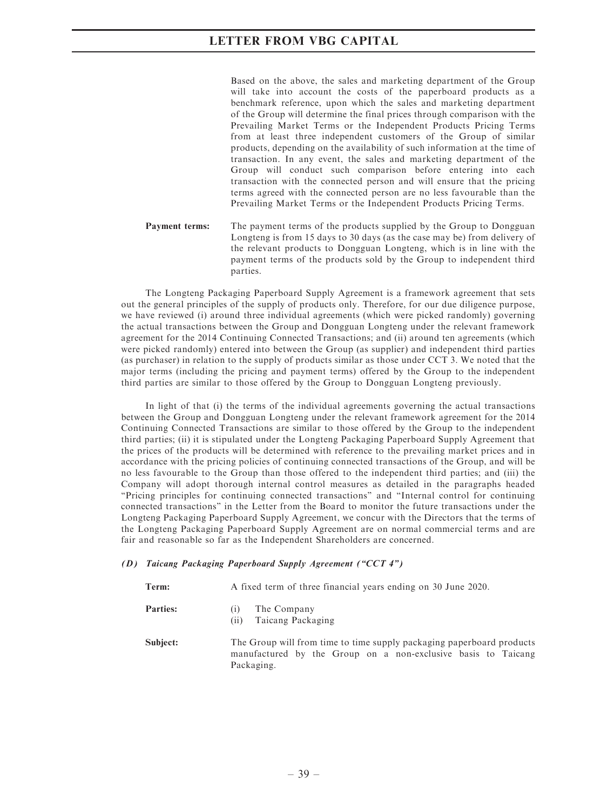Based on the above, the sales and marketing department of the Group will take into account the costs of the paperboard products as a benchmark reference, upon which the sales and marketing department of the Group will determine the final prices through comparison with the Prevailing Market Terms or the Independent Products Pricing Terms from at least three independent customers of the Group of similar products, depending on the availability of such information at the time of transaction. In any event, the sales and marketing department of the Group will conduct such comparison before entering into each transaction with the connected person and will ensure that the pricing terms agreed with the connected person are no less favourable than the Prevailing Market Terms or the Independent Products Pricing Terms.

**Payment terms:** The payment terms of the products supplied by the Group to Dongguan Longteng is from 15 days to 30 days (as the case may be) from delivery of the relevant products to Dongguan Longteng, which is in line with the payment terms of the products sold by the Group to independent third parties.

The Longteng Packaging Paperboard Supply Agreement is a framework agreement that sets out the general principles of the supply of products only. Therefore, for our due diligence purpose, we have reviewed (i) around three individual agreements (which were picked randomly) governing the actual transactions between the Group and Dongguan Longteng under the relevant framework agreement for the 2014 Continuing Connected Transactions; and (ii) around ten agreements (which were picked randomly) entered into between the Group (as supplier) and independent third parties (as purchaser) in relation to the supply of products similar as those under CCT 3. We noted that the major terms (including the pricing and payment terms) offered by the Group to the independent third parties are similar to those offered by the Group to Dongguan Longteng previously.

In light of that (i) the terms of the individual agreements governing the actual transactions between the Group and Dongguan Longteng under the relevant framework agreement for the 2014 Continuing Connected Transactions are similar to those offered by the Group to the independent third parties; (ii) it is stipulated under the Longteng Packaging Paperboard Supply Agreement that the prices of the products will be determined with reference to the prevailing market prices and in accordance with the pricing policies of continuing connected transactions of the Group, and will be no less favourable to the Group than those offered to the independent third parties; and (iii) the Company will adopt thorough internal control measures as detailed in the paragraphs headed ''Pricing principles for continuing connected transactions'' and ''Internal control for continuing connected transactions'' in the Letter from the Board to monitor the future transactions under the Longteng Packaging Paperboard Supply Agreement, we concur with the Directors that the terms of the Longteng Packaging Paperboard Supply Agreement are on normal commercial terms and are fair and reasonable so far as the Independent Shareholders are concerned.

#### (D) Taicang Packaging Paperboard Supply Agreement (''CCT 4'')

| Term:           | A fixed term of three financial years ending on 30 June 2020.                                                                                        |
|-----------------|------------------------------------------------------------------------------------------------------------------------------------------------------|
| <b>Parties:</b> | The Company<br>(1)<br>Taicang Packaging<br>(i)                                                                                                       |
| Subject:        | The Group will from time to time supply packaging paperboard products<br>manufactured by the Group on a non-exclusive basis to Taicang<br>Packaging. |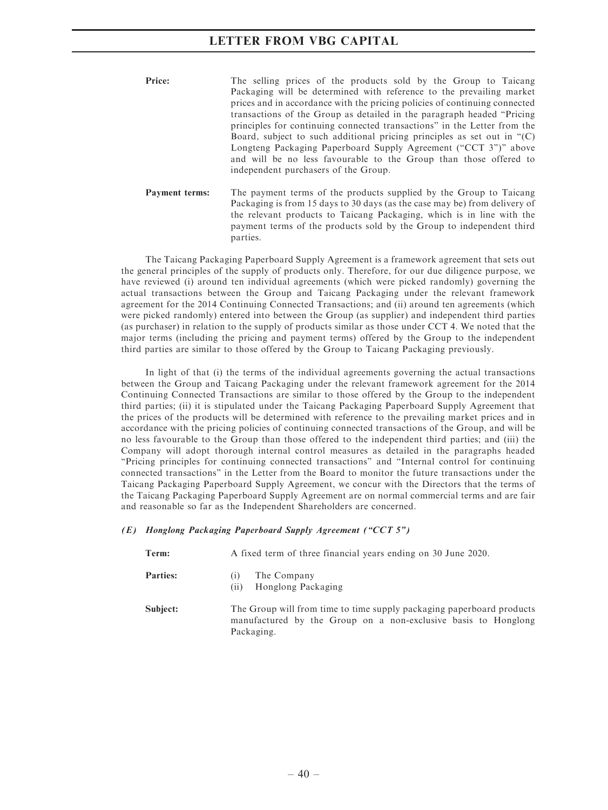| Price: | The selling prices of the products sold by the Group to Taicang                         |
|--------|-----------------------------------------------------------------------------------------|
|        | Packaging will be determined with reference to the prevailing market                    |
|        | prices and in accordance with the pricing policies of continuing connected              |
|        | transactions of the Group as detailed in the paragraph headed "Pricing"                 |
|        | principles for continuing connected transactions" in the Letter from the                |
|        | Board, subject to such additional pricing principles as set out in $\lq$ <sup>(C)</sup> |
|        | Longteng Packaging Paperboard Supply Agreement ("CCT 3")" above                         |
|        | and will be no less favourable to the Group than those offered to                       |
|        | independent purchasers of the Group.                                                    |
|        |                                                                                         |

Payment terms: The payment terms of the products supplied by the Group to Taicang Packaging is from 15 days to 30 days (as the case may be) from delivery of the relevant products to Taicang Packaging, which is in line with the payment terms of the products sold by the Group to independent third parties.

The Taicang Packaging Paperboard Supply Agreement is a framework agreement that sets out the general principles of the supply of products only. Therefore, for our due diligence purpose, we have reviewed (i) around ten individual agreements (which were picked randomly) governing the actual transactions between the Group and Taicang Packaging under the relevant framework agreement for the 2014 Continuing Connected Transactions; and (ii) around ten agreements (which were picked randomly) entered into between the Group (as supplier) and independent third parties (as purchaser) in relation to the supply of products similar as those under CCT 4. We noted that the major terms (including the pricing and payment terms) offered by the Group to the independent third parties are similar to those offered by the Group to Taicang Packaging previously.

In light of that (i) the terms of the individual agreements governing the actual transactions between the Group and Taicang Packaging under the relevant framework agreement for the 2014 Continuing Connected Transactions are similar to those offered by the Group to the independent third parties; (ii) it is stipulated under the Taicang Packaging Paperboard Supply Agreement that the prices of the products will be determined with reference to the prevailing market prices and in accordance with the pricing policies of continuing connected transactions of the Group, and will be no less favourable to the Group than those offered to the independent third parties; and (iii) the Company will adopt thorough internal control measures as detailed in the paragraphs headed ''Pricing principles for continuing connected transactions'' and ''Internal control for continuing connected transactions'' in the Letter from the Board to monitor the future transactions under the Taicang Packaging Paperboard Supply Agreement, we concur with the Directors that the terms of the Taicang Packaging Paperboard Supply Agreement are on normal commercial terms and are fair and reasonable so far as the Independent Shareholders are concerned.

### (E) Honglong Packaging Paperboard Supply Agreement (''CCT 5'')

| Term:           | A fixed term of three financial years ending on 30 June 2020.                                                                                         |
|-----------------|-------------------------------------------------------------------------------------------------------------------------------------------------------|
| <b>Parties:</b> | The Company<br>Honglong Packaging<br>(11)                                                                                                             |
| Subject:        | The Group will from time to time supply packaging paperboard products<br>manufactured by the Group on a non-exclusive basis to Honglong<br>Packaging. |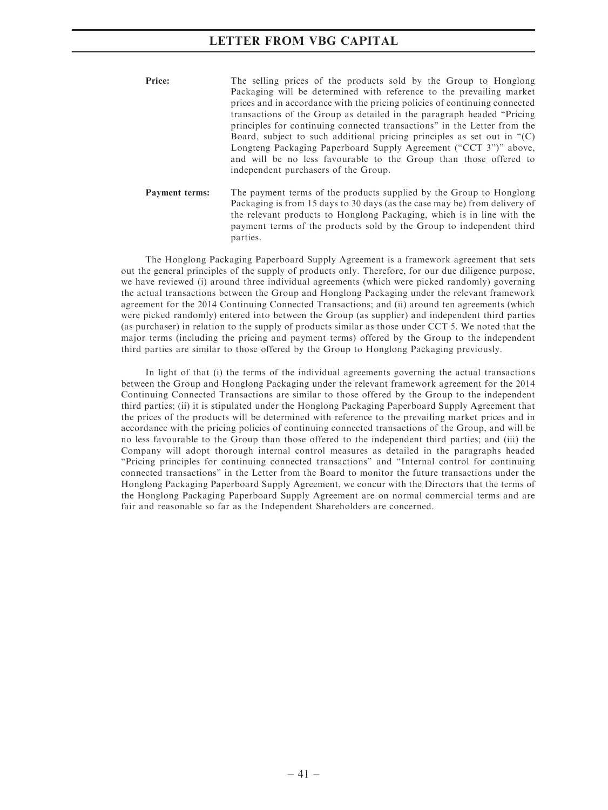| Price: | The selling prices of the products sold by the Group to Honglong           |
|--------|----------------------------------------------------------------------------|
|        | Packaging will be determined with reference to the prevailing market       |
|        | prices and in accordance with the pricing policies of continuing connected |
|        | transactions of the Group as detailed in the paragraph headed "Pricing"    |
|        | principles for continuing connected transactions" in the Letter from the   |
|        | Board, subject to such additional pricing principles as set out in " $(C)$ |
|        | Longteng Packaging Paperboard Supply Agreement ("CCT 3")" above,           |
|        | and will be no less favourable to the Group than those offered to          |
|        | independent purchasers of the Group.                                       |
|        |                                                                            |

Payment terms: The payment terms of the products supplied by the Group to Honglong Packaging is from 15 days to 30 days (as the case may be) from delivery of the relevant products to Honglong Packaging, which is in line with the payment terms of the products sold by the Group to independent third parties.

The Honglong Packaging Paperboard Supply Agreement is a framework agreement that sets out the general principles of the supply of products only. Therefore, for our due diligence purpose, we have reviewed (i) around three individual agreements (which were picked randomly) governing the actual transactions between the Group and Honglong Packaging under the relevant framework agreement for the 2014 Continuing Connected Transactions; and (ii) around ten agreements (which were picked randomly) entered into between the Group (as supplier) and independent third parties (as purchaser) in relation to the supply of products similar as those under CCT 5. We noted that the major terms (including the pricing and payment terms) offered by the Group to the independent third parties are similar to those offered by the Group to Honglong Packaging previously.

In light of that (i) the terms of the individual agreements governing the actual transactions between the Group and Honglong Packaging under the relevant framework agreement for the 2014 Continuing Connected Transactions are similar to those offered by the Group to the independent third parties; (ii) it is stipulated under the Honglong Packaging Paperboard Supply Agreement that the prices of the products will be determined with reference to the prevailing market prices and in accordance with the pricing policies of continuing connected transactions of the Group, and will be no less favourable to the Group than those offered to the independent third parties; and (iii) the Company will adopt thorough internal control measures as detailed in the paragraphs headed ''Pricing principles for continuing connected transactions'' and ''Internal control for continuing connected transactions'' in the Letter from the Board to monitor the future transactions under the Honglong Packaging Paperboard Supply Agreement, we concur with the Directors that the terms of the Honglong Packaging Paperboard Supply Agreement are on normal commercial terms and are fair and reasonable so far as the Independent Shareholders are concerned.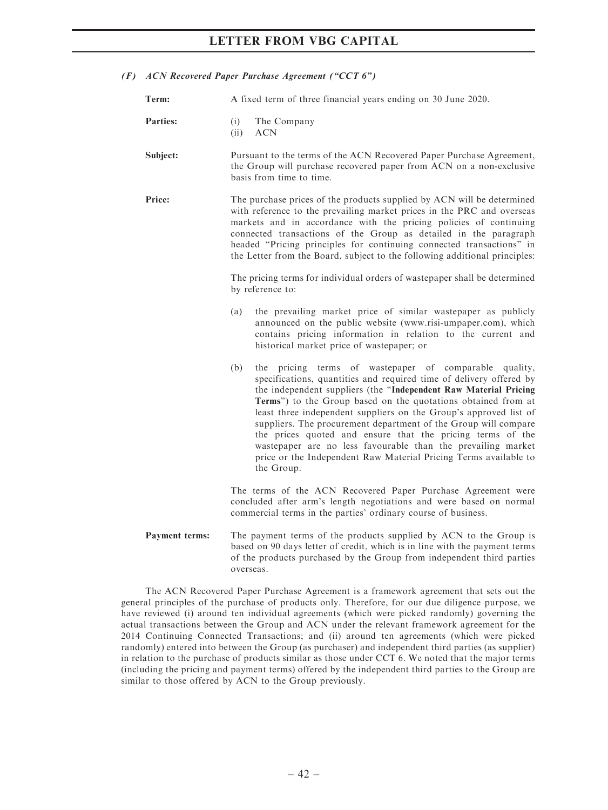| (F) ACN Recovered Paper Purchase Agreement ("CCT 6")                   |                                                                                                                                                                                                                                                                                                                                                                                                                                                                                                                                                                                                                                   |  |  |  |  |
|------------------------------------------------------------------------|-----------------------------------------------------------------------------------------------------------------------------------------------------------------------------------------------------------------------------------------------------------------------------------------------------------------------------------------------------------------------------------------------------------------------------------------------------------------------------------------------------------------------------------------------------------------------------------------------------------------------------------|--|--|--|--|
| Term:<br>A fixed term of three financial years ending on 30 June 2020. |                                                                                                                                                                                                                                                                                                                                                                                                                                                                                                                                                                                                                                   |  |  |  |  |
| <b>Parties:</b>                                                        | The Company<br>(i)<br><b>ACN</b><br>(ii)                                                                                                                                                                                                                                                                                                                                                                                                                                                                                                                                                                                          |  |  |  |  |
| Subject:                                                               | Pursuant to the terms of the ACN Recovered Paper Purchase Agreement,<br>the Group will purchase recovered paper from ACN on a non-exclusive<br>basis from time to time.                                                                                                                                                                                                                                                                                                                                                                                                                                                           |  |  |  |  |
| Price:                                                                 | The purchase prices of the products supplied by ACN will be determined<br>with reference to the prevailing market prices in the PRC and overseas<br>markets and in accordance with the pricing policies of continuing<br>connected transactions of the Group as detailed in the paragraph<br>headed "Pricing principles for continuing connected transactions" in<br>the Letter from the Board, subject to the following additional principles:<br>The pricing terms for individual orders of wastepaper shall be determined<br>by reference to:                                                                                  |  |  |  |  |
|                                                                        |                                                                                                                                                                                                                                                                                                                                                                                                                                                                                                                                                                                                                                   |  |  |  |  |
|                                                                        | the prevailing market price of similar wastepaper as publicly<br>(a)<br>announced on the public website (www.risi-umpaper.com), which<br>contains pricing information in relation to the current and<br>historical market price of wastepaper; or                                                                                                                                                                                                                                                                                                                                                                                 |  |  |  |  |
|                                                                        | the pricing terms of wastepaper of comparable quality,<br>(b)<br>specifications, quantities and required time of delivery offered by<br>the independent suppliers (the "Independent Raw Material Pricing<br>Terms") to the Group based on the quotations obtained from at<br>least three independent suppliers on the Group's approved list of<br>suppliers. The procurement department of the Group will compare<br>the prices quoted and ensure that the pricing terms of the<br>wastepaper are no less favourable than the prevailing market<br>price or the Independent Raw Material Pricing Terms available to<br>the Group. |  |  |  |  |
|                                                                        | The terms of the ACN Recovered Paper Purchase Agreement were<br>concluded after arm's length negotiations and were based on normal<br>commercial terms in the parties' ordinary course of business.                                                                                                                                                                                                                                                                                                                                                                                                                               |  |  |  |  |
| Payment terms:                                                         | The payment terms of the products supplied by ACN to the Group is<br>based on 90 days letter of credit, which is in line with the payment terms<br>of the products purchased by the Group from independent third parties<br>overseas.                                                                                                                                                                                                                                                                                                                                                                                             |  |  |  |  |

The ACN Recovered Paper Purchase Agreement is a framework agreement that sets out the general principles of the purchase of products only. Therefore, for our due diligence purpose, we have reviewed (i) around ten individual agreements (which were picked randomly) governing the actual transactions between the Group and ACN under the relevant framework agreement for the 2014 Continuing Connected Transactions; and (ii) around ten agreements (which were picked randomly) entered into between the Group (as purchaser) and independent third parties (as supplier) in relation to the purchase of products similar as those under CCT 6. We noted that the major terms (including the pricing and payment terms) offered by the independent third parties to the Group are similar to those offered by ACN to the Group previously.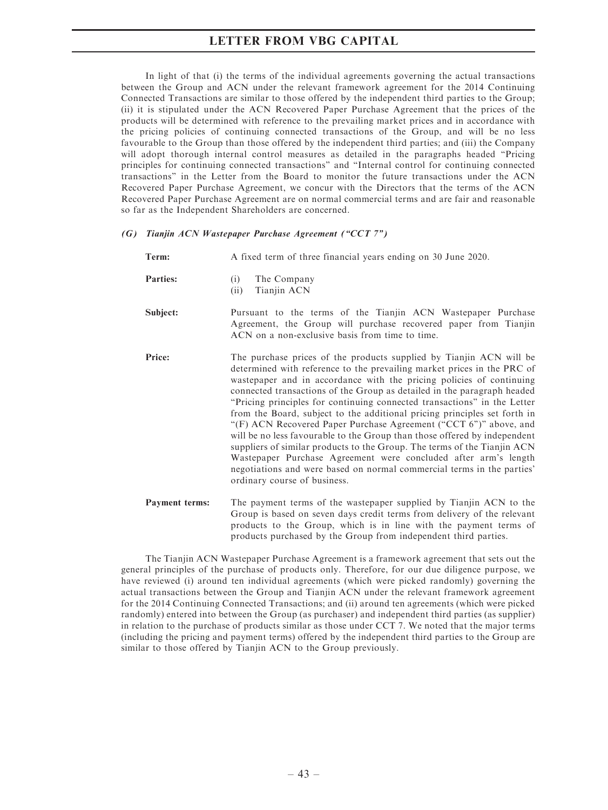In light of that (i) the terms of the individual agreements governing the actual transactions between the Group and ACN under the relevant framework agreement for the 2014 Continuing Connected Transactions are similar to those offered by the independent third parties to the Group; (ii) it is stipulated under the ACN Recovered Paper Purchase Agreement that the prices of the products will be determined with reference to the prevailing market prices and in accordance with the pricing policies of continuing connected transactions of the Group, and will be no less favourable to the Group than those offered by the independent third parties; and (iii) the Company will adopt thorough internal control measures as detailed in the paragraphs headed "Pricing principles for continuing connected transactions'' and ''Internal control for continuing connected transactions'' in the Letter from the Board to monitor the future transactions under the ACN Recovered Paper Purchase Agreement, we concur with the Directors that the terms of the ACN Recovered Paper Purchase Agreement are on normal commercial terms and are fair and reasonable so far as the Independent Shareholders are concerned.

### (G) Tianjin ACN Wastepaper Purchase Agreement (''CCT 7'')

| Term:                 | A fixed term of three financial years ending on 30 June 2020.                                                                                                                                                                                                                                                                                                                                                                                                                                                                                                                                                                                                                                                                                                                                                                                                         |
|-----------------------|-----------------------------------------------------------------------------------------------------------------------------------------------------------------------------------------------------------------------------------------------------------------------------------------------------------------------------------------------------------------------------------------------------------------------------------------------------------------------------------------------------------------------------------------------------------------------------------------------------------------------------------------------------------------------------------------------------------------------------------------------------------------------------------------------------------------------------------------------------------------------|
| <b>Parties:</b>       | The Company<br>(i)<br>Tianjin ACN<br>(ii)                                                                                                                                                                                                                                                                                                                                                                                                                                                                                                                                                                                                                                                                                                                                                                                                                             |
| Subject:              | Pursuant to the terms of the Tianjin ACN Wastepaper Purchase<br>Agreement, the Group will purchase recovered paper from Tianjin<br>ACN on a non-exclusive basis from time to time.                                                                                                                                                                                                                                                                                                                                                                                                                                                                                                                                                                                                                                                                                    |
| Price:                | The purchase prices of the products supplied by Tianjin ACN will be<br>determined with reference to the prevailing market prices in the PRC of<br>wastepaper and in accordance with the pricing policies of continuing<br>connected transactions of the Group as detailed in the paragraph headed<br>"Pricing principles for continuing connected transactions" in the Letter<br>from the Board, subject to the additional pricing principles set forth in<br>"(F) ACN Recovered Paper Purchase Agreement ("CCT 6")" above, and<br>will be no less favourable to the Group than those offered by independent<br>suppliers of similar products to the Group. The terms of the Tianjin ACN<br>Wastepaper Purchase Agreement were concluded after arm's length<br>negotiations and were based on normal commercial terms in the parties'<br>ordinary course of business. |
| <b>Payment terms:</b> | The payment terms of the wastepaper supplied by Tianjin ACN to the<br>Group is based on seven days credit terms from delivery of the relevant<br>products to the Group, which is in line with the payment terms of                                                                                                                                                                                                                                                                                                                                                                                                                                                                                                                                                                                                                                                    |

The Tianjin ACN Wastepaper Purchase Agreement is a framework agreement that sets out the general principles of the purchase of products only. Therefore, for our due diligence purpose, we have reviewed (i) around ten individual agreements (which were picked randomly) governing the actual transactions between the Group and Tianjin ACN under the relevant framework agreement for the 2014 Continuing Connected Transactions; and (ii) around ten agreements (which were picked randomly) entered into between the Group (as purchaser) and independent third parties (as supplier) in relation to the purchase of products similar as those under CCT 7. We noted that the major terms (including the pricing and payment terms) offered by the independent third parties to the Group are similar to those offered by Tianjin ACN to the Group previously.

products purchased by the Group from independent third parties.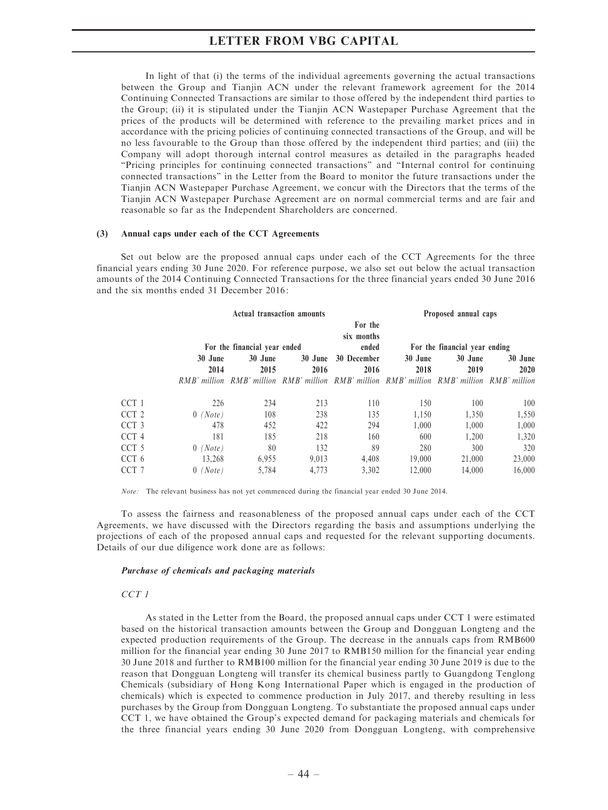In light of that (i) the terms of the individual agreements governing the actual transactions between the Group and Tianjin ACN under the relevant framework agreement for the 2014 Continuing Connected Transactions are similar to those offered by the independent third parties to the Group; (ii) it is stipulated under the Tianjin ACN Wastepaper Purchase Agreement that the prices of the products will be determined with reference to the prevailing market prices and in accordance with the pricing policies of continuing connected transactions of the Group, and will be no less favourable to the Group than those offered by the independent third parties; and (iii) the Company will adopt thorough internal control measures as detailed in the paragraphs headed ''Pricing principles for continuing connected transactions'' and ''Internal control for continuing connected transactions'' in the Letter from the Board to monitor the future transactions under the Tianjin ACN Wastepaper Purchase Agreement, we concur with the Directors that the terms of the Tianjin ACN Wastepaper Purchase Agreement are on normal commercial terms and are fair and reasonable so far as the Independent Shareholders are concerned.

#### (3) Annual caps under each of the CCT Agreements

Set out below are the proposed annual caps under each of the CCT Agreements for the three financial years ending 30 June 2020. For reference purpose, we also set out below the actual transaction amounts of the 2014 Continuing Connected Transactions for the three financial years ended 30 June 2016 and the six months ended 31 December 2016:

|                  |                    | <b>Actual transaction amounts</b> |                        |                                |                                                                                            | Proposed annual caps |         |
|------------------|--------------------|-----------------------------------|------------------------|--------------------------------|--------------------------------------------------------------------------------------------|----------------------|---------|
|                  |                    | For the financial year ended      |                        | For the<br>six months<br>ended | For the financial year ending                                                              |                      |         |
|                  | 30 June            | 30 June                           | 30 June<br>30 December |                                | 30 June                                                                                    | 30 June              | 30 June |
|                  | 2014               | 2015                              | 2016                   | 2016                           | 2018                                                                                       | 2019                 | 2020    |
|                  |                    |                                   |                        |                                | RMB' million RMB' million RMB' million RMB' million RMB' million RMB' million RMB' million |                      |         |
| CCT 1            | 226                | 234                               | 213                    | 110                            | 150                                                                                        | 100                  | 100     |
| CCT <sub>2</sub> | $0$ (Note)         | 108                               | 238                    | 135                            | 1,150                                                                                      | 1,350                | 1,550   |
| CCT <sub>3</sub> | 478                | 452                               | 422                    | 294                            | 1.000                                                                                      | 1.000                | 1,000   |
| CCT <sub>4</sub> | 181                | 185                               | 218                    | 160                            | 600                                                                                        | 1.200                | 1,320   |
| CCT <sub>5</sub> | (Note)<br>$\theta$ | 80                                | 132                    | 89                             | 280                                                                                        | 300                  | 320     |
| CCT 6            | 13,268             | 6.955                             | 9,013                  | 4.408                          | 19,000                                                                                     | 21,000               | 23,000  |
| CCT 7            | (Note)             | 5,784                             | 4,773                  | 3,302                          | 12,000                                                                                     | 14,000               | 16,000  |

Note: The relevant business has not vet commenced during the financial year ended 30 June 2014.

To assess the fairness and reasonableness of the proposed annual caps under each of the CCT Agreements, we have discussed with the Directors regarding the basis and assumptions underlying the projections of each of the proposed annual caps and requested for the relevant supporting documents. Details of our due diligence work done are as follows:

#### Purchase of chemicals and packaging materials

#### CCT<sub>1</sub>

As stated in the Letter from the Board, the proposed annual caps under CCT 1 were estimated based on the historical transaction amounts between the Group and Dongguan Longteng and the expected production requirements of the Group. The decrease in the annuals caps from RMB600 million for the financial year ending 30 June 2017 to RMB150 million for the financial year ending 30 June 2018 and further to RMB100 million for the financial year ending 30 June 2019 is due to the reason that Dongguan Longteng will transfer its chemical business partly to Guangdong Tenglong Chemicals (subsidiary of Hong Kong International Paper which is engaged in the production of chemicals) which is expected to commence production in July 2017, and thereby resulting in less purchases by the Group from Dongguan Longteng. To substantiate the proposed annual caps under CCT 1, we have obtained the Group's expected demand for packaging materials and chemicals for the three financial years ending 30 June 2020 from Dongguan Longteng, with comprehensive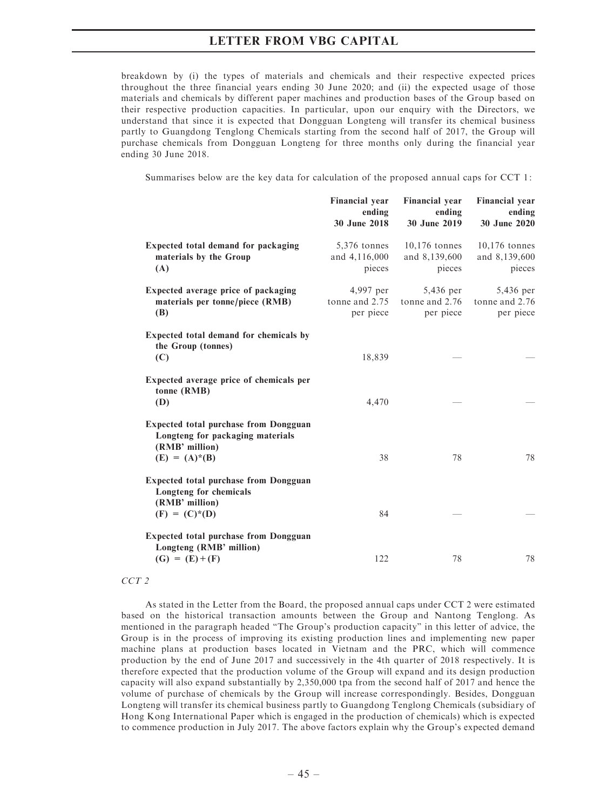breakdown by (i) the types of materials and chemicals and their respective expected prices throughout the three financial years ending 30 June 2020; and (ii) the expected usage of those materials and chemicals by different paper machines and production bases of the Group based on their respective production capacities. In particular, upon our enquiry with the Directors, we understand that since it is expected that Dongguan Longteng will transfer its chemical business partly to Guangdong Tenglong Chemicals starting from the second half of 2017, the Group will purchase chemicals from Dongguan Longteng for three months only during the financial year ending 30 June 2018.

Summarises below are the key data for calculation of the proposed annual caps for CCT 1:

|                                                                                                                        | <b>Financial year</b><br>ending<br>30 June 2018 | <b>Financial</b> year<br>ending<br>30 June 2019 | <b>Financial year</b><br>ending<br>30 June 2020 |
|------------------------------------------------------------------------------------------------------------------------|-------------------------------------------------|-------------------------------------------------|-------------------------------------------------|
| Expected total demand for packaging<br>materials by the Group<br>(A)                                                   | 5,376 tonnes<br>and 4,116,000<br>pieces         | $10,176$ tonnes<br>and 8,139,600<br>pieces      | $10,176$ tonnes<br>and 8,139,600<br>pieces      |
| Expected average price of packaging<br>materials per tonne/piece (RMB)<br>(B)                                          | 4,997 per<br>tonne and 2.75<br>per piece        | 5,436 per<br>tonne and 2.76<br>per piece        | 5,436 per<br>tonne and 2.76<br>per piece        |
| Expected total demand for chemicals by<br>the Group (tonnes)<br>(C)                                                    | 18,839                                          |                                                 |                                                 |
| Expected average price of chemicals per<br>tonne (RMB)<br>(D)                                                          | 4,470                                           |                                                 |                                                 |
| <b>Expected total purchase from Dongguan</b><br>Longteng for packaging materials<br>(RMB' million)<br>$(E) = (A)* (B)$ | 38                                              | 78                                              | 78                                              |
| <b>Expected total purchase from Dongguan</b><br>Longteng for chemicals<br>(RMB' million)<br>$(F) = (C)^*(D)$           | 84                                              |                                                 |                                                 |
| <b>Expected total purchase from Dongguan</b><br>Longteng (RMB' million)<br>$(G) = (E) + (F)$                           | 122                                             | 78                                              | 78                                              |

### CCT<sub>2</sub>

As stated in the Letter from the Board, the proposed annual caps under CCT 2 were estimated based on the historical transaction amounts between the Group and Nantong Tenglong. As mentioned in the paragraph headed ''The Group's production capacity'' in this letter of advice, the Group is in the process of improving its existing production lines and implementing new paper machine plans at production bases located in Vietnam and the PRC, which will commence production by the end of June 2017 and successively in the 4th quarter of 2018 respectively. It is therefore expected that the production volume of the Group will expand and its design production capacity will also expand substantially by 2,350,000 tpa from the second half of 2017 and hence the volume of purchase of chemicals by the Group will increase correspondingly. Besides, Dongguan Longteng will transfer its chemical business partly to Guangdong Tenglong Chemicals (subsidiary of Hong Kong International Paper which is engaged in the production of chemicals) which is expected to commence production in July 2017. The above factors explain why the Group's expected demand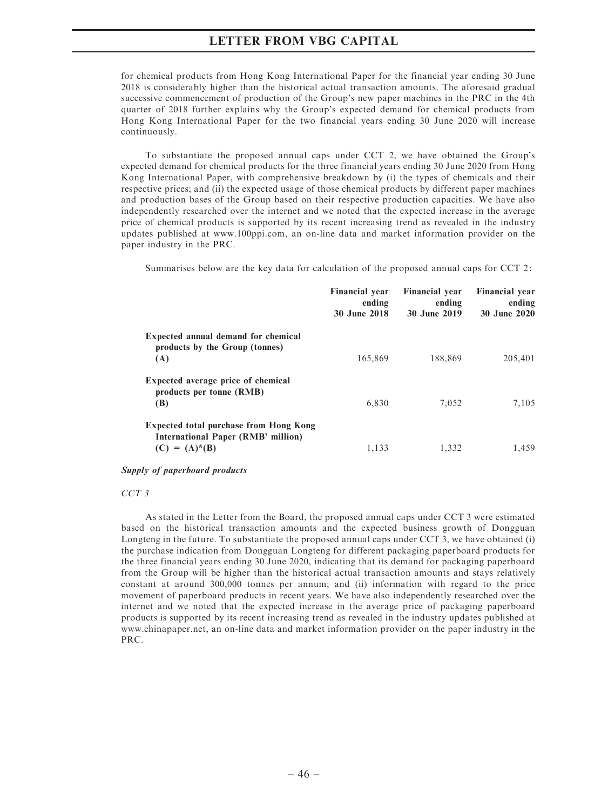for chemical products from Hong Kong International Paper for the financial year ending 30 June 2018 is considerably higher than the historical actual transaction amounts. The aforesaid gradual successive commencement of production of the Group's new paper machines in the PRC in the 4th quarter of 2018 further explains why the Group's expected demand for chemical products from Hong Kong International Paper for the two financial years ending 30 June 2020 will increase continuously.

To substantiate the proposed annual caps under CCT 2, we have obtained the Group's expected demand for chemical products for the three financial years ending 30 June 2020 from Hong Kong International Paper, with comprehensive breakdown by (i) the types of chemicals and their respective prices; and (ii) the expected usage of those chemical products by different paper machines and production bases of the Group based on their respective production capacities. We have also independently researched over the internet and we noted that the expected increase in the average price of chemical products is supported by its recent increasing trend as revealed in the industry updates published at www.100ppi.com, an on-line data and market information provider on the paper industry in the PRC.

Summarises below are the key data for calculation of the proposed annual caps for CCT 2:

|                                                                                     | <b>Financial year</b><br>ending<br>30 June 2018 | <b>Financial year</b><br>ending<br>30 June 2019 | <b>Financial year</b><br>ending<br>30 June 2020 |
|-------------------------------------------------------------------------------------|-------------------------------------------------|-------------------------------------------------|-------------------------------------------------|
| Expected annual demand for chemical<br>products by the Group (tonnes)               |                                                 |                                                 |                                                 |
| (A)                                                                                 | 165,869                                         | 188,869                                         | 205,401                                         |
| Expected average price of chemical<br>products per tonne (RMB)                      |                                                 |                                                 |                                                 |
| (B)                                                                                 | 6,830                                           | 7,052                                           | 7.105                                           |
| <b>Expected total purchase from Hong Kong</b><br>International Paper (RMB' million) |                                                 |                                                 |                                                 |
| $(C) = (A)^*(B)$                                                                    | 1,133                                           | 1,332                                           | 1,459                                           |

Supply of paperboard products

### CCT<sub>3</sub>

As stated in the Letter from the Board, the proposed annual caps under CCT 3 were estimated based on the historical transaction amounts and the expected business growth of Dongguan Longteng in the future. To substantiate the proposed annual caps under CCT 3, we have obtained (i) the purchase indication from Dongguan Longteng for different packaging paperboard products for the three financial years ending 30 June 2020, indicating that its demand for packaging paperboard from the Group will be higher than the historical actual transaction amounts and stays relatively constant at around 300,000 tonnes per annum; and (ii) information with regard to the price movement of paperboard products in recent years. We have also independently researched over the internet and we noted that the expected increase in the average price of packaging paperboard products is supported by its recent increasing trend as revealed in the industry updates published at www.chinapaper.net, an on-line data and market information provider on the paper industry in the PRC.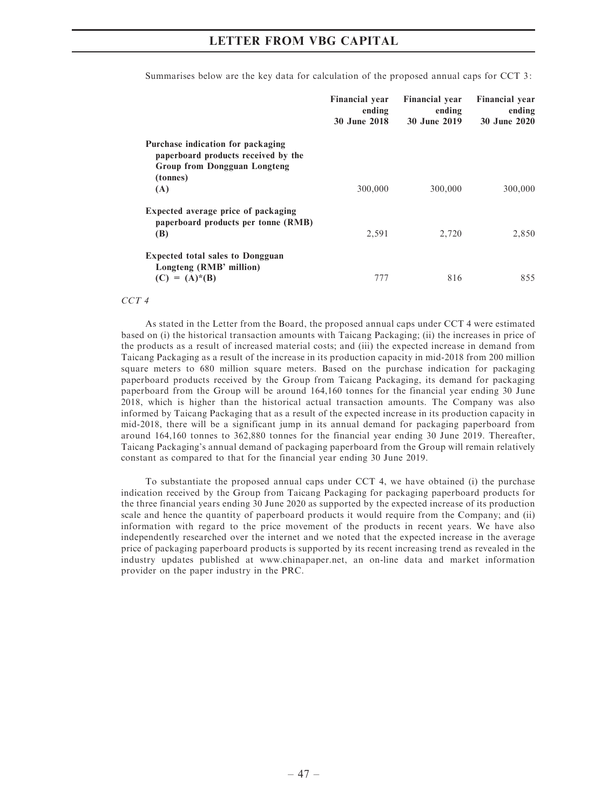|                                                                                                                      | <b>Financial year</b><br>ending<br>30 June 2018 | <b>Financial year</b><br>ending<br>30 June 2019 | <b>Financial year</b><br>ending<br>30 June 2020 |
|----------------------------------------------------------------------------------------------------------------------|-------------------------------------------------|-------------------------------------------------|-------------------------------------------------|
| Purchase indication for packaging<br>paperboard products received by the<br>Group from Dongguan Longteng<br>(tonnes) |                                                 |                                                 |                                                 |
| (A)                                                                                                                  | 300,000                                         | 300,000                                         | 300,000                                         |
| Expected average price of packaging<br>paperboard products per tonne (RMB)<br>(B)                                    | 2,591                                           | 2,720                                           | 2,850                                           |
| <b>Expected total sales to Dongguan</b><br>Longteng (RMB' million)<br>$(C) = (A)^*(B)$                               | 777                                             | 816                                             | 855                                             |

Summarises below are the key data for calculation of the proposed annual caps for CCT 3:

CCT<sub>4</sub>

As stated in the Letter from the Board, the proposed annual caps under CCT 4 were estimated based on (i) the historical transaction amounts with Taicang Packaging; (ii) the increases in price of the products as a result of increased material costs; and (iii) the expected increase in demand from Taicang Packaging as a result of the increase in its production capacity in mid-2018 from 200 million square meters to 680 million square meters. Based on the purchase indication for packaging paperboard products received by the Group from Taicang Packaging, its demand for packaging paperboard from the Group will be around 164,160 tonnes for the financial year ending 30 June 2018, which is higher than the historical actual transaction amounts. The Company was also informed by Taicang Packaging that as a result of the expected increase in its production capacity in mid-2018, there will be a significant jump in its annual demand for packaging paperboard from around 164,160 tonnes to 362,880 tonnes for the financial year ending 30 June 2019. Thereafter, Taicang Packaging's annual demand of packaging paperboard from the Group will remain relatively constant as compared to that for the financial year ending 30 June 2019.

To substantiate the proposed annual caps under CCT 4, we have obtained (i) the purchase indication received by the Group from Taicang Packaging for packaging paperboard products for the three financial years ending 30 June 2020 as supported by the expected increase of its production scale and hence the quantity of paperboard products it would require from the Company; and (ii) information with regard to the price movement of the products in recent years. We have also independently researched over the internet and we noted that the expected increase in the average price of packaging paperboard products is supported by its recent increasing trend as revealed in the industry updates published at www.chinapaper.net, an on-line data and market information provider on the paper industry in the PRC.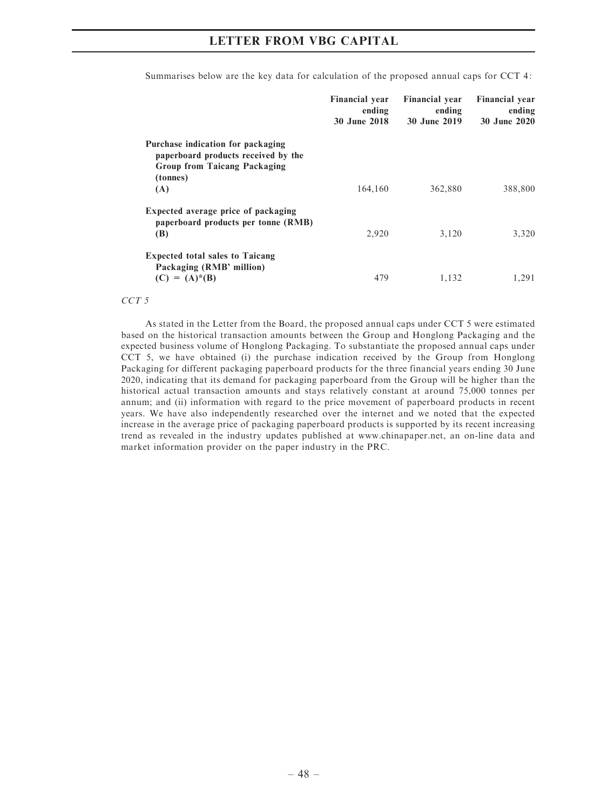|                                                                                                                             | <b>Financial year</b><br>ending<br><b>30 June 2018</b> | <b>Financial year</b><br>ending<br>30 June 2019 | <b>Financial</b> year<br>ending<br>30 June 2020 |
|-----------------------------------------------------------------------------------------------------------------------------|--------------------------------------------------------|-------------------------------------------------|-------------------------------------------------|
| Purchase indication for packaging<br>paperboard products received by the<br><b>Group from Taicang Packaging</b><br>(tonnes) |                                                        |                                                 |                                                 |
| (A)                                                                                                                         | 164,160                                                | 362,880                                         | 388,800                                         |
| Expected average price of packaging<br>paperboard products per tonne (RMB)<br>(B)                                           | 2,920                                                  | 3.120                                           | 3,320                                           |
| <b>Expected total sales to Taicang</b><br>Packaging (RMB' million)<br>$(C) = (A)* (B)$                                      | 479                                                    | 1,132                                           | 1,291                                           |

Summarises below are the key data for calculation of the proposed annual caps for CCT 4:

CCT<sub>5</sub>

As stated in the Letter from the Board, the proposed annual caps under CCT 5 were estimated based on the historical transaction amounts between the Group and Honglong Packaging and the expected business volume of Honglong Packaging. To substantiate the proposed annual caps under CCT 5, we have obtained (i) the purchase indication received by the Group from Honglong Packaging for different packaging paperboard products for the three financial years ending 30 June 2020, indicating that its demand for packaging paperboard from the Group will be higher than the historical actual transaction amounts and stays relatively constant at around 75,000 tonnes per annum; and (ii) information with regard to the price movement of paperboard products in recent years. We have also independently researched over the internet and we noted that the expected increase in the average price of packaging paperboard products is supported by its recent increasing trend as revealed in the industry updates published at www.chinapaper.net, an on-line data and market information provider on the paper industry in the PRC.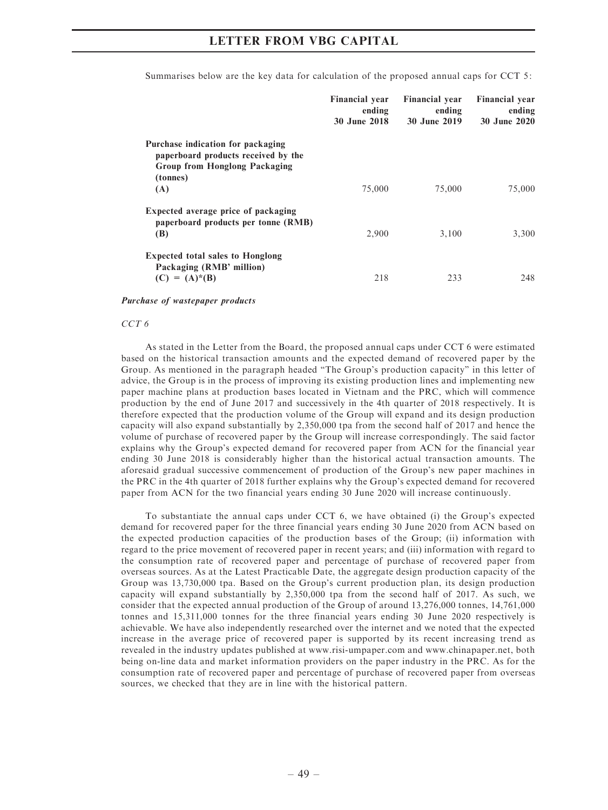|                                                                                                                              | <b>Financial year</b><br>ending<br>30 June 2018 | <b>Financial year</b><br>ending<br>30 June 2019 | <b>Financial year</b><br>ending<br>30 June 2020 |
|------------------------------------------------------------------------------------------------------------------------------|-------------------------------------------------|-------------------------------------------------|-------------------------------------------------|
| Purchase indication for packaging<br>paperboard products received by the<br><b>Group from Honglong Packaging</b><br>(tonnes) |                                                 |                                                 |                                                 |
| (A)                                                                                                                          | 75,000                                          | 75,000                                          | 75,000                                          |
| Expected average price of packaging<br>paperboard products per tonne (RMB)<br>(B)                                            | 2,900                                           | 3,100                                           | 3,300                                           |
| <b>Expected total sales to Honglong</b><br>Packaging (RMB' million)<br>$(C) = (A)^*(B)$                                      | 218                                             | 233                                             | 248                                             |

Summarises below are the key data for calculation of the proposed annual caps for CCT 5:

#### Purchase of wastepaper products

#### CCT<sub>6</sub>

As stated in the Letter from the Board, the proposed annual caps under CCT 6 were estimated based on the historical transaction amounts and the expected demand of recovered paper by the Group. As mentioned in the paragraph headed ''The Group's production capacity'' in this letter of advice, the Group is in the process of improving its existing production lines and implementing new paper machine plans at production bases located in Vietnam and the PRC, which will commence production by the end of June 2017 and successively in the 4th quarter of 2018 respectively. It is therefore expected that the production volume of the Group will expand and its design production capacity will also expand substantially by 2,350,000 tpa from the second half of 2017 and hence the volume of purchase of recovered paper by the Group will increase correspondingly. The said factor explains why the Group's expected demand for recovered paper from ACN for the financial year ending 30 June 2018 is considerably higher than the historical actual transaction amounts. The aforesaid gradual successive commencement of production of the Group's new paper machines in the PRC in the 4th quarter of 2018 further explains why the Group's expected demand for recovered paper from ACN for the two financial years ending 30 June 2020 will increase continuously.

To substantiate the annual caps under CCT 6, we have obtained (i) the Group's expected demand for recovered paper for the three financial years ending 30 June 2020 from ACN based on the expected production capacities of the production bases of the Group; (ii) information with regard to the price movement of recovered paper in recent years; and (iii) information with regard to the consumption rate of recovered paper and percentage of purchase of recovered paper from overseas sources. As at the Latest Practicable Date, the aggregate design production capacity of the Group was 13,730,000 tpa. Based on the Group's current production plan, its design production capacity will expand substantially by 2,350,000 tpa from the second half of 2017. As such, we consider that the expected annual production of the Group of around 13,276,000 tonnes, 14,761,000 tonnes and 15,311,000 tonnes for the three financial years ending 30 June 2020 respectively is achievable. We have also independently researched over the internet and we noted that the expected increase in the average price of recovered paper is supported by its recent increasing trend as revealed in the industry updates published at www.risi-umpaper.com and www.chinapaper.net, both being on-line data and market information providers on the paper industry in the PRC. As for the consumption rate of recovered paper and percentage of purchase of recovered paper from overseas sources, we checked that they are in line with the historical pattern.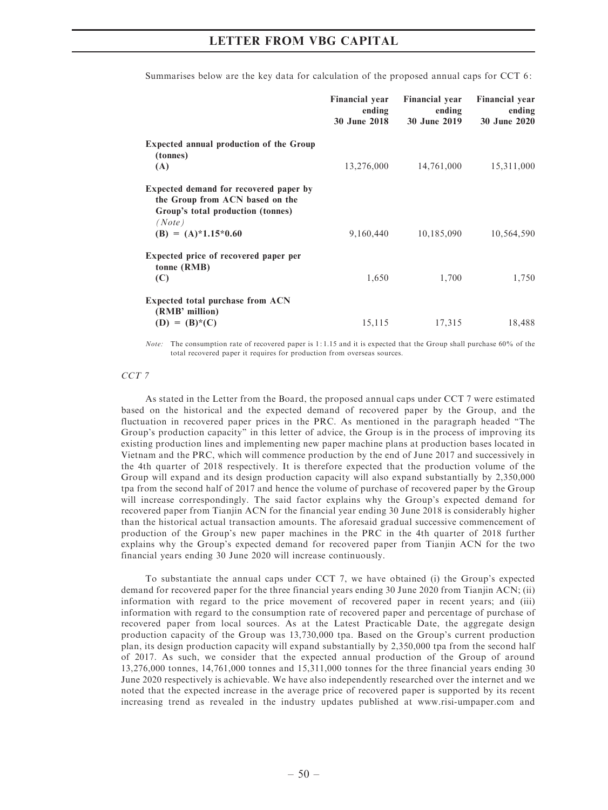|                                                                                                                          | <b>Financial year</b><br>ending<br>30 June 2018 | <b>Financial year</b><br>ending<br>30 June 2019 | <b>Financial year</b><br>ending<br>30 June 2020 |
|--------------------------------------------------------------------------------------------------------------------------|-------------------------------------------------|-------------------------------------------------|-------------------------------------------------|
| <b>Expected annual production of the Group</b><br>(tonnes)<br>(A)                                                        | 13,276,000                                      | 14,761,000                                      | 15,311,000                                      |
| Expected demand for recovered paper by<br>the Group from ACN based on the<br>Group's total production (tonnes)<br>(Note) |                                                 |                                                 |                                                 |
| $(B) = (A)*1.15*0.60$                                                                                                    | 9,160,440                                       | 10,185,090                                      | 10,564,590                                      |
| Expected price of recovered paper per<br>tonne (RMB)<br>(C)                                                              | 1,650                                           | 1,700                                           | 1,750                                           |
| Expected total purchase from ACN<br>(RMB' million)<br>$(D) = (B)^*(C)$                                                   | 15,115                                          | 17,315                                          | 18,488                                          |

Summarises below are the key data for calculation of the proposed annual caps for CCT 6:

Note: The consumption rate of recovered paper is 1: 1.15 and it is expected that the Group shall purchase 60% of the total recovered paper it requires for production from overseas sources.

#### CCT<sub>7</sub>

As stated in the Letter from the Board, the proposed annual caps under CCT 7 were estimated based on the historical and the expected demand of recovered paper by the Group, and the fluctuation in recovered paper prices in the PRC. As mentioned in the paragraph headed ''The Group's production capacity'' in this letter of advice, the Group is in the process of improving its existing production lines and implementing new paper machine plans at production bases located in Vietnam and the PRC, which will commence production by the end of June 2017 and successively in the 4th quarter of 2018 respectively. It is therefore expected that the production volume of the Group will expand and its design production capacity will also expand substantially by 2,350,000 tpa from the second half of 2017 and hence the volume of purchase of recovered paper by the Group will increase correspondingly. The said factor explains why the Group's expected demand for recovered paper from Tianjin ACN for the financial year ending 30 June 2018 is considerably higher than the historical actual transaction amounts. The aforesaid gradual successive commencement of production of the Group's new paper machines in the PRC in the 4th quarter of 2018 further explains why the Group's expected demand for recovered paper from Tianjin ACN for the two financial years ending 30 June 2020 will increase continuously.

To substantiate the annual caps under CCT 7, we have obtained (i) the Group's expected demand for recovered paper for the three financial years ending 30 June 2020 from Tianjin ACN; (ii) information with regard to the price movement of recovered paper in recent years; and (iii) information with regard to the consumption rate of recovered paper and percentage of purchase of recovered paper from local sources. As at the Latest Practicable Date, the aggregate design production capacity of the Group was 13,730,000 tpa. Based on the Group's current production plan, its design production capacity will expand substantially by 2,350,000 tpa from the second half of 2017. As such, we consider that the expected annual production of the Group of around 13,276,000 tonnes, 14,761,000 tonnes and 15,311,000 tonnes for the three financial years ending 30 June 2020 respectively is achievable. We have also independently researched over the internet and we noted that the expected increase in the average price of recovered paper is supported by its recent increasing trend as revealed in the industry updates published at www.risi-umpaper.com and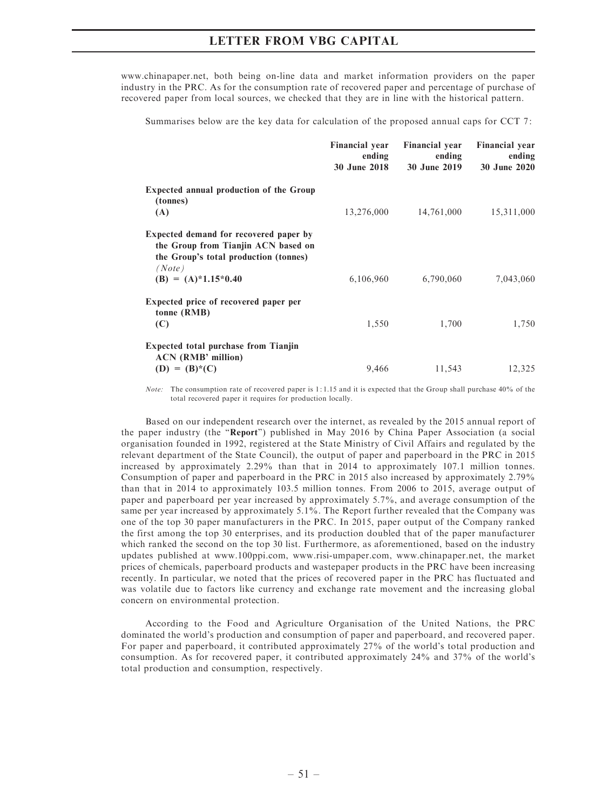www.chinapaper.net, both being on-line data and market information providers on the paper industry in the PRC. As for the consumption rate of recovered paper and percentage of purchase of recovered paper from local sources, we checked that they are in line with the historical pattern.

Summarises below are the key data for calculation of the proposed annual caps for CCT 7:

|                                                                                                                                  | <b>Financial year</b><br>ending<br><b>30 June 2018</b> | <b>Financial year</b><br>ending<br>30 June 2019 | <b>Financial year</b><br>ending<br>30 June 2020 |
|----------------------------------------------------------------------------------------------------------------------------------|--------------------------------------------------------|-------------------------------------------------|-------------------------------------------------|
| <b>Expected annual production of the Group</b><br>(tonnes)<br>(A)                                                                | 13,276,000                                             | 14,761,000                                      | 15,311,000                                      |
| Expected demand for recovered paper by<br>the Group from Tianjin ACN based on<br>the Group's total production (tonnes)<br>(Note) |                                                        |                                                 |                                                 |
| $(B) = (A)*1.15*0.40$                                                                                                            | 6,106,960                                              | 6,790,060                                       | 7,043,060                                       |
| Expected price of recovered paper per<br>tonne (RMB)<br>(C)                                                                      | 1,550                                                  | 1,700                                           | 1,750                                           |
| <b>Expected total purchase from Tianjin</b><br><b>ACN</b> (RMB' million)                                                         |                                                        |                                                 |                                                 |
| $(D) = (B) * (C)$                                                                                                                | 9,466                                                  | 11,543                                          | 12,325                                          |

Note: The consumption rate of recovered paper is 1: 1.15 and it is expected that the Group shall purchase 40% of the total recovered paper it requires for production locally.

Based on our independent research over the internet, as revealed by the 2015 annual report of the paper industry (the "Report") published in May 2016 by China Paper Association (a social organisation founded in 1992, registered at the State Ministry of Civil Affairs and regulated by the relevant department of the State Council), the output of paper and paperboard in the PRC in 2015 increased by approximately 2.29% than that in 2014 to approximately 107.1 million tonnes. Consumption of paper and paperboard in the PRC in 2015 also increased by approximately 2.79% than that in 2014 to approximately 103.5 million tonnes. From 2006 to 2015, average output of paper and paperboard per year increased by approximately 5.7%, and average consumption of the same per year increased by approximately 5.1%. The Report further revealed that the Company was one of the top 30 paper manufacturers in the PRC. In 2015, paper output of the Company ranked the first among the top 30 enterprises, and its production doubled that of the paper manufacturer which ranked the second on the top 30 list. Furthermore, as aforementioned, based on the industry updates published at www.100ppi.com, www.risi-umpaper.com, www.chinapaper.net, the market prices of chemicals, paperboard products and wastepaper products in the PRC have been increasing recently. In particular, we noted that the prices of recovered paper in the PRC has fluctuated and was volatile due to factors like currency and exchange rate movement and the increasing global concern on environmental protection.

According to the Food and Agriculture Organisation of the United Nations, the PRC dominated the world's production and consumption of paper and paperboard, and recovered paper. For paper and paperboard, it contributed approximately 27% of the world's total production and consumption. As for recovered paper, it contributed approximately 24% and 37% of the world's total production and consumption, respectively.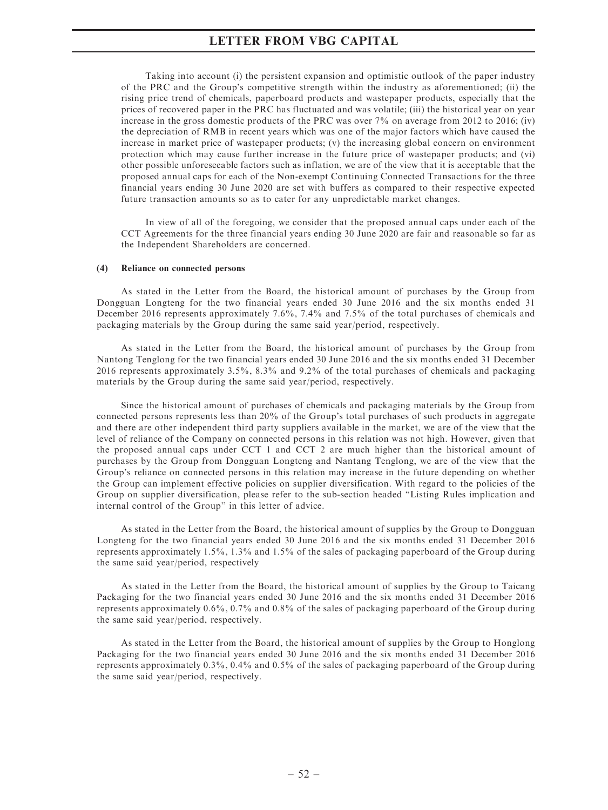Taking into account (i) the persistent expansion and optimistic outlook of the paper industry of the PRC and the Group's competitive strength within the industry as aforementioned; (ii) the rising price trend of chemicals, paperboard products and wastepaper products, especially that the prices of recovered paper in the PRC has fluctuated and was volatile; (iii) the historical year on year increase in the gross domestic products of the PRC was over 7% on average from 2012 to 2016; (iv) the depreciation of RMB in recent years which was one of the major factors which have caused the increase in market price of wastepaper products; (v) the increasing global concern on environment protection which may cause further increase in the future price of wastepaper products; and (vi) other possible unforeseeable factors such as inflation, we are of the view that it is acceptable that the proposed annual caps for each of the Non-exempt Continuing Connected Transactions for the three financial years ending 30 June 2020 are set with buffers as compared to their respective expected future transaction amounts so as to cater for any unpredictable market changes.

In view of all of the foregoing, we consider that the proposed annual caps under each of the CCT Agreements for the three financial years ending 30 June 2020 are fair and reasonable so far as the Independent Shareholders are concerned.

#### (4) Reliance on connected persons

As stated in the Letter from the Board, the historical amount of purchases by the Group from Dongguan Longteng for the two financial years ended 30 June 2016 and the six months ended 31 December 2016 represents approximately 7.6%, 7.4% and 7.5% of the total purchases of chemicals and packaging materials by the Group during the same said year/period, respectively.

As stated in the Letter from the Board, the historical amount of purchases by the Group from Nantong Tenglong for the two financial years ended 30 June 2016 and the six months ended 31 December 2016 represents approximately 3.5%, 8.3% and 9.2% of the total purchases of chemicals and packaging materials by the Group during the same said year/period, respectively.

Since the historical amount of purchases of chemicals and packaging materials by the Group from connected persons represents less than 20% of the Group's total purchases of such products in aggregate and there are other independent third party suppliers available in the market, we are of the view that the level of reliance of the Company on connected persons in this relation was not high. However, given that the proposed annual caps under CCT 1 and CCT 2 are much higher than the historical amount of purchases by the Group from Dongguan Longteng and Nantang Tenglong, we are of the view that the Group's reliance on connected persons in this relation may increase in the future depending on whether the Group can implement effective policies on supplier diversification. With regard to the policies of the Group on supplier diversification, please refer to the sub-section headed ''Listing Rules implication and internal control of the Group'' in this letter of advice.

As stated in the Letter from the Board, the historical amount of supplies by the Group to Dongguan Longteng for the two financial years ended 30 June 2016 and the six months ended 31 December 2016 represents approximately 1.5%, 1.3% and 1.5% of the sales of packaging paperboard of the Group during the same said year/period, respectively

As stated in the Letter from the Board, the historical amount of supplies by the Group to Taicang Packaging for the two financial years ended 30 June 2016 and the six months ended 31 December 2016 represents approximately 0.6%, 0.7% and 0.8% of the sales of packaging paperboard of the Group during the same said year/period, respectively.

As stated in the Letter from the Board, the historical amount of supplies by the Group to Honglong Packaging for the two financial years ended 30 June 2016 and the six months ended 31 December 2016 represents approximately 0.3%, 0.4% and 0.5% of the sales of packaging paperboard of the Group during the same said year/period, respectively.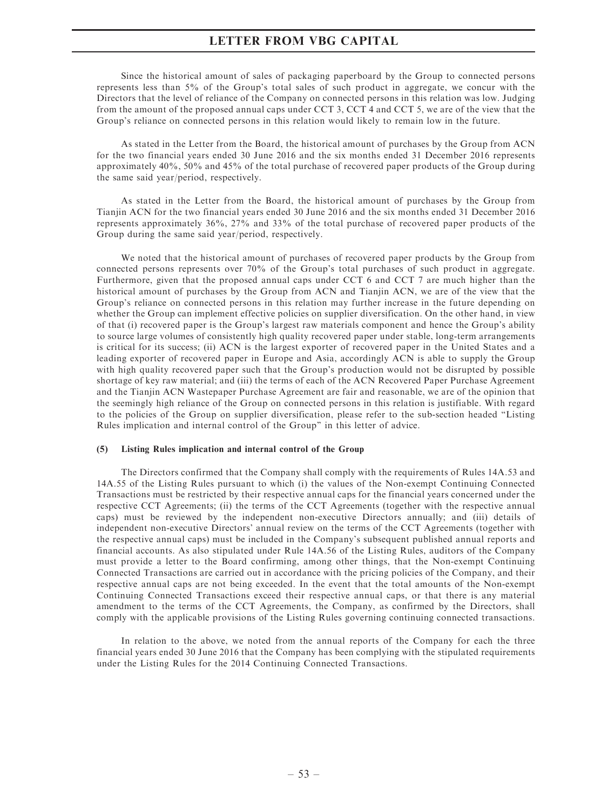Since the historical amount of sales of packaging paperboard by the Group to connected persons represents less than 5% of the Group's total sales of such product in aggregate, we concur with the Directors that the level of reliance of the Company on connected persons in this relation was low. Judging from the amount of the proposed annual caps under CCT 3, CCT 4 and CCT 5, we are of the view that the Group's reliance on connected persons in this relation would likely to remain low in the future.

As stated in the Letter from the Board, the historical amount of purchases by the Group from ACN for the two financial years ended 30 June 2016 and the six months ended 31 December 2016 represents approximately 40%, 50% and 45% of the total purchase of recovered paper products of the Group during the same said year/period, respectively.

As stated in the Letter from the Board, the historical amount of purchases by the Group from Tianjin ACN for the two financial years ended 30 June 2016 and the six months ended 31 December 2016 represents approximately 36%, 27% and 33% of the total purchase of recovered paper products of the Group during the same said year/period, respectively.

We noted that the historical amount of purchases of recovered paper products by the Group from connected persons represents over 70% of the Group's total purchases of such product in aggregate. Furthermore, given that the proposed annual caps under CCT 6 and CCT 7 are much higher than the historical amount of purchases by the Group from ACN and Tianjin ACN, we are of the view that the Group's reliance on connected persons in this relation may further increase in the future depending on whether the Group can implement effective policies on supplier diversification. On the other hand, in view of that (i) recovered paper is the Group's largest raw materials component and hence the Group's ability to source large volumes of consistently high quality recovered paper under stable, long-term arrangements is critical for its success; (ii) ACN is the largest exporter of recovered paper in the United States and a leading exporter of recovered paper in Europe and Asia, accordingly ACN is able to supply the Group with high quality recovered paper such that the Group's production would not be disrupted by possible shortage of key raw material; and (iii) the terms of each of the ACN Recovered Paper Purchase Agreement and the Tianjin ACN Wastepaper Purchase Agreement are fair and reasonable, we are of the opinion that the seemingly high reliance of the Group on connected persons in this relation is justifiable. With regard to the policies of the Group on supplier diversification, please refer to the sub-section headed ''Listing Rules implication and internal control of the Group'' in this letter of advice.

### (5) Listing Rules implication and internal control of the Group

The Directors confirmed that the Company shall comply with the requirements of Rules 14A.53 and 14A.55 of the Listing Rules pursuant to which (i) the values of the Non-exempt Continuing Connected Transactions must be restricted by their respective annual caps for the financial years concerned under the respective CCT Agreements; (ii) the terms of the CCT Agreements (together with the respective annual caps) must be reviewed by the independent non-executive Directors annually; and (iii) details of independent non-executive Directors' annual review on the terms of the CCT Agreements (together with the respective annual caps) must be included in the Company's subsequent published annual reports and financial accounts. As also stipulated under Rule 14A.56 of the Listing Rules, auditors of the Company must provide a letter to the Board confirming, among other things, that the Non-exempt Continuing Connected Transactions are carried out in accordance with the pricing policies of the Company, and their respective annual caps are not being exceeded. In the event that the total amounts of the Non-exempt Continuing Connected Transactions exceed their respective annual caps, or that there is any material amendment to the terms of the CCT Agreements, the Company, as confirmed by the Directors, shall comply with the applicable provisions of the Listing Rules governing continuing connected transactions.

In relation to the above, we noted from the annual reports of the Company for each the three financial years ended 30 June 2016 that the Company has been complying with the stipulated requirements under the Listing Rules for the 2014 Continuing Connected Transactions.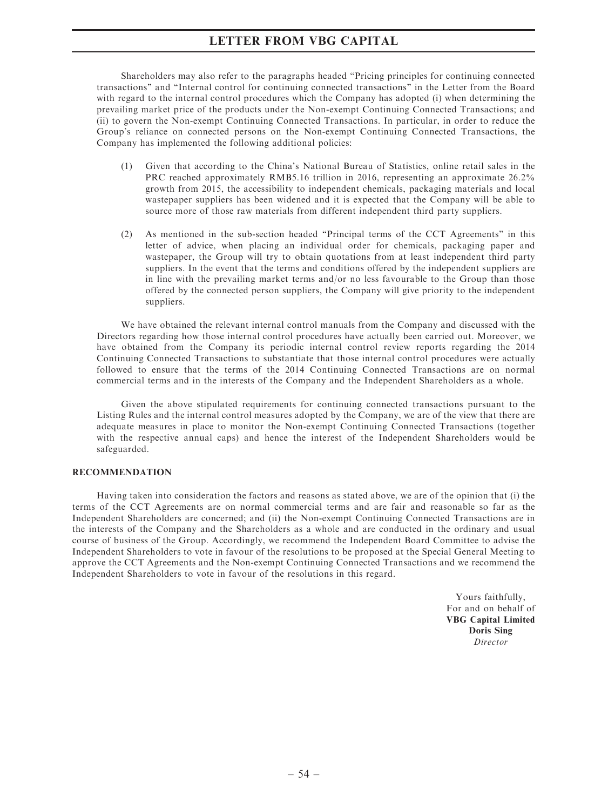Shareholders may also refer to the paragraphs headed ''Pricing principles for continuing connected transactions'' and ''Internal control for continuing connected transactions'' in the Letter from the Board with regard to the internal control procedures which the Company has adopted (i) when determining the prevailing market price of the products under the Non-exempt Continuing Connected Transactions; and (ii) to govern the Non-exempt Continuing Connected Transactions. In particular, in order to reduce the Group's reliance on connected persons on the Non-exempt Continuing Connected Transactions, the Company has implemented the following additional policies:

- (1) Given that according to the China's National Bureau of Statistics, online retail sales in the PRC reached approximately RMB5.16 trillion in 2016, representing an approximate 26.2% growth from 2015, the accessibility to independent chemicals, packaging materials and local wastepaper suppliers has been widened and it is expected that the Company will be able to source more of those raw materials from different independent third party suppliers.
- (2) As mentioned in the sub-section headed ''Principal terms of the CCT Agreements'' in this letter of advice, when placing an individual order for chemicals, packaging paper and wastepaper, the Group will try to obtain quotations from at least independent third party suppliers. In the event that the terms and conditions offered by the independent suppliers are in line with the prevailing market terms and/or no less favourable to the Group than those offered by the connected person suppliers, the Company will give priority to the independent suppliers.

We have obtained the relevant internal control manuals from the Company and discussed with the Directors regarding how those internal control procedures have actually been carried out. Moreover, we have obtained from the Company its periodic internal control review reports regarding the 2014 Continuing Connected Transactions to substantiate that those internal control procedures were actually followed to ensure that the terms of the 2014 Continuing Connected Transactions are on normal commercial terms and in the interests of the Company and the Independent Shareholders as a whole.

Given the above stipulated requirements for continuing connected transactions pursuant to the Listing Rules and the internal control measures adopted by the Company, we are of the view that there are adequate measures in place to monitor the Non-exempt Continuing Connected Transactions (together with the respective annual caps) and hence the interest of the Independent Shareholders would be safeguarded.

### RECOMMENDATION

Having taken into consideration the factors and reasons as stated above, we are of the opinion that (i) the terms of the CCT Agreements are on normal commercial terms and are fair and reasonable so far as the Independent Shareholders are concerned; and (ii) the Non-exempt Continuing Connected Transactions are in the interests of the Company and the Shareholders as a whole and are conducted in the ordinary and usual course of business of the Group. Accordingly, we recommend the Independent Board Committee to advise the Independent Shareholders to vote in favour of the resolutions to be proposed at the Special General Meeting to approve the CCT Agreements and the Non-exempt Continuing Connected Transactions and we recommend the Independent Shareholders to vote in favour of the resolutions in this regard.

> Yours faithfully, For and on behalf of VBG Capital Limited Doris Sing Director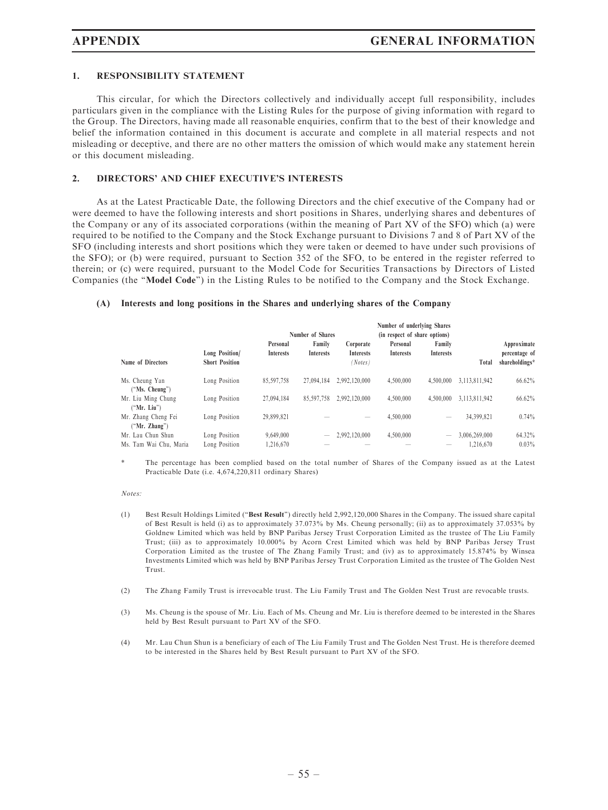### 1. RESPONSIBILITY STATEMENT

This circular, for which the Directors collectively and individually accept full responsibility, includes particulars given in the compliance with the Listing Rules for the purpose of giving information with regard to the Group. The Directors, having made all reasonable enquiries, confirm that to the best of their knowledge and belief the information contained in this document is accurate and complete in all material respects and not misleading or deceptive, and there are no other matters the omission of which would make any statement herein or this document misleading.

### 2. DIRECTORS' AND CHIEF EXECUTIVE'S INTERESTS

As at the Latest Practicable Date, the following Directors and the chief executive of the Company had or were deemed to have the following interests and short positions in Shares, underlying shares and debentures of the Company or any of its associated corporations (within the meaning of Part XV of the SFO) which (a) were required to be notified to the Company and the Stock Exchange pursuant to Divisions 7 and 8 of Part XV of the SFO (including interests and short positions which they were taken or deemed to have under such provisions of the SFO); or (b) were required, pursuant to Section 352 of the SFO, to be entered in the register referred to therein; or (c) were required, pursuant to the Model Code for Securities Transactions by Directors of Listed Companies (the ''Model Code'') in the Listing Rules to be notified to the Company and the Stock Exchange.

#### (A) Interests and long positions in the Shares and underlying shares of the Company

|                        |                       |                  |                  |                  | Number of underlying Shares   |                  |               |                |
|------------------------|-----------------------|------------------|------------------|------------------|-------------------------------|------------------|---------------|----------------|
|                        |                       |                  | Number of Shares |                  | (in respect of share options) |                  |               |                |
|                        |                       | Personal         | Family           | Corporate        | Personal                      | Family           |               | Approximate    |
|                        | Long Position/        | <b>Interests</b> | <b>Interests</b> | <b>Interests</b> | <b>Interests</b>              | <b>Interests</b> |               | percentage of  |
| Name of Directors      | <b>Short Position</b> |                  |                  | (Notes)          |                               |                  | Total         | shareholdings* |
| Ms. Cheung Yan         | Long Position         | 85,597,758       | 27.094.184       | 2.992.120.000    | 4.500,000                     | 4.500,000        | 3,113,811,942 | 66.62%         |
| ("Ms. Cheung")         |                       |                  |                  |                  |                               |                  |               |                |
| Mr. Liu Ming Chung     | Long Position         | 27.094.184       | 85,597,758       | 2.992.120.000    | 4.500,000                     | 4.500,000        | 3.113.811.942 | 66.62%         |
| ("Mr. Liu")            |                       |                  |                  |                  |                               |                  |               |                |
| Mr. Zhang Cheng Fei    | Long Position         | 29.899.821       |                  | -                | 4.500,000                     |                  | 34,399,821    | 0.74%          |
| ("Mr. Zhang")          |                       |                  |                  |                  |                               |                  |               |                |
| Mr. Lau Chun Shun      | Long Position         | 9.649.000        |                  | 2.992.120.000    | 4.500,000                     |                  | 3.006.269.000 | 64.32%         |
| Ms. Tam Wai Chu, Maria | Long Position         | 1.216.670        |                  |                  |                               |                  | 1.216.670     | $0.03\%$       |

The percentage has been complied based on the total number of Shares of the Company issued as at the Latest Practicable Date (i.e. 4,674,220,811 ordinary Shares)

#### Notes:

- (1) Best Result Holdings Limited (''Best Result'') directly held 2,992,120,000 Shares in the Company. The issued share capital of Best Result is held (i) as to approximately 37.073% by Ms. Cheung personally; (ii) as to approximately 37.053% by Goldnew Limited which was held by BNP Paribas Jersey Trust Corporation Limited as the trustee of The Liu Family Trust; (iii) as to approximately 10.000% by Acorn Crest Limited which was held by BNP Paribas Jersey Trust Corporation Limited as the trustee of The Zhang Family Trust; and (iv) as to approximately 15.874% by Winsea Investments Limited which was held by BNP Paribas Jersey Trust Corporation Limited as the trustee of The Golden Nest Trust.
- (2) The Zhang Family Trust is irrevocable trust. The Liu Family Trust and The Golden Nest Trust are revocable trusts.
- (3) Ms. Cheung is the spouse of Mr. Liu. Each of Ms. Cheung and Mr. Liu is therefore deemed to be interested in the Shares held by Best Result pursuant to Part XV of the SFO.
- (4) Mr. Lau Chun Shun is a beneficiary of each of The Liu Family Trust and The Golden Nest Trust. He is therefore deemed to be interested in the Shares held by Best Result pursuant to Part XV of the SFO.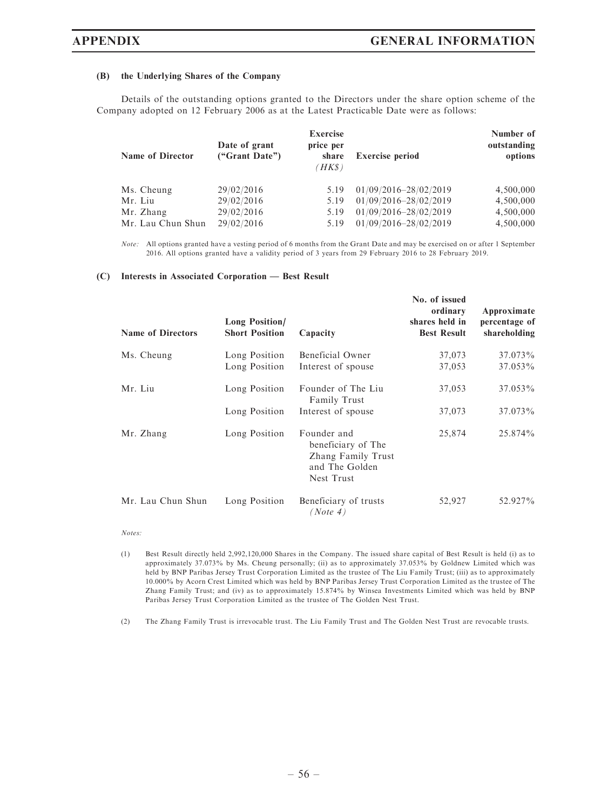#### (B) the Underlying Shares of the Company

Details of the outstanding options granted to the Directors under the share option scheme of the Company adopted on 12 February 2006 as at the Latest Practicable Date were as follows:

| <b>Name of Director</b> | Date of grant<br>("Grant Date") | <b>Exercise</b><br>price per<br>share<br>(HK\$) | <b>Exercise period</b> | Number of<br>outstanding<br>options |
|-------------------------|---------------------------------|-------------------------------------------------|------------------------|-------------------------------------|
| Ms. Cheung              | 29/02/2016                      | 5.19                                            | 01/09/2016-28/02/2019  | 4,500,000                           |
| Mr. Liu                 | 29/02/2016                      | 5.19                                            | 01/09/2016-28/02/2019  | 4,500,000                           |
| Mr. Zhang               | 29/02/2016                      | 5.19                                            | 01/09/2016-28/02/2019  | 4,500,000                           |
| Mr. Lau Chun Shun       | 29/02/2016                      | 5.19                                            | 01/09/2016-28/02/2019  | 4,500,000                           |

Note: All options granted have a vesting period of 6 months from the Grant Date and may be exercised on or after 1 September 2016. All options granted have a validity period of 3 years from 29 February 2016 to 28 February 2019.

#### (C) Interests in Associated Corporation — Best Result

| <b>Name of Directors</b> | <b>Long Position/</b><br><b>Short Position</b> | Capacity                                                                                | No. of issued<br>ordinary<br>shares held in<br><b>Best Result</b> | Approximate<br>percentage of<br>shareholding |
|--------------------------|------------------------------------------------|-----------------------------------------------------------------------------------------|-------------------------------------------------------------------|----------------------------------------------|
| Ms. Cheung               | Long Position                                  | Beneficial Owner                                                                        | 37,073                                                            | 37.073%                                      |
|                          | Long Position                                  | Interest of spouse                                                                      | 37,053                                                            | 37.053%                                      |
| Mr. Liu                  | Long Position                                  | Founder of The Liu<br><b>Family Trust</b>                                               | 37,053                                                            | 37.053%                                      |
|                          | Long Position                                  | Interest of spouse                                                                      | 37,073                                                            | 37.073%                                      |
| Mr. Zhang                | Long Position                                  | Founder and<br>beneficiary of The<br>Zhang Family Trust<br>and The Golden<br>Nest Trust | 25,874                                                            | 25.874%                                      |
| Mr. Lau Chun Shun        | Long Position                                  | Beneficiary of trusts<br>$^\prime$ <i>Note</i> 4)                                       | 52,927                                                            | 52.927%                                      |

Notes:

(2) The Zhang Family Trust is irrevocable trust. The Liu Family Trust and The Golden Nest Trust are revocable trusts.

<sup>(1)</sup> Best Result directly held 2,992,120,000 Shares in the Company. The issued share capital of Best Result is held (i) as to approximately 37.073% by Ms. Cheung personally; (ii) as to approximately 37.053% by Goldnew Limited which was held by BNP Paribas Jersey Trust Corporation Limited as the trustee of The Liu Family Trust; (iii) as to approximately 10.000% by Acorn Crest Limited which was held by BNP Paribas Jersey Trust Corporation Limited as the trustee of The Zhang Family Trust; and (iv) as to approximately 15.874% by Winsea Investments Limited which was held by BNP Paribas Jersey Trust Corporation Limited as the trustee of The Golden Nest Trust.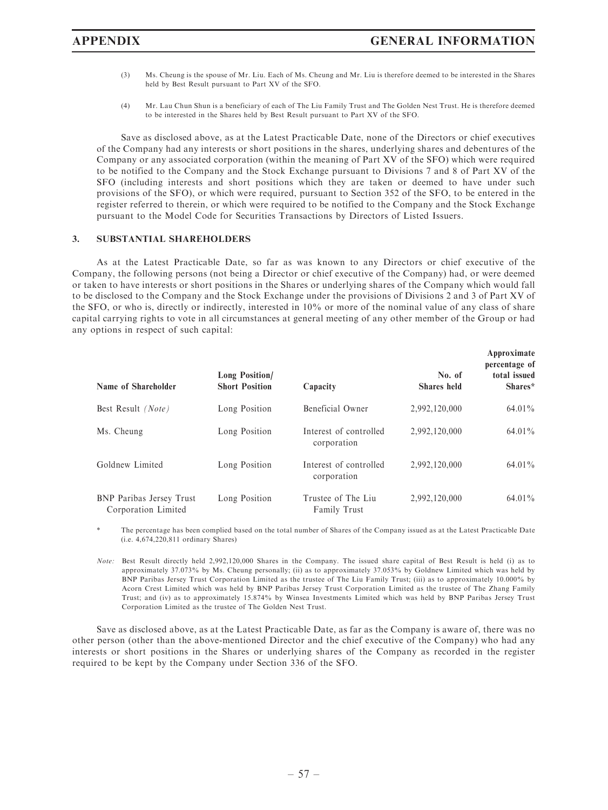- (3) Ms. Cheung is the spouse of Mr. Liu. Each of Ms. Cheung and Mr. Liu is therefore deemed to be interested in the Shares held by Best Result pursuant to Part XV of the SFO.
- (4) Mr. Lau Chun Shun is a beneficiary of each of The Liu Family Trust and The Golden Nest Trust. He is therefore deemed to be interested in the Shares held by Best Result pursuant to Part XV of the SFO.

Save as disclosed above, as at the Latest Practicable Date, none of the Directors or chief executives of the Company had any interests or short positions in the shares, underlying shares and debentures of the Company or any associated corporation (within the meaning of Part XV of the SFO) which were required to be notified to the Company and the Stock Exchange pursuant to Divisions 7 and 8 of Part XV of the SFO (including interests and short positions which they are taken or deemed to have under such provisions of the SFO), or which were required, pursuant to Section 352 of the SFO, to be entered in the register referred to therein, or which were required to be notified to the Company and the Stock Exchange pursuant to the Model Code for Securities Transactions by Directors of Listed Issuers.

### 3. SUBSTANTIAL SHAREHOLDERS

As at the Latest Practicable Date, so far as was known to any Directors or chief executive of the Company, the following persons (not being a Director or chief executive of the Company) had, or were deemed or taken to have interests or short positions in the Shares or underlying shares of the Company which would fall to be disclosed to the Company and the Stock Exchange under the provisions of Divisions 2 and 3 of Part XV of the SFO, or who is, directly or indirectly, interested in 10% or more of the nominal value of any class of share capital carrying rights to vote in all circumstances at general meeting of any other member of the Group or had any options in respect of such capital:

| Name of Shareholder                                    | Long Position/<br><b>Short Position</b> | Capacity                                  | No. of<br><b>Shares</b> held | Approximate<br>percentage of<br>total issued<br>Shares* |
|--------------------------------------------------------|-----------------------------------------|-------------------------------------------|------------------------------|---------------------------------------------------------|
| Best Result (Note)                                     | Long Position                           | Beneficial Owner                          | 2,992,120,000                | 64.01%                                                  |
| Ms. Cheung                                             | Long Position                           | Interest of controlled<br>corporation     | 2,992,120,000                | 64.01%                                                  |
| Goldnew Limited                                        | Long Position                           | Interest of controlled<br>corporation     | 2.992.120.000                | 64.01%                                                  |
| <b>BNP</b> Paribas Jersey Trust<br>Corporation Limited | Long Position                           | Trustee of The Liu<br><b>Family Trust</b> | 2.992.120.000                | 64.01%                                                  |

The percentage has been complied based on the total number of Shares of the Company issued as at the Latest Practicable Date (i.e. 4,674,220,811 ordinary Shares)

Note: Best Result directly held 2,992,120,000 Shares in the Company. The issued share capital of Best Result is held (i) as to approximately 37.073% by Ms. Cheung personally; (ii) as to approximately 37.053% by Goldnew Limited which was held by BNP Paribas Jersey Trust Corporation Limited as the trustee of The Liu Family Trust; (iii) as to approximately 10.000% by Acorn Crest Limited which was held by BNP Paribas Jersey Trust Corporation Limited as the trustee of The Zhang Family Trust; and (iv) as to approximately 15.874% by Winsea Investments Limited which was held by BNP Paribas Jersey Trust Corporation Limited as the trustee of The Golden Nest Trust.

Save as disclosed above, as at the Latest Practicable Date, as far as the Company is aware of, there was no other person (other than the above-mentioned Director and the chief executive of the Company) who had any interests or short positions in the Shares or underlying shares of the Company as recorded in the register required to be kept by the Company under Section 336 of the SFO.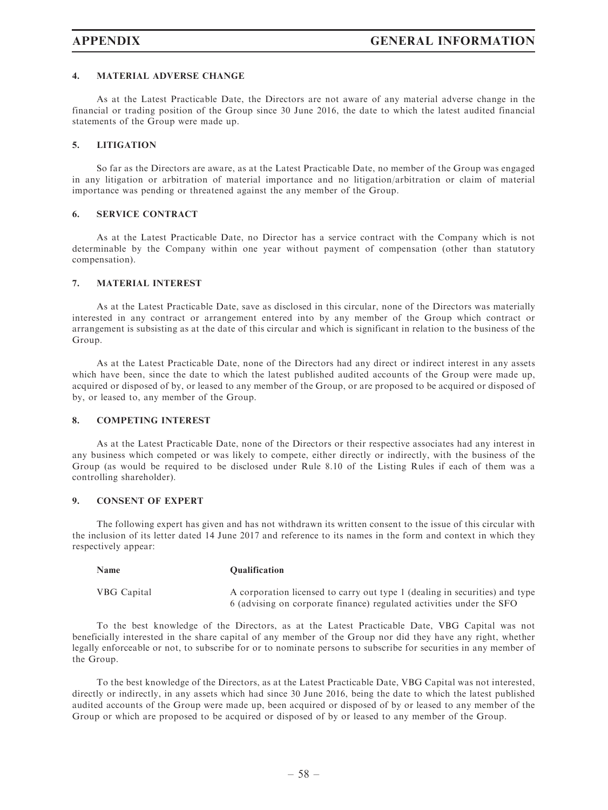### 4. MATERIAL ADVERSE CHANGE

As at the Latest Practicable Date, the Directors are not aware of any material adverse change in the financial or trading position of the Group since 30 June 2016, the date to which the latest audited financial statements of the Group were made up.

### 5. LITIGATION

So far as the Directors are aware, as at the Latest Practicable Date, no member of the Group was engaged in any litigation or arbitration of material importance and no litigation/arbitration or claim of material importance was pending or threatened against the any member of the Group.

### 6. SERVICE CONTRACT

As at the Latest Practicable Date, no Director has a service contract with the Company which is not determinable by the Company within one year without payment of compensation (other than statutory compensation).

### 7. MATERIAL INTEREST

As at the Latest Practicable Date, save as disclosed in this circular, none of the Directors was materially interested in any contract or arrangement entered into by any member of the Group which contract or arrangement is subsisting as at the date of this circular and which is significant in relation to the business of the Group.

As at the Latest Practicable Date, none of the Directors had any direct or indirect interest in any assets which have been, since the date to which the latest published audited accounts of the Group were made up, acquired or disposed of by, or leased to any member of the Group, or are proposed to be acquired or disposed of by, or leased to, any member of the Group.

### 8. COMPETING INTEREST

As at the Latest Practicable Date, none of the Directors or their respective associates had any interest in any business which competed or was likely to compete, either directly or indirectly, with the business of the Group (as would be required to be disclosed under Rule 8.10 of the Listing Rules if each of them was a controlling shareholder).

### 9. CONSENT OF EXPERT

The following expert has given and has not withdrawn its written consent to the issue of this circular with the inclusion of its letter dated 14 June 2017 and reference to its names in the form and context in which they respectively appear:

| Name               | <b>Oualification</b>                                                                                                                                |
|--------------------|-----------------------------------------------------------------------------------------------------------------------------------------------------|
| <b>VBG</b> Capital | A corporation licensed to carry out type 1 (dealing in securities) and type<br>6 (advising on corporate finance) regulated activities under the SFO |

To the best knowledge of the Directors, as at the Latest Practicable Date, VBG Capital was not beneficially interested in the share capital of any member of the Group nor did they have any right, whether legally enforceable or not, to subscribe for or to nominate persons to subscribe for securities in any member of the Group.

To the best knowledge of the Directors, as at the Latest Practicable Date, VBG Capital was not interested, directly or indirectly, in any assets which had since 30 June 2016, being the date to which the latest published audited accounts of the Group were made up, been acquired or disposed of by or leased to any member of the Group or which are proposed to be acquired or disposed of by or leased to any member of the Group.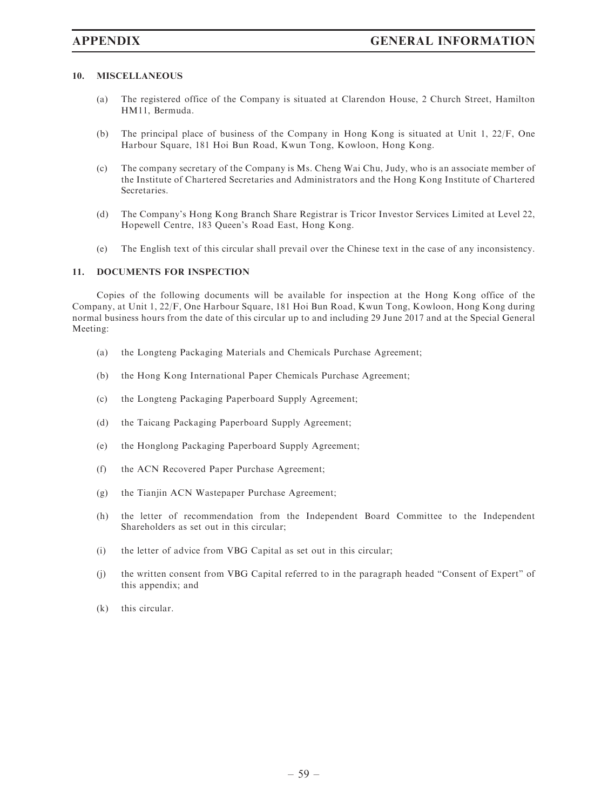### 10. MISCELLANEOUS

- (a) The registered office of the Company is situated at Clarendon House, 2 Church Street, Hamilton HM11, Bermuda.
- (b) The principal place of business of the Company in Hong Kong is situated at Unit 1, 22/F, One Harbour Square, 181 Hoi Bun Road, Kwun Tong, Kowloon, Hong Kong.
- (c) The company secretary of the Company is Ms. Cheng Wai Chu, Judy, who is an associate member of the Institute of Chartered Secretaries and Administrators and the Hong Kong Institute of Chartered Secretaries.
- (d) The Company's Hong Kong Branch Share Registrar is Tricor Investor Services Limited at Level 22, Hopewell Centre, 183 Queen's Road East, Hong Kong.
- (e) The English text of this circular shall prevail over the Chinese text in the case of any inconsistency.

### 11. DOCUMENTS FOR INSPECTION

Copies of the following documents will be available for inspection at the Hong Kong office of the Company, at Unit 1, 22/F, One Harbour Square, 181 Hoi Bun Road, Kwun Tong, Kowloon, Hong Kong during normal business hours from the date of this circular up to and including 29 June 2017 and at the Special General Meeting:

- (a) the Longteng Packaging Materials and Chemicals Purchase Agreement;
- (b) the Hong Kong International Paper Chemicals Purchase Agreement;
- (c) the Longteng Packaging Paperboard Supply Agreement;
- (d) the Taicang Packaging Paperboard Supply Agreement;
- (e) the Honglong Packaging Paperboard Supply Agreement;
- (f) the ACN Recovered Paper Purchase Agreement;
- (g) the Tianjin ACN Wastepaper Purchase Agreement;
- (h) the letter of recommendation from the Independent Board Committee to the Independent Shareholders as set out in this circular;
- (i) the letter of advice from VBG Capital as set out in this circular;
- (j) the written consent from VBG Capital referred to in the paragraph headed ''Consent of Expert'' of this appendix; and
- (k) this circular.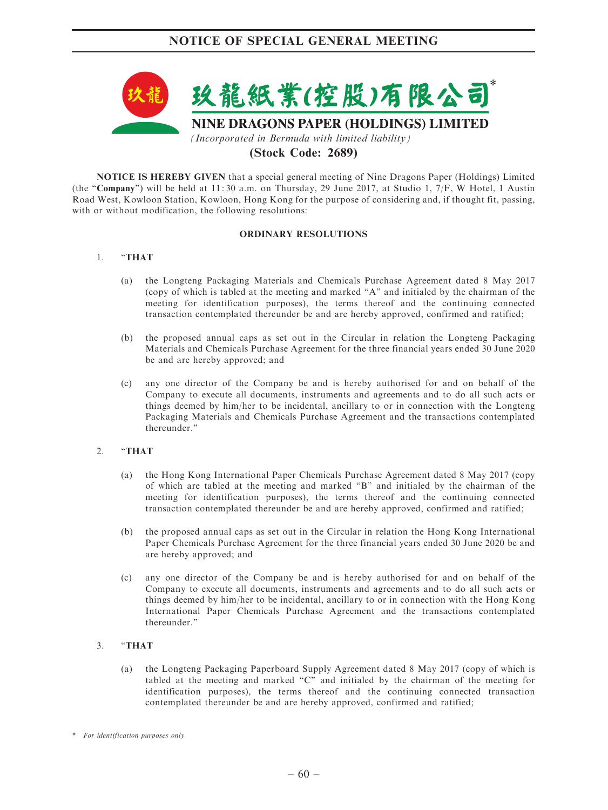

# (Stock Code: 2689)

NOTICE IS HEREBY GIVEN that a special general meeting of Nine Dragons Paper (Holdings) Limited (the "Company") will be held at 11:30 a.m. on Thursday, 29 June 2017, at Studio 1, 7/F, W Hotel, 1 Austin Road West, Kowloon Station, Kowloon, Hong Kong for the purpose of considering and, if thought fit, passing, with or without modification, the following resolutions:

### ORDINARY RESOLUTIONS

### 1. ''THAT

- (a) the Longteng Packaging Materials and Chemicals Purchase Agreement dated 8 May 2017 (copy of which is tabled at the meeting and marked ''A'' and initialed by the chairman of the meeting for identification purposes), the terms thereof and the continuing connected transaction contemplated thereunder be and are hereby approved, confirmed and ratified;
- (b) the proposed annual caps as set out in the Circular in relation the Longteng Packaging Materials and Chemicals Purchase Agreement for the three financial years ended 30 June 2020 be and are hereby approved; and
- (c) any one director of the Company be and is hereby authorised for and on behalf of the Company to execute all documents, instruments and agreements and to do all such acts or things deemed by him/her to be incidental, ancillary to or in connection with the Longteng Packaging Materials and Chemicals Purchase Agreement and the transactions contemplated thereunder.''

### 2. "THAT

- (a) the Hong Kong International Paper Chemicals Purchase Agreement dated 8 May 2017 (copy of which are tabled at the meeting and marked ''B'' and initialed by the chairman of the meeting for identification purposes), the terms thereof and the continuing connected transaction contemplated thereunder be and are hereby approved, confirmed and ratified;
- (b) the proposed annual caps as set out in the Circular in relation the Hong Kong International Paper Chemicals Purchase Agreement for the three financial years ended 30 June 2020 be and are hereby approved; and
- (c) any one director of the Company be and is hereby authorised for and on behalf of the Company to execute all documents, instruments and agreements and to do all such acts or things deemed by him/her to be incidental, ancillary to or in connection with the Hong Kong International Paper Chemicals Purchase Agreement and the transactions contemplated thereunder.''

### 3. ''THAT

(a) the Longteng Packaging Paperboard Supply Agreement dated 8 May 2017 (copy of which is tabled at the meeting and marked "C" and initialed by the chairman of the meeting for identification purposes), the terms thereof and the continuing connected transaction contemplated thereunder be and are hereby approved, confirmed and ratified;

<sup>\*</sup> For identification purposes only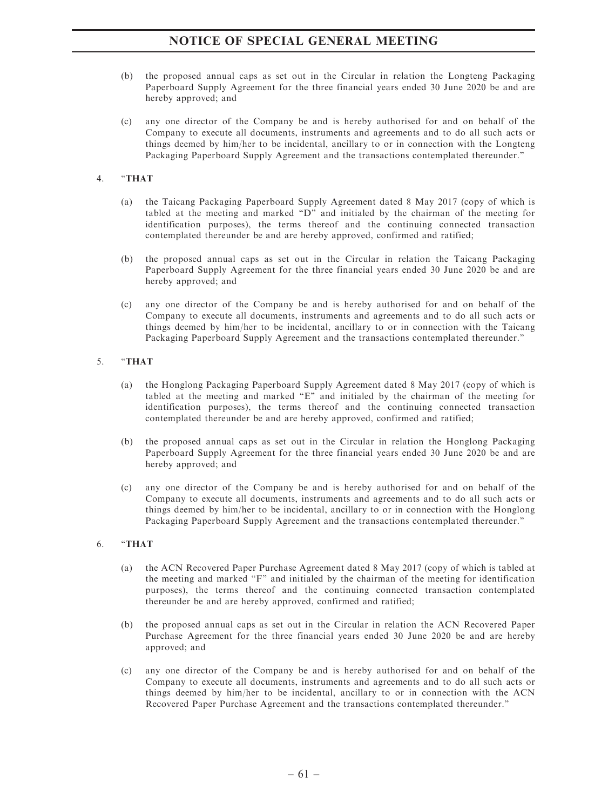# NOTICE OF SPECIAL GENERAL MEETING

- (b) the proposed annual caps as set out in the Circular in relation the Longteng Packaging Paperboard Supply Agreement for the three financial years ended 30 June 2020 be and are hereby approved; and
- (c) any one director of the Company be and is hereby authorised for and on behalf of the Company to execute all documents, instruments and agreements and to do all such acts or things deemed by him/her to be incidental, ancillary to or in connection with the Longteng Packaging Paperboard Supply Agreement and the transactions contemplated thereunder.''

### 4. ''THAT

- (a) the Taicang Packaging Paperboard Supply Agreement dated 8 May 2017 (copy of which is tabled at the meeting and marked ''D'' and initialed by the chairman of the meeting for identification purposes), the terms thereof and the continuing connected transaction contemplated thereunder be and are hereby approved, confirmed and ratified;
- (b) the proposed annual caps as set out in the Circular in relation the Taicang Packaging Paperboard Supply Agreement for the three financial years ended 30 June 2020 be and are hereby approved; and
- (c) any one director of the Company be and is hereby authorised for and on behalf of the Company to execute all documents, instruments and agreements and to do all such acts or things deemed by him/her to be incidental, ancillary to or in connection with the Taicang Packaging Paperboard Supply Agreement and the transactions contemplated thereunder.''

### 5. ''THAT

- (a) the Honglong Packaging Paperboard Supply Agreement dated 8 May 2017 (copy of which is tabled at the meeting and marked "E" and initialed by the chairman of the meeting for identification purposes), the terms thereof and the continuing connected transaction contemplated thereunder be and are hereby approved, confirmed and ratified;
- (b) the proposed annual caps as set out in the Circular in relation the Honglong Packaging Paperboard Supply Agreement for the three financial years ended 30 June 2020 be and are hereby approved; and
- (c) any one director of the Company be and is hereby authorised for and on behalf of the Company to execute all documents, instruments and agreements and to do all such acts or things deemed by him/her to be incidental, ancillary to or in connection with the Honglong Packaging Paperboard Supply Agreement and the transactions contemplated thereunder.''

### 6. ''THAT

- (a) the ACN Recovered Paper Purchase Agreement dated 8 May 2017 (copy of which is tabled at the meeting and marked ''F'' and initialed by the chairman of the meeting for identification purposes), the terms thereof and the continuing connected transaction contemplated thereunder be and are hereby approved, confirmed and ratified;
- (b) the proposed annual caps as set out in the Circular in relation the ACN Recovered Paper Purchase Agreement for the three financial years ended 30 June 2020 be and are hereby approved; and
- (c) any one director of the Company be and is hereby authorised for and on behalf of the Company to execute all documents, instruments and agreements and to do all such acts or things deemed by him/her to be incidental, ancillary to or in connection with the ACN Recovered Paper Purchase Agreement and the transactions contemplated thereunder.''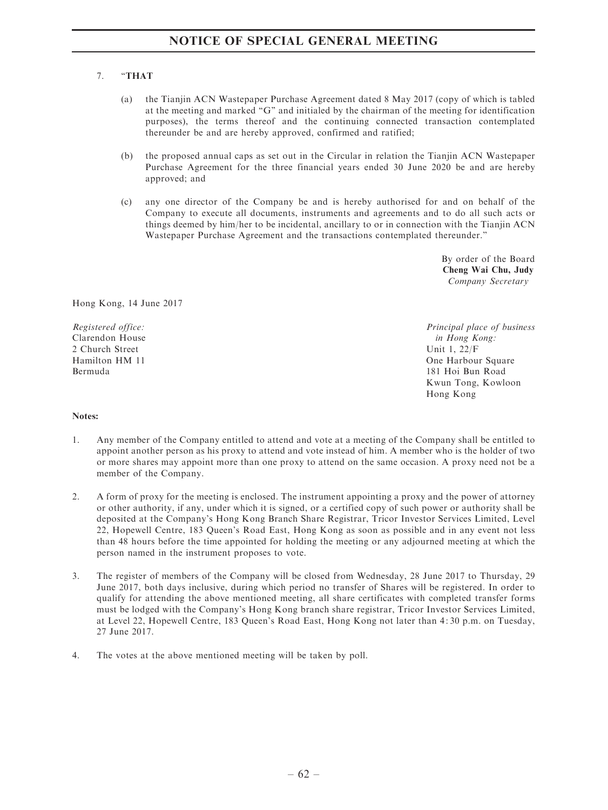### 7. ''THAT

- (a) the Tianjin ACN Wastepaper Purchase Agreement dated 8 May 2017 (copy of which is tabled at the meeting and marked "G" and initialed by the chairman of the meeting for identification purposes), the terms thereof and the continuing connected transaction contemplated thereunder be and are hereby approved, confirmed and ratified;
- (b) the proposed annual caps as set out in the Circular in relation the Tianjin ACN Wastepaper Purchase Agreement for the three financial years ended 30 June 2020 be and are hereby approved; and
- (c) any one director of the Company be and is hereby authorised for and on behalf of the Company to execute all documents, instruments and agreements and to do all such acts or things deemed by him/her to be incidental, ancillary to or in connection with the Tianjin ACN Wastepaper Purchase Agreement and the transactions contemplated thereunder.''

By order of the Board Cheng Wai Chu, Judy Company Secretary

Hong Kong, 14 June 2017

Registered office: Clarendon House 2 Church Street Hamilton HM 11 Bermuda

Principal place of business in Hong Kong: Unit 1, 22/F One Harbour Square 181 Hoi Bun Road Kwun Tong, Kowloon Hong Kong

### Notes:

- 1. Any member of the Company entitled to attend and vote at a meeting of the Company shall be entitled to appoint another person as his proxy to attend and vote instead of him. A member who is the holder of two or more shares may appoint more than one proxy to attend on the same occasion. A proxy need not be a member of the Company.
- 2. A form of proxy for the meeting is enclosed. The instrument appointing a proxy and the power of attorney or other authority, if any, under which it is signed, or a certified copy of such power or authority shall be deposited at the Company's Hong Kong Branch Share Registrar, Tricor Investor Services Limited, Level 22, Hopewell Centre, 183 Queen's Road East, Hong Kong as soon as possible and in any event not less than 48 hours before the time appointed for holding the meeting or any adjourned meeting at which the person named in the instrument proposes to vote.
- 3. The register of members of the Company will be closed from Wednesday, 28 June 2017 to Thursday, 29 June 2017, both days inclusive, during which period no transfer of Shares will be registered. In order to qualify for attending the above mentioned meeting, all share certificates with completed transfer forms must be lodged with the Company's Hong Kong branch share registrar, Tricor Investor Services Limited, at Level 22, Hopewell Centre, 183 Queen's Road East, Hong Kong not later than 4: 30 p.m. on Tuesday, 27 June 2017.
- 4. The votes at the above mentioned meeting will be taken by poll.